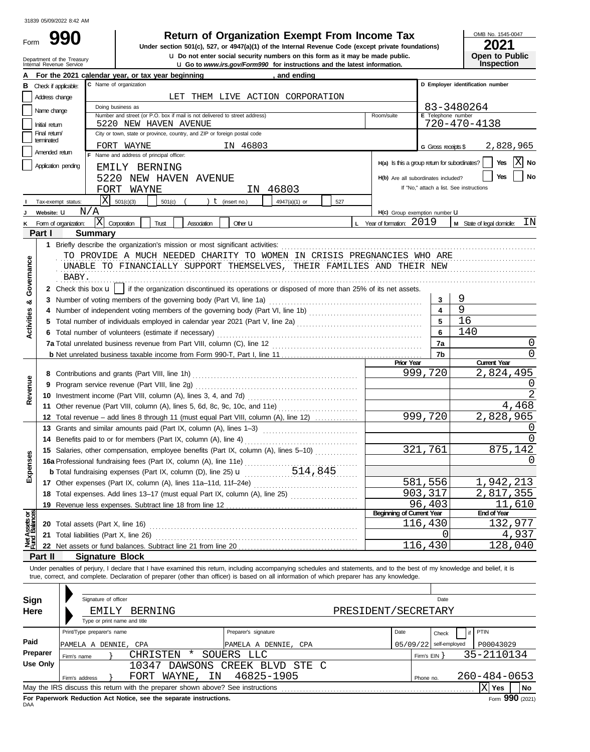Form

**u** Do not enter social security numbers on this form as it may be made public. **990 2011 2018 2021 2021 Depend From Income Tax 2021 2021 2021 2021** 

|                                |                             | Department of the Treasury<br>Internal Revenue Service |                                                      |                                                                                 |                |                      | U Do not enter social security numbers on this form as it may be made public.<br><b>LI Go to www.irs.gov/Form990 for instructions and the latest information.</b>                                                                                                                                                        |  |                                               |                           | Open to Public<br>Inspection             |               |
|--------------------------------|-----------------------------|--------------------------------------------------------|------------------------------------------------------|---------------------------------------------------------------------------------|----------------|----------------------|--------------------------------------------------------------------------------------------------------------------------------------------------------------------------------------------------------------------------------------------------------------------------------------------------------------------------|--|-----------------------------------------------|---------------------------|------------------------------------------|---------------|
|                                |                             |                                                        |                                                      | For the 2021 calendar year, or tax year beginning                               |                |                      | , and ending                                                                                                                                                                                                                                                                                                             |  |                                               |                           |                                          |               |
| в                              | Check if applicable:        |                                                        |                                                      | C Name of organization                                                          |                |                      |                                                                                                                                                                                                                                                                                                                          |  |                                               |                           | D Employer identification number         |               |
|                                | Address change              |                                                        |                                                      |                                                                                 |                |                      | LET THEM LIVE ACTION CORPORATION                                                                                                                                                                                                                                                                                         |  |                                               |                           |                                          |               |
|                                |                             |                                                        |                                                      | Doing business as                                                               |                |                      |                                                                                                                                                                                                                                                                                                                          |  |                                               |                           | 83-3480264                               |               |
|                                | Name change                 |                                                        |                                                      | Number and street (or P.O. box if mail is not delivered to street address)      |                |                      |                                                                                                                                                                                                                                                                                                                          |  | Room/suite                                    | <b>E</b> Telephone number |                                          |               |
|                                | Initial return              |                                                        |                                                      | 5220 NEW HAVEN AVENUE                                                           |                |                      |                                                                                                                                                                                                                                                                                                                          |  |                                               |                           | 720-470-4138                             |               |
|                                | Final return/<br>terminated |                                                        |                                                      | City or town, state or province, country, and ZIP or foreign postal code        |                |                      |                                                                                                                                                                                                                                                                                                                          |  |                                               |                           |                                          |               |
|                                | Amended return              |                                                        |                                                      | FORT WAYNE                                                                      |                | IN 46803             |                                                                                                                                                                                                                                                                                                                          |  |                                               | G Gross receipts \$       | 2,828,965                                |               |
|                                |                             |                                                        |                                                      | F Name and address of principal officer:                                        |                |                      |                                                                                                                                                                                                                                                                                                                          |  | H(a) Is this a group return for subordinates? |                           | $ X $ No<br>Yes                          |               |
|                                | Application pending         |                                                        |                                                      | EMILY BERNING                                                                   |                |                      |                                                                                                                                                                                                                                                                                                                          |  |                                               |                           |                                          |               |
|                                |                             |                                                        |                                                      | 5220 NEW HAVEN AVENUE                                                           |                |                      |                                                                                                                                                                                                                                                                                                                          |  | H(b) Are all subordinates included?           |                           | Yes                                      | No            |
|                                |                             |                                                        | FORT                                                 | WAYNE                                                                           |                |                      | IN 46803                                                                                                                                                                                                                                                                                                                 |  |                                               |                           | If "No," attach a list. See instructions |               |
|                                | Tax-exempt status:          |                                                        | lxl                                                  | 501(c)(3)<br>501(c)                                                             |                | $t$ (insert no.)     | 4947(a)(1) or<br>527                                                                                                                                                                                                                                                                                                     |  |                                               |                           |                                          |               |
|                                | Website: U                  |                                                        | N/A                                                  |                                                                                 |                |                      |                                                                                                                                                                                                                                                                                                                          |  | H(c) Group exemption number U                 |                           |                                          |               |
|                                |                             | Form of organization:                                  | X                                                    | Corporation<br>Trust                                                            | Association    | Other <b>LI</b>      |                                                                                                                                                                                                                                                                                                                          |  | L Year of formation: $2019$                   |                           | M State of legal domicile:               | ΙN            |
|                                | Part I                      |                                                        | <b>Summary</b>                                       |                                                                                 |                |                      |                                                                                                                                                                                                                                                                                                                          |  |                                               |                           |                                          |               |
|                                | 1                           |                                                        |                                                      | Briefly describe the organization's mission or most significant activities:     |                |                      |                                                                                                                                                                                                                                                                                                                          |  |                                               |                           |                                          |               |
|                                |                             |                                                        |                                                      |                                                                                 |                |                      | TO PROVIDE A MUCH NEEDED CHARITY TO WOMEN IN CRISIS PREGNANCIES WHO ARE                                                                                                                                                                                                                                                  |  |                                               |                           |                                          |               |
|                                |                             |                                                        |                                                      |                                                                                 |                |                      | UNABLE TO FINANCIALLY SUPPORT THEMSELVES, THEIR FAMILIES AND THEIR NEW                                                                                                                                                                                                                                                   |  |                                               |                           |                                          |               |
| Governance                     |                             | BABY.                                                  |                                                      |                                                                                 |                |                      |                                                                                                                                                                                                                                                                                                                          |  |                                               |                           |                                          |               |
|                                |                             |                                                        |                                                      |                                                                                 |                |                      | 2 Check this box $\mathbf{u}$   if the organization discontinued its operations or disposed of more than 25% of its net assets.                                                                                                                                                                                          |  |                                               |                           |                                          |               |
| ೲ                              | 3.                          |                                                        |                                                      |                                                                                 |                |                      |                                                                                                                                                                                                                                                                                                                          |  |                                               | 3                         | 9<br>9                                   |               |
|                                | 4                           |                                                        |                                                      |                                                                                 |                |                      |                                                                                                                                                                                                                                                                                                                          |  |                                               | 4                         |                                          |               |
| <b>Activities</b>              | 5.                          |                                                        |                                                      |                                                                                 |                |                      | Total number of individuals employed in calendar year 2021 (Part V, line 2a) [[[[[[[[[[[[[[[[[[[[[[[[[[[[[[[[                                                                                                                                                                                                            |  |                                               | 5                         | 16                                       |               |
|                                |                             |                                                        | 6 Total number of volunteers (estimate if necessary) |                                                                                 | 6              | 140                  |                                                                                                                                                                                                                                                                                                                          |  |                                               |                           |                                          |               |
|                                |                             |                                                        |                                                      |                                                                                 |                |                      |                                                                                                                                                                                                                                                                                                                          |  |                                               | 7a                        |                                          | 0<br>$\Omega$ |
|                                |                             |                                                        |                                                      |                                                                                 |                |                      |                                                                                                                                                                                                                                                                                                                          |  | <b>Prior Year</b>                             | 7b                        | <b>Current Year</b>                      |               |
|                                |                             |                                                        |                                                      |                                                                                 |                |                      |                                                                                                                                                                                                                                                                                                                          |  |                                               | 999,720                   | 2,824,495                                |               |
| Revenue                        | 9                           |                                                        |                                                      |                                                                                 |                |                      |                                                                                                                                                                                                                                                                                                                          |  |                                               |                           |                                          |               |
|                                |                             |                                                        |                                                      |                                                                                 |                |                      |                                                                                                                                                                                                                                                                                                                          |  |                                               |                           |                                          |               |
|                                |                             |                                                        |                                                      |                                                                                 |                |                      | 11 Other revenue (Part VIII, column (A), lines 5, 6d, 8c, 9c, 10c, and 11e)                                                                                                                                                                                                                                              |  |                                               |                           | 4,468                                    |               |
|                                |                             |                                                        |                                                      |                                                                                 |                |                      | 12 Total revenue - add lines 8 through 11 (must equal Part VIII, column (A), line 12)                                                                                                                                                                                                                                    |  |                                               | 999,720                   | 2,828,965                                |               |
|                                |                             |                                                        |                                                      | 13 Grants and similar amounts paid (Part IX, column (A), lines 1-3)             |                |                      |                                                                                                                                                                                                                                                                                                                          |  |                                               |                           |                                          |               |
|                                |                             |                                                        |                                                      |                                                                                 |                |                      |                                                                                                                                                                                                                                                                                                                          |  |                                               |                           |                                          |               |
|                                |                             |                                                        |                                                      |                                                                                 |                |                      | 15 Salaries, other compensation, employee benefits (Part IX, column (A), lines 5-10)                                                                                                                                                                                                                                     |  |                                               | 321,761                   | 875,142                                  |               |
| ses                            |                             |                                                        |                                                      | 16a Professional fundraising fees (Part IX, column (A), line 11e)               |                |                      |                                                                                                                                                                                                                                                                                                                          |  |                                               |                           | $\left( \right)$                         |               |
| Expen                          |                             |                                                        |                                                      |                                                                                 |                |                      |                                                                                                                                                                                                                                                                                                                          |  |                                               |                           |                                          |               |
|                                |                             |                                                        |                                                      |                                                                                 |                |                      |                                                                                                                                                                                                                                                                                                                          |  |                                               | 581,556                   | 1,942,213                                |               |
|                                |                             |                                                        |                                                      |                                                                                 |                |                      | 18 Total expenses. Add lines 13-17 (must equal Part IX, column (A), line 25)                                                                                                                                                                                                                                             |  |                                               | 903,317                   | 2,817,355                                |               |
|                                |                             |                                                        |                                                      |                                                                                 |                |                      |                                                                                                                                                                                                                                                                                                                          |  |                                               | 96,403                    | 11,610                                   |               |
| Net Assets or<br>Fund Balances |                             |                                                        |                                                      |                                                                                 |                |                      |                                                                                                                                                                                                                                                                                                                          |  | <b>Beginning of Current Year</b>              |                           | <b>End of Year</b>                       |               |
|                                |                             |                                                        |                                                      |                                                                                 |                |                      |                                                                                                                                                                                                                                                                                                                          |  |                                               | 116,430                   | 132,977                                  |               |
|                                |                             |                                                        |                                                      |                                                                                 |                |                      |                                                                                                                                                                                                                                                                                                                          |  |                                               | 0                         | 4,937                                    |               |
|                                |                             |                                                        |                                                      |                                                                                 |                |                      |                                                                                                                                                                                                                                                                                                                          |  |                                               | 116,430                   | 128,040                                  |               |
|                                | Part II                     |                                                        | <b>Signature Block</b>                               |                                                                                 |                |                      |                                                                                                                                                                                                                                                                                                                          |  |                                               |                           |                                          |               |
|                                |                             |                                                        |                                                      |                                                                                 |                |                      | Under penalties of perjury, I declare that I have examined this return, including accompanying schedules and statements, and to the best of my knowledge and belief, it is<br>true, correct, and complete. Declaration of preparer (other than officer) is based on all information of which preparer has any knowledge. |  |                                               |                           |                                          |               |
|                                |                             |                                                        |                                                      |                                                                                 |                |                      |                                                                                                                                                                                                                                                                                                                          |  |                                               |                           |                                          |               |
|                                |                             |                                                        | Signature of officer                                 |                                                                                 |                |                      |                                                                                                                                                                                                                                                                                                                          |  |                                               | Date                      |                                          |               |
|                                | <b>Sign</b>                 |                                                        |                                                      |                                                                                 |                |                      |                                                                                                                                                                                                                                                                                                                          |  |                                               |                           |                                          |               |
|                                | Here                        |                                                        | EMILY                                                | BERNING<br>Type or print name and title                                         |                |                      |                                                                                                                                                                                                                                                                                                                          |  | PRESIDENT/SECRETARY                           |                           |                                          |               |
|                                |                             |                                                        | Print/Type preparer's name                           |                                                                                 |                | Preparer's signature |                                                                                                                                                                                                                                                                                                                          |  | Date                                          |                           | PTIN                                     |               |
| Paid                           |                             |                                                        |                                                      |                                                                                 |                |                      |                                                                                                                                                                                                                                                                                                                          |  |                                               | Check                     | if                                       |               |
|                                | Preparer                    |                                                        |                                                      | PAMELA A DENNIE, CPA                                                            | $\star$        |                      | PAMELA A DENNIE, CPA                                                                                                                                                                                                                                                                                                     |  |                                               | $05/09/22$ self-employed  | P00043029                                |               |
|                                | <b>Use Only</b>             | Firm's name                                            |                                                      | CHRISTEN                                                                        |                | SOUERS LLC           |                                                                                                                                                                                                                                                                                                                          |  |                                               | Firm's $EIN$ }            | 35-2110134                               |               |
|                                |                             |                                                        |                                                      |                                                                                 |                | 46825-1905           | 10347 DAWSONS CREEK BLVD STE C                                                                                                                                                                                                                                                                                           |  |                                               |                           |                                          |               |
|                                |                             | Firm's address                                         |                                                      | May the IRS discuss this return with the preparer shown above? See instructions | FORT WAYNE, IN |                      |                                                                                                                                                                                                                                                                                                                          |  |                                               | Phone no.                 | $260 - 484 - 0653$<br>$X$ Yes            | No            |
|                                |                             |                                                        |                                                      |                                                                                 |                |                      |                                                                                                                                                                                                                                                                                                                          |  |                                               |                           |                                          |               |

| Sign     |                            | Signature of officer         |                                                                                 |      |                      | Date |  |                          |  |           |                    |         |      |
|----------|----------------------------|------------------------------|---------------------------------------------------------------------------------|------|----------------------|------|--|--------------------------|--|-----------|--------------------|---------|------|
| Here     |                            | EMILY                        | BERNING                                                                         |      | PRESIDENT/SECRETARY  |      |  |                          |  |           |                    |         |      |
|          |                            | Type or print name and title |                                                                                 |      |                      |      |  |                          |  |           |                    |         |      |
|          | Print/Type preparer's name |                              |                                                                                 |      | Preparer's signature | Date |  | Check                    |  | PTIN      |                    |         |      |
| Paid     | PAMELA A DENNIE, CPA       |                              |                                                                                 |      | PAMELA A DENNIE, CPA |      |  | $05/09/22$ self-employed |  | P00043029 |                    |         |      |
| Preparer | Firm's name                |                              | CHRISTEN<br>$\star$                                                             |      | SOUERS LLC           |      |  | Firm's $EIN$ }           |  |           | 35-2110134         |         |      |
| Use Only |                            |                              | 10347<br>DAWSONS                                                                |      | CREEK BLVD STE C     |      |  |                          |  |           |                    |         |      |
|          | Firm's address             |                              | WAYNE,<br>FORT                                                                  | - IN | 46825-1905           |      |  | Phone no.                |  |           | $260 - 484 - 0653$ |         |      |
|          |                            |                              | May the IRS discuss this return with the preparer shown above? See instructions |      |                      |      |  |                          |  |           | Yes                |         | l No |
|          |                            |                              |                                                                                 |      |                      |      |  |                          |  |           |                    | $- - -$ |      |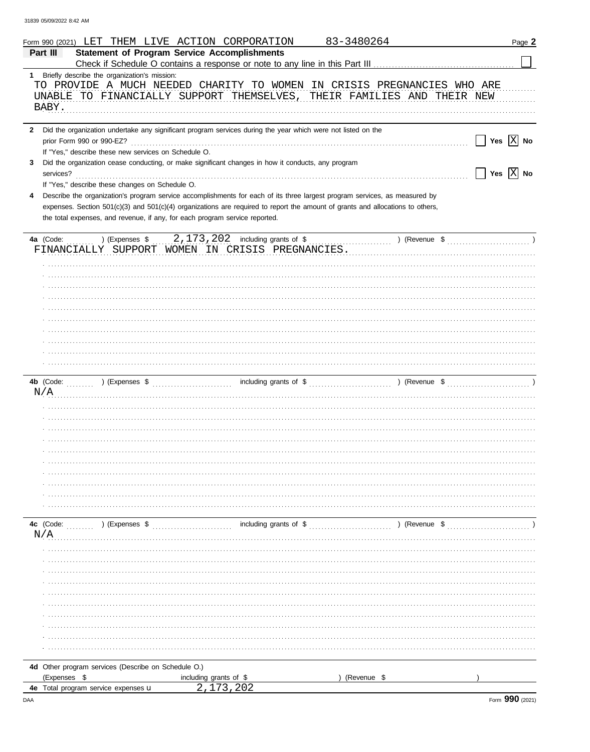|   | 83-3480264<br>Form 990 (2021) LET THEM LIVE ACTION CORPORATION                                                                 | Page 2                             |
|---|--------------------------------------------------------------------------------------------------------------------------------|------------------------------------|
|   | <b>Statement of Program Service Accomplishments</b><br>Part III                                                                |                                    |
|   |                                                                                                                                |                                    |
|   | 1 Briefly describe the organization's mission:                                                                                 |                                    |
|   | TO PROVIDE A MUCH NEEDED CHARITY TO WOMEN IN CRISIS PREGNANCIES WHO ARE                                                        |                                    |
|   | UNABLE TO FINANCIALLY SUPPORT THEMSELVES, THEIR FAMILIES AND THEIR NEW                                                         |                                    |
|   | BABY.                                                                                                                          |                                    |
|   |                                                                                                                                |                                    |
|   | 2 Did the organization undertake any significant program services during the year which were not listed on the                 |                                    |
|   |                                                                                                                                | Yes $\boxed{\mathbf{X}}$ No        |
|   | If "Yes," describe these new services on Schedule O.                                                                           |                                    |
| 3 | Did the organization cease conducting, or make significant changes in how it conducts, any program                             |                                    |
|   | services?                                                                                                                      | $\Box$ Yes $\boxed{\mathrm{X}}$ No |
|   | If "Yes," describe these changes on Schedule O.                                                                                |                                    |
| 4 | Describe the organization's program service accomplishments for each of its three largest program services, as measured by     |                                    |
|   | expenses. Section 501(c)(3) and 501(c)(4) organizations are required to report the amount of grants and allocations to others, |                                    |
|   | the total expenses, and revenue, if any, for each program service reported.                                                    |                                    |
|   |                                                                                                                                |                                    |
|   |                                                                                                                                |                                    |
|   | FINANCIALLY SUPPORT WOMEN IN CRISIS PREGNANCIES.                                                                               |                                    |
|   |                                                                                                                                |                                    |
|   |                                                                                                                                |                                    |
|   |                                                                                                                                |                                    |
|   |                                                                                                                                |                                    |
|   |                                                                                                                                |                                    |
|   |                                                                                                                                |                                    |
|   |                                                                                                                                |                                    |
|   |                                                                                                                                |                                    |
|   |                                                                                                                                |                                    |
|   |                                                                                                                                |                                    |
|   |                                                                                                                                |                                    |
|   |                                                                                                                                |                                    |
|   |                                                                                                                                |                                    |
|   | N/A                                                                                                                            |                                    |
|   |                                                                                                                                |                                    |
|   |                                                                                                                                |                                    |
|   |                                                                                                                                |                                    |
|   |                                                                                                                                |                                    |
|   |                                                                                                                                |                                    |
|   |                                                                                                                                |                                    |
|   |                                                                                                                                |                                    |
|   |                                                                                                                                |                                    |
|   |                                                                                                                                |                                    |
|   |                                                                                                                                |                                    |
|   |                                                                                                                                |                                    |
|   |                                                                                                                                |                                    |
|   | N/A                                                                                                                            |                                    |
|   |                                                                                                                                |                                    |
|   |                                                                                                                                |                                    |
|   |                                                                                                                                |                                    |
|   |                                                                                                                                |                                    |
|   |                                                                                                                                |                                    |
|   |                                                                                                                                |                                    |
|   |                                                                                                                                |                                    |
|   |                                                                                                                                |                                    |
|   |                                                                                                                                |                                    |
|   |                                                                                                                                |                                    |
|   |                                                                                                                                |                                    |
|   | 4d Other program services (Describe on Schedule O.)                                                                            |                                    |
|   | (Revenue \$<br>(Expenses \$<br>including grants of \$                                                                          |                                    |
|   | 2,173,202<br>4e Total program service expenses <b>U</b>                                                                        |                                    |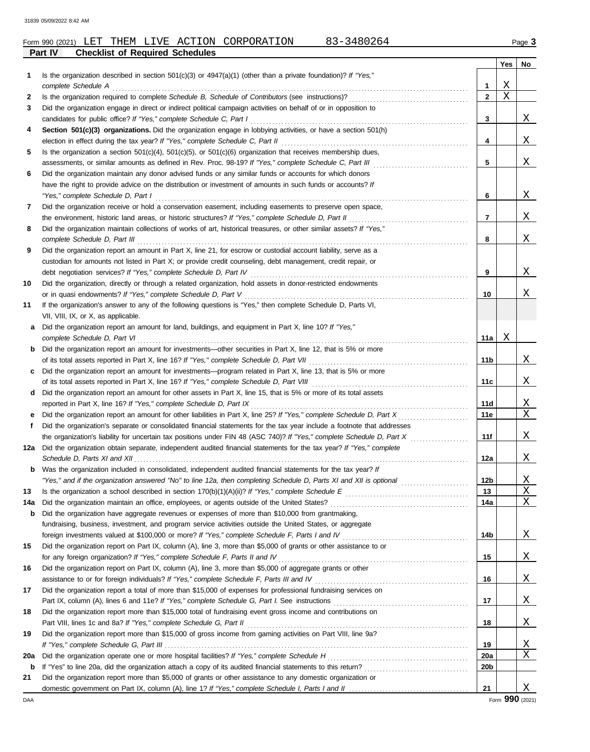|     | 83-3480264<br>Form 990 (2021) LET THEM LIVE ACTION CORPORATION                                                                                |                 |             | Page 3      |
|-----|-----------------------------------------------------------------------------------------------------------------------------------------------|-----------------|-------------|-------------|
|     | Part IV<br><b>Checklist of Required Schedules</b>                                                                                             |                 |             |             |
| 1.  | Is the organization described in section $501(c)(3)$ or $4947(a)(1)$ (other than a private foundation)? If "Yes,"                             |                 |             | Yes   No    |
|     | complete Schedule A                                                                                                                           | 1               | Χ           |             |
| 2   |                                                                                                                                               | $\overline{2}$  | $\mathbf X$ |             |
| 3   | Did the organization engage in direct or indirect political campaign activities on behalf of or in opposition to                              |                 |             |             |
|     | candidates for public office? If "Yes," complete Schedule C, Part I                                                                           | 3               |             | Χ           |
| 4   | Section 501(c)(3) organizations. Did the organization engage in lobbying activities, or have a section 501(h)                                 |                 |             |             |
|     | election in effect during the tax year? If "Yes," complete Schedule C, Part II                                                                | 4               |             | Χ           |
| 5   | Is the organization a section $501(c)(4)$ , $501(c)(5)$ , or $501(c)(6)$ organization that receives membership dues,                          |                 |             |             |
|     | assessments, or similar amounts as defined in Rev. Proc. 98-19? If "Yes," complete Schedule C, Part III                                       | 5               |             | Χ           |
| 6   | Did the organization maintain any donor advised funds or any similar funds or accounts for which donors                                       |                 |             |             |
|     | have the right to provide advice on the distribution or investment of amounts in such funds or accounts? If                                   |                 |             |             |
|     | "Yes," complete Schedule D, Part I                                                                                                            | 6               |             | Χ           |
| 7   | Did the organization receive or hold a conservation easement, including easements to preserve open space,                                     |                 |             |             |
|     | the environment, historic land areas, or historic structures? If "Yes," complete Schedule D, Part II                                          | 7               |             | Χ           |
| 8   | Did the organization maintain collections of works of art, historical treasures, or other similar assets? If "Yes,"                           |                 |             |             |
|     | complete Schedule D, Part III                                                                                                                 | 8               |             | X           |
| 9   | Did the organization report an amount in Part X, line 21, for escrow or custodial account liability, serve as a                               |                 |             |             |
|     | custodian for amounts not listed in Part X; or provide credit counseling, debt management, credit repair, or                                  |                 |             |             |
|     |                                                                                                                                               | 9               |             | Χ           |
| 10  | Did the organization, directly or through a related organization, hold assets in donor-restricted endowments                                  |                 |             |             |
|     |                                                                                                                                               | 10              |             | Χ           |
| 11  | If the organization's answer to any of the following questions is "Yes," then complete Schedule D, Parts VI,                                  |                 |             |             |
|     | VII, VIII, IX, or X, as applicable.                                                                                                           |                 |             |             |
| а   | Did the organization report an amount for land, buildings, and equipment in Part X, line 10? If "Yes,"                                        |                 | Χ           |             |
|     | complete Schedule D, Part VI<br>Did the organization report an amount for investments—other securities in Part X, line 12, that is 5% or more | 11a             |             |             |
| b   |                                                                                                                                               | 11b             |             | Χ           |
| c   | Did the organization report an amount for investments—program related in Part X, line 13, that is 5% or more                                  |                 |             |             |
|     |                                                                                                                                               | 11c             |             | Χ           |
| d   | Did the organization report an amount for other assets in Part X, line 15, that is 5% or more of its total assets                             |                 |             |             |
|     | reported in Part X, line 16? If "Yes," complete Schedule D, Part IX                                                                           | 11d             |             | Χ           |
|     |                                                                                                                                               | 11e             |             | X           |
| f   | Did the organization's separate or consolidated financial statements for the tax year include a footnote that addresses                       |                 |             |             |
|     |                                                                                                                                               | 11f             |             | Χ           |
| 12a | Did the organization obtain separate, independent audited financial statements for the tax year? If "Yes," complete                           |                 |             |             |
|     |                                                                                                                                               | 12a             |             | Χ           |
| b   | Was the organization included in consolidated, independent audited financial statements for the tax year? If                                  |                 |             |             |
|     | "Yes," and if the organization answered "No" to line 12a, then completing Schedule D, Parts XI and XII is optional                            | 12b             |             | Χ           |
| 13  |                                                                                                                                               | 13              |             | $\mathbf X$ |
| 14a |                                                                                                                                               | 14a             |             | $\mathbf X$ |
| b   | Did the organization have aggregate revenues or expenses of more than \$10,000 from grantmaking,                                              |                 |             |             |
|     | fundraising, business, investment, and program service activities outside the United States, or aggregate                                     |                 |             |             |
|     | foreign investments valued at \$100,000 or more? If "Yes," complete Schedule F, Parts I and IV [[[[[[[[[[[[[[[                                | 14b             |             | Χ           |
| 15  | Did the organization report on Part IX, column (A), line 3, more than \$5,000 of grants or other assistance to or                             |                 |             |             |
|     | for any foreign organization? If "Yes," complete Schedule F, Parts II and IV [[[[[[[[[[[[[[[[[[[[[[[[[[[[[[[[[                                | 15              |             | Χ           |
| 16  | Did the organization report on Part IX, column (A), line 3, more than \$5,000 of aggregate grants or other                                    |                 |             |             |
|     |                                                                                                                                               | 16              |             | Χ           |
| 17  | Did the organization report a total of more than \$15,000 of expenses for professional fundraising services on                                |                 |             |             |
|     |                                                                                                                                               | 17              |             | Χ           |
| 18  | Did the organization report more than \$15,000 total of fundraising event gross income and contributions on                                   |                 |             |             |
|     |                                                                                                                                               | 18              |             | Χ           |
| 19  | Did the organization report more than \$15,000 of gross income from gaming activities on Part VIII, line 9a?                                  |                 |             |             |
|     |                                                                                                                                               | 19              |             | Χ           |
| 20a |                                                                                                                                               | <b>20a</b>      |             | X           |
| b   |                                                                                                                                               | 20 <sub>b</sub> |             |             |
| 21  | Did the organization report more than \$5,000 of grants or other assistance to any domestic organization or                                   |                 |             |             |
|     |                                                                                                                                               | 21              |             | Χ           |

|--|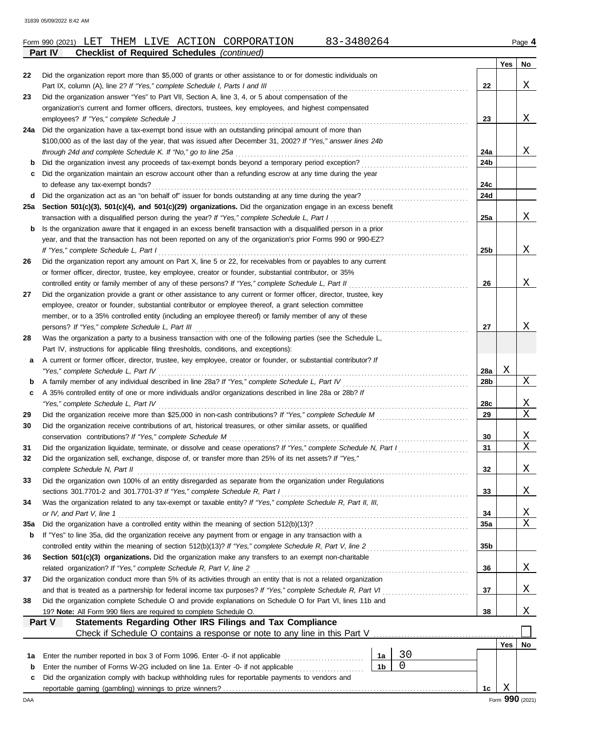|     | 83-3480264<br>Form 990 (2021) LET THEM LIVE ACTION CORPORATION                                                                                                                                                                   |                |    |                 |                 | Page 4    |
|-----|----------------------------------------------------------------------------------------------------------------------------------------------------------------------------------------------------------------------------------|----------------|----|-----------------|-----------------|-----------|
|     | Part IV<br><b>Checklist of Required Schedules (continued)</b>                                                                                                                                                                    |                |    |                 |                 |           |
| 22  | Did the organization report more than \$5,000 of grants or other assistance to or for domestic individuals on                                                                                                                    |                |    |                 | Yes             | <b>No</b> |
|     | Part IX, column (A), line 2? If "Yes," complete Schedule I, Parts I and III                                                                                                                                                      |                |    | 22              |                 | Χ         |
| 23  | Did the organization answer "Yes" to Part VII, Section A, line 3, 4, or 5 about compensation of the                                                                                                                              |                |    |                 |                 |           |
|     | organization's current and former officers, directors, trustees, key employees, and highest compensated                                                                                                                          |                |    |                 |                 |           |
|     | employees? If "Yes," complete Schedule J                                                                                                                                                                                         |                |    | 23              |                 | Χ         |
|     | 24a Did the organization have a tax-exempt bond issue with an outstanding principal amount of more than                                                                                                                          |                |    |                 |                 |           |
|     | \$100,000 as of the last day of the year, that was issued after December 31, 2002? If "Yes," answer lines 24b                                                                                                                    |                |    |                 |                 |           |
|     | through 24d and complete Schedule K. If "No," go to line 25a                                                                                                                                                                     |                |    | 24a             |                 | Χ         |
| b   |                                                                                                                                                                                                                                  |                |    | 24 <sub>b</sub> |                 |           |
| c   | Did the organization maintain an escrow account other than a refunding escrow at any time during the year                                                                                                                        |                |    |                 |                 |           |
|     | to defease any tax-exempt bonds?                                                                                                                                                                                                 |                |    | 24c             |                 |           |
| d   |                                                                                                                                                                                                                                  |                |    | 24d             |                 |           |
| 25а | Section 501(c)(3), 501(c)(4), and 501(c)(29) organizations. Did the organization engage in an excess benefit                                                                                                                     |                |    |                 |                 |           |
|     | transaction with a disqualified person during the year? If "Yes," complete Schedule L, Part I                                                                                                                                    |                |    | 25a             |                 | Χ         |
| b   | Is the organization aware that it engaged in an excess benefit transaction with a disqualified person in a prior<br>year, and that the transaction has not been reported on any of the organization's prior Forms 990 or 990-EZ? |                |    |                 |                 |           |
|     | If "Yes," complete Schedule L, Part I                                                                                                                                                                                            |                |    | 25b             |                 | Χ         |
| 26  | Did the organization report any amount on Part X, line 5 or 22, for receivables from or payables to any current                                                                                                                  |                |    |                 |                 |           |
|     | or former officer, director, trustee, key employee, creator or founder, substantial contributor, or 35%                                                                                                                          |                |    |                 |                 |           |
|     | controlled entity or family member of any of these persons? If "Yes," complete Schedule L, Part II                                                                                                                               |                |    | 26              |                 | Χ         |
| 27  | Did the organization provide a grant or other assistance to any current or former officer, director, trustee, key                                                                                                                |                |    |                 |                 |           |
|     | employee, creator or founder, substantial contributor or employee thereof, a grant selection committee                                                                                                                           |                |    |                 |                 |           |
|     | member, or to a 35% controlled entity (including an employee thereof) or family member of any of these                                                                                                                           |                |    |                 |                 |           |
|     | persons? If "Yes," complete Schedule L, Part III                                                                                                                                                                                 |                |    | 27              |                 | Χ         |
| 28  | Was the organization a party to a business transaction with one of the following parties (see the Schedule L,                                                                                                                    |                |    |                 |                 |           |
|     | Part IV, instructions for applicable filing thresholds, conditions, and exceptions):                                                                                                                                             |                |    |                 |                 |           |
| а   | A current or former officer, director, trustee, key employee, creator or founder, or substantial contributor? If                                                                                                                 |                |    |                 |                 |           |
|     | "Yes," complete Schedule L, Part IV                                                                                                                                                                                              |                |    | 28a             | Χ               |           |
| b   | A family member of any individual described in line 28a? If "Yes," complete Schedule L, Part IV                                                                                                                                  |                |    | 28 <sub>b</sub> |                 | Χ         |
| c   | A 35% controlled entity of one or more individuals and/or organizations described in line 28a or 28b? If                                                                                                                         |                |    |                 |                 |           |
|     | "Yes," complete Schedule L, Part IV                                                                                                                                                                                              |                |    | 28c             |                 | Χ         |
| 29  |                                                                                                                                                                                                                                  |                |    | 29              |                 | Χ         |
| 30  | Did the organization receive contributions of art, historical treasures, or other similar assets, or qualified                                                                                                                   |                |    |                 |                 |           |
|     |                                                                                                                                                                                                                                  |                |    | 30              |                 | Χ         |
| 31  | Did the organization liquidate, terminate, or dissolve and cease operations? If "Yes," complete Schedule N, Part I                                                                                                               |                |    | 31              |                 | Χ         |
| 32  | Did the organization sell, exchange, dispose of, or transfer more than 25% of its net assets? If "Yes,"                                                                                                                          |                |    |                 |                 |           |
|     | complete Schedule N, Part II                                                                                                                                                                                                     |                |    | 32              |                 | Χ         |
| 33  | Did the organization own 100% of an entity disregarded as separate from the organization under Regulations                                                                                                                       |                |    |                 |                 |           |
|     |                                                                                                                                                                                                                                  |                |    | 33              |                 | Χ         |
| 34  | Was the organization related to any tax-exempt or taxable entity? If "Yes," complete Schedule R, Part II, III,                                                                                                                   |                |    |                 |                 |           |
|     | or IV, and Part V, line 1                                                                                                                                                                                                        |                |    | 34              |                 | Χ         |
| 35a |                                                                                                                                                                                                                                  |                |    | 35a             |                 | Χ         |
| b   | If "Yes" to line 35a, did the organization receive any payment from or engage in any transaction with a                                                                                                                          |                |    |                 |                 |           |
|     |                                                                                                                                                                                                                                  |                |    | 35b             |                 |           |
| 36  | Section 501(c)(3) organizations. Did the organization make any transfers to an exempt non-charitable                                                                                                                             |                |    |                 |                 | Χ         |
| 37  | related organization? If "Yes," complete Schedule R, Part V, line 2<br>Did the organization conduct more than 5% of its activities through an entity that is not a related organization                                          |                |    | 36              |                 |           |
|     |                                                                                                                                                                                                                                  |                |    | 37              |                 | Χ         |
| 38  | Did the organization complete Schedule O and provide explanations on Schedule O for Part VI, lines 11b and                                                                                                                       |                |    |                 |                 |           |
|     | 19? Note: All Form 990 filers are required to complete Schedule O.                                                                                                                                                               |                |    | 38              |                 | Χ         |
|     | Statements Regarding Other IRS Filings and Tax Compliance<br>Part V                                                                                                                                                              |                |    |                 |                 |           |
|     |                                                                                                                                                                                                                                  |                |    |                 |                 |           |
|     |                                                                                                                                                                                                                                  |                |    |                 | Yes             | No        |
| 1а  | Enter the number reported in box 3 of Form 1096. Enter -0- if not applicable                                                                                                                                                     | 1a             | 30 |                 |                 |           |
| b   | Enter the number of Forms W-2G included on line 1a. Enter -0- if not applicable                                                                                                                                                  | 1 <sub>b</sub> | 0  |                 |                 |           |
| c   | Did the organization comply with backup withholding rules for reportable payments to vendors and                                                                                                                                 |                |    |                 |                 |           |
|     |                                                                                                                                                                                                                                  |                |    | 1c              | Χ               |           |
| DAA |                                                                                                                                                                                                                                  |                |    |                 | Form 990 (2021) |           |

|  |  | しついいして |  |
|--|--|--------|--|
|  |  |        |  |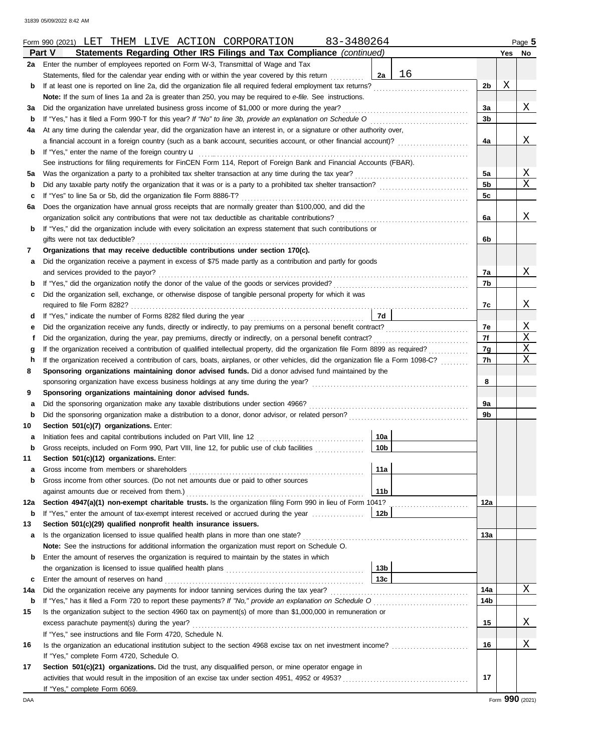|     | Form 990 (2021) LET THEM LIVE ACTION CORPORATION<br>83-3480264                                                                     |                 |    |                |   | Page 5                  |
|-----|------------------------------------------------------------------------------------------------------------------------------------|-----------------|----|----------------|---|-------------------------|
|     | Part V<br>Statements Regarding Other IRS Filings and Tax Compliance (continued)                                                    |                 |    |                |   | Yes No                  |
| 2a  | Enter the number of employees reported on Form W-3, Transmittal of Wage and Tax                                                    |                 |    |                |   |                         |
|     | Statements, filed for the calendar year ending with or within the year covered by this return                                      | 2a              | 16 |                |   |                         |
| b   |                                                                                                                                    |                 |    | 2 <sub>b</sub> | Χ |                         |
|     | Note: If the sum of lines 1a and 2a is greater than 250, you may be required to e-file. See instructions.                          |                 |    |                |   |                         |
| За  | Did the organization have unrelated business gross income of \$1,000 or more during the year?                                      |                 |    | За             |   | Χ                       |
| b   |                                                                                                                                    |                 |    | 3 <sub>b</sub> |   |                         |
| 4a  | At any time during the calendar year, did the organization have an interest in, or a signature or other authority over,            |                 |    |                |   |                         |
|     | a financial account in a foreign country (such as a bank account, securities account, or other financial account)?                 |                 |    | 4a             |   | Χ                       |
| b   | If "Yes," enter the name of the foreign country <b>u</b>                                                                           |                 |    |                |   |                         |
|     | See instructions for filing requirements for FinCEN Form 114, Report of Foreign Bank and Financial Accounts (FBAR).                |                 |    |                |   |                         |
| 5a  |                                                                                                                                    |                 |    | 5a             |   | $\overline{X}$          |
| b   | Did any taxable party notify the organization that it was or is a party to a prohibited tax shelter transaction?                   |                 |    | 5 <sub>b</sub> |   | $\overline{\mathbf{x}}$ |
| c   | If "Yes" to line 5a or 5b, did the organization file Form 8886-T?                                                                  |                 |    | 5 <sub>c</sub> |   |                         |
| 6а  | Does the organization have annual gross receipts that are normally greater than \$100,000, and did the                             |                 |    |                |   |                         |
|     | organization solicit any contributions that were not tax deductible as charitable contributions?                                   |                 |    | 6a             |   | X                       |
| b   | If "Yes," did the organization include with every solicitation an express statement that such contributions or                     |                 |    |                |   |                         |
|     | gifts were not tax deductible?                                                                                                     |                 |    | 6b             |   |                         |
| 7   | Organizations that may receive deductible contributions under section 170(c).                                                      |                 |    |                |   |                         |
| а   | Did the organization receive a payment in excess of \$75 made partly as a contribution and partly for goods                        |                 |    |                |   |                         |
|     | and services provided to the payor?                                                                                                |                 |    | 7a             |   | Χ                       |
| b   |                                                                                                                                    |                 |    | 7b             |   |                         |
| c   | Did the organization sell, exchange, or otherwise dispose of tangible personal property for which it was                           |                 |    |                |   |                         |
|     |                                                                                                                                    |                 |    | 7c             |   | Χ                       |
| d   |                                                                                                                                    | 7d              |    |                |   |                         |
|     |                                                                                                                                    |                 |    | 7e             |   | Χ                       |
| t   | Did the organization, during the year, pay premiums, directly or indirectly, on a personal benefit contract?                       |                 |    | 7f             |   | X                       |
| g   |                                                                                                                                    |                 |    | 7g             |   | X                       |
| h   | If the organization received a contribution of cars, boats, airplanes, or other vehicles, did the organization file a Form 1098-C? |                 |    | 7 <sub>h</sub> |   | X                       |
| 8   | Sponsoring organizations maintaining donor advised funds. Did a donor advised fund maintained by the                               |                 |    |                |   |                         |
|     |                                                                                                                                    |                 |    | 8              |   |                         |
| 9   | Sponsoring organizations maintaining donor advised funds.                                                                          |                 |    |                |   |                         |
| а   |                                                                                                                                    |                 |    | 9a             |   |                         |
| b   |                                                                                                                                    |                 |    | 9b             |   |                         |
| 10  | Section 501(c)(7) organizations. Enter:                                                                                            | 10a             |    |                |   |                         |
| а   |                                                                                                                                    |                 |    |                |   |                         |
| b   | Gross receipts, included on Form 990, Part VIII, line 12, for public use of club facilities                                        | 10 <sub>b</sub> |    |                |   |                         |
| 11  | Section 501(c)(12) organizations. Enter:                                                                                           | 11a             |    |                |   |                         |
| а   | Gross income from other sources. (Do not net amounts due or paid to other sources                                                  |                 |    |                |   |                         |
| b   | against amounts due or received from them.)                                                                                        | 11b             |    |                |   |                         |
| 12a | Section 4947(a)(1) non-exempt charitable trusts. Is the organization filing Form 990 in lieu of Form 1041?                         |                 |    | 12a            |   |                         |
| b   | If "Yes," enter the amount of tax-exempt interest received or accrued during the year conservation                                 | 12 <sub>b</sub> |    |                |   |                         |
| 13  | Section 501(c)(29) qualified nonprofit health insurance issuers.                                                                   |                 |    |                |   |                         |
| а   |                                                                                                                                    |                 |    | 13a            |   |                         |
|     | Note: See the instructions for additional information the organization must report on Schedule O.                                  |                 |    |                |   |                         |
| b   | Enter the amount of reserves the organization is required to maintain by the states in which                                       |                 |    |                |   |                         |
|     |                                                                                                                                    | 13 <sub>b</sub> |    |                |   |                         |
| с   | Enter the amount of reserves on hand                                                                                               | 13c             |    |                |   |                         |
| 14a |                                                                                                                                    |                 |    | 14a            |   | Χ                       |
| b   |                                                                                                                                    |                 |    | 14b            |   |                         |
| 15  | Is the organization subject to the section 4960 tax on payment(s) of more than \$1,000,000 in remuneration or                      |                 |    |                |   |                         |
|     |                                                                                                                                    |                 |    | 15             |   | Χ                       |
|     | If "Yes," see instructions and file Form 4720, Schedule N.                                                                         |                 |    |                |   |                         |
| 16  |                                                                                                                                    |                 |    | 16             |   | Χ                       |
|     | If "Yes," complete Form 4720, Schedule O.                                                                                          |                 |    |                |   |                         |
| 17  | Section 501(c)(21) organizations. Did the trust, any disqualified person, or mine operator engage in                               |                 |    |                |   |                         |
|     |                                                                                                                                    |                 |    | 17             |   |                         |
|     | If "Yes," complete Form 6069.                                                                                                      |                 |    |                |   |                         |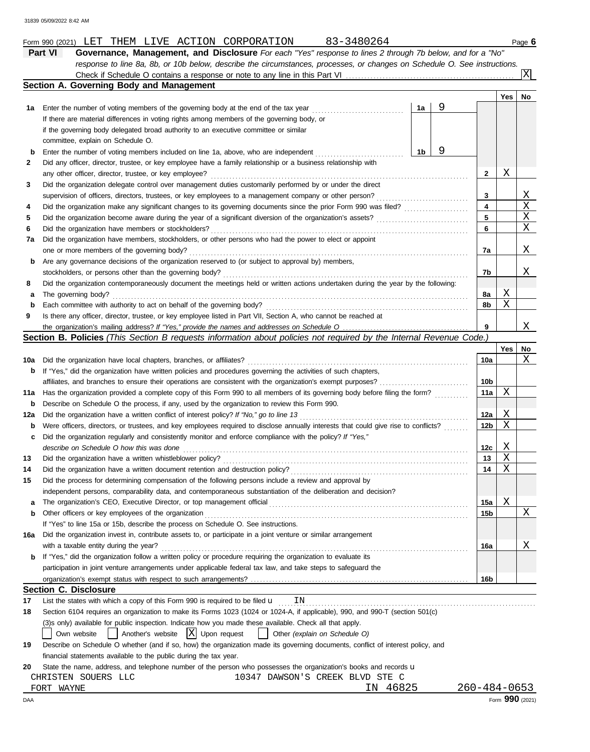|        | 83-3480264<br>Form 990 (2021) LET THEM LIVE ACTION CORPORATION                                                                                                                                                              |                         |             | Page 6                  |
|--------|-----------------------------------------------------------------------------------------------------------------------------------------------------------------------------------------------------------------------------|-------------------------|-------------|-------------------------|
|        | Part VI<br>Governance, Management, and Disclosure For each "Yes" response to lines 2 through 7b below, and for a "No"                                                                                                       |                         |             |                         |
|        | response to line 8a, 8b, or 10b below, describe the circumstances, processes, or changes on Schedule O. See instructions.                                                                                                   |                         |             |                         |
|        |                                                                                                                                                                                                                             |                         |             | $\overline{\mathrm{x}}$ |
|        | Section A. Governing Body and Management                                                                                                                                                                                    |                         |             |                         |
|        |                                                                                                                                                                                                                             |                         | Yes         | No                      |
| 1а     | 9<br>1a<br>Enter the number of voting members of the governing body at the end of the tax year                                                                                                                              |                         |             |                         |
|        | If there are material differences in voting rights among members of the governing body, or                                                                                                                                  |                         |             |                         |
|        | if the governing body delegated broad authority to an executive committee or similar                                                                                                                                        |                         |             |                         |
|        | committee, explain on Schedule O.                                                                                                                                                                                           |                         |             |                         |
| b      | 9<br>1b<br>Enter the number of voting members included on line 1a, above, who are independent                                                                                                                               |                         |             |                         |
| 2      | Did any officer, director, trustee, or key employee have a family relationship or a business relationship with                                                                                                              |                         |             |                         |
|        | any other officer, director, trustee, or key employee?                                                                                                                                                                      | 2                       | Χ           |                         |
| 3      | Did the organization delegate control over management duties customarily performed by or under the direct                                                                                                                   | 3                       |             | Χ                       |
|        | supervision of officers, directors, trustees, or key employees to a management company or other person?<br>Did the organization make any significant changes to its governing documents since the prior Form 990 was filed? | $\overline{\mathbf{4}}$ |             | $\mathbf X$             |
| 4<br>5 | Did the organization become aware during the year of a significant diversion of the organization's assets?                                                                                                                  | 5                       |             | $\mathbf{X}$            |
| 6      | Did the organization have members or stockholders?                                                                                                                                                                          | 6                       |             | X                       |
| 7a     | Did the organization have members, stockholders, or other persons who had the power to elect or appoint                                                                                                                     |                         |             |                         |
|        | one or more members of the governing body?                                                                                                                                                                                  | 7a                      |             | X                       |
| b      | Are any governance decisions of the organization reserved to (or subject to approval by) members,                                                                                                                           |                         |             |                         |
|        | stockholders, or persons other than the governing body?                                                                                                                                                                     | 7b                      |             | Χ                       |
| 8      | Did the organization contemporaneously document the meetings held or written actions undertaken during the year by the following:                                                                                           |                         |             |                         |
| а      | The governing body?                                                                                                                                                                                                         | 8а                      | Χ           |                         |
| b      | Each committee with authority to act on behalf of the governing body?                                                                                                                                                       | 8b                      | $\mathbf X$ |                         |
| 9      | Is there any officer, director, trustee, or key employee listed in Part VII, Section A, who cannot be reached at                                                                                                            |                         |             |                         |
|        | the organization's mailing address? If "Yes," provide the names and addresses on Schedule O                                                                                                                                 | 9                       |             | X.                      |
|        | Section B. Policies (This Section B requests information about policies not required by the Internal Revenue Code.)                                                                                                         |                         |             |                         |
|        |                                                                                                                                                                                                                             |                         | Yes         | No                      |
| 10a    | Did the organization have local chapters, branches, or affiliates?                                                                                                                                                          | 10a                     |             | Χ                       |
| b      | If "Yes," did the organization have written policies and procedures governing the activities of such chapters,                                                                                                              |                         |             |                         |
|        | affiliates, and branches to ensure their operations are consistent with the organization's exempt purposes?                                                                                                                 | 10b                     |             |                         |
| 11a    | Has the organization provided a complete copy of this Form 990 to all members of its governing body before filing the form?                                                                                                 | 11a                     | Χ           |                         |
| b      | Describe on Schedule O the process, if any, used by the organization to review this Form 990.                                                                                                                               |                         |             |                         |
| 12a    | Did the organization have a written conflict of interest policy? If "No," go to line 13                                                                                                                                     | 12a                     | Χ           |                         |
| b      | Were officers, directors, or trustees, and key employees required to disclose annually interests that could give rise to conflicts?                                                                                         | 12 <sub>b</sub>         | X           |                         |
| c      | Did the organization regularly and consistently monitor and enforce compliance with the policy? If "Yes,"                                                                                                                   |                         |             |                         |
|        | describe on Schedule O how this was done                                                                                                                                                                                    | 12c                     | Χ           |                         |
| 13     | Did the organization have a written whistleblower policy?                                                                                                                                                                   | 13                      | Χ           |                         |
| 14     | Did the organization have a written document retention and destruction policy?                                                                                                                                              | 14                      | Χ           |                         |
| 15     | Did the process for determining compensation of the following persons include a review and approval by                                                                                                                      |                         |             |                         |
|        | independent persons, comparability data, and contemporaneous substantiation of the deliberation and decision?                                                                                                               |                         |             |                         |
| а      | The organization's CEO, Executive Director, or top management official                                                                                                                                                      | 15a                     | Χ           |                         |
| b      | Other officers or key employees of the organization                                                                                                                                                                         | 15b                     |             | Χ                       |
|        | If "Yes" to line 15a or 15b, describe the process on Schedule O. See instructions.                                                                                                                                          |                         |             |                         |
| 16a    | Did the organization invest in, contribute assets to, or participate in a joint venture or similar arrangement                                                                                                              |                         |             |                         |
|        | with a taxable entity during the year?                                                                                                                                                                                      | 16a                     |             | Χ                       |
| b      | If "Yes," did the organization follow a written policy or procedure requiring the organization to evaluate its                                                                                                              |                         |             |                         |
|        | participation in joint venture arrangements under applicable federal tax law, and take steps to safeguard the                                                                                                               |                         |             |                         |
|        |                                                                                                                                                                                                                             | 16b                     |             |                         |
|        | <b>Section C. Disclosure</b>                                                                                                                                                                                                |                         |             |                         |
| 17     | ΙN<br>List the states with which a copy of this Form 990 is required to be filed $\bigcup$                                                                                                                                  |                         |             |                         |
| 18     | Section 6104 requires an organization to make its Forms 1023 (1024 or 1024-A, if applicable), 990, and 990-T (section 501(c)                                                                                                |                         |             |                         |
|        | (3) sonly) available for public inspection. Indicate how you made these available. Check all that apply.                                                                                                                    |                         |             |                         |
|        | X <br>Upon request<br>Own website<br>Another's website<br>Other (explain on Schedule O)                                                                                                                                     |                         |             |                         |
| 19     | Describe on Schedule O whether (and if so, how) the organization made its governing documents, conflict of interest policy, and                                                                                             |                         |             |                         |
|        | financial statements available to the public during the tax year.                                                                                                                                                           |                         |             |                         |
| 20     | State the name, address, and telephone number of the person who possesses the organization's books and records <b>u</b><br>CHRISTEN SOUERS LLC<br>10347 DAWSON'S CREEK BLVD STE C                                           |                         |             |                         |
|        | FORT WAYNE<br>ΙN<br>46825                                                                                                                                                                                                   | $260 - 484 - 0653$      |             |                         |
| DAA    |                                                                                                                                                                                                                             |                         |             | Form 990 (2021)         |
|        |                                                                                                                                                                                                                             |                         |             |                         |

| 83-348026 |  |  |
|-----------|--|--|
|-----------|--|--|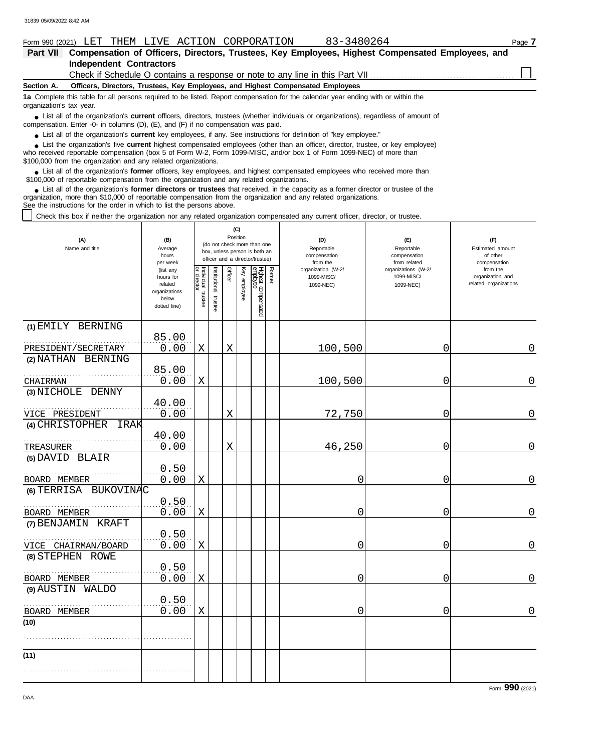| 31839 05/09/2022 8:42 AM                                                                                                                                                                                                                                                                                                        |                                                                             |                                   |                          |          |              |                                                                                                 |        |                                                                                                  |                                                   |                                                       |
|---------------------------------------------------------------------------------------------------------------------------------------------------------------------------------------------------------------------------------------------------------------------------------------------------------------------------------|-----------------------------------------------------------------------------|-----------------------------------|--------------------------|----------|--------------|-------------------------------------------------------------------------------------------------|--------|--------------------------------------------------------------------------------------------------|---------------------------------------------------|-------------------------------------------------------|
| Form 990 (2021) LET THEM LIVE ACTION CORPORATION                                                                                                                                                                                                                                                                                |                                                                             |                                   |                          |          |              |                                                                                                 |        | 83-3480264                                                                                       |                                                   | Page 7                                                |
| Part VII                                                                                                                                                                                                                                                                                                                        |                                                                             |                                   |                          |          |              |                                                                                                 |        | Compensation of Officers, Directors, Trustees, Key Employees, Highest Compensated Employees, and |                                                   |                                                       |
| <b>Independent Contractors</b>                                                                                                                                                                                                                                                                                                  |                                                                             |                                   |                          |          |              |                                                                                                 |        |                                                                                                  |                                                   |                                                       |
| Section A.                                                                                                                                                                                                                                                                                                                      |                                                                             |                                   |                          |          |              |                                                                                                 |        | Officers, Directors, Trustees, Key Employees, and Highest Compensated Employees                  |                                                   |                                                       |
| 1a Complete this table for all persons required to be listed. Report compensation for the calendar year ending with or within the<br>organization's tax year.                                                                                                                                                                   |                                                                             |                                   |                          |          |              |                                                                                                 |        |                                                                                                  |                                                   |                                                       |
| • List all of the organization's current officers, directors, trustees (whether individuals or organizations), regardless of amount of<br>compensation. Enter -0- in columns (D), (E), and (F) if no compensation was paid.                                                                                                     |                                                                             |                                   |                          |          |              |                                                                                                 |        |                                                                                                  |                                                   |                                                       |
| • List all of the organization's current key employees, if any. See instructions for definition of "key employee."                                                                                                                                                                                                              |                                                                             |                                   |                          |          |              |                                                                                                 |        |                                                                                                  |                                                   |                                                       |
| • List the organization's five current highest compensated employees (other than an officer, director, trustee, or key employee)<br>who received reportable compensation (box 5 of Form W-2, Form 1099-MISC, and/or box 1 of Form 1099-NEC) of more than<br>\$100,000 from the organization and any related organizations.      |                                                                             |                                   |                          |          |              |                                                                                                 |        |                                                                                                  |                                                   |                                                       |
| • List all of the organization's former officers, key employees, and highest compensated employees who received more than<br>\$100,000 of reportable compensation from the organization and any related organizations.                                                                                                          |                                                                             |                                   |                          |          |              |                                                                                                 |        |                                                                                                  |                                                   |                                                       |
| List all of the organization's former directors or trustees that received, in the capacity as a former director or trustee of the<br>organization, more than \$10,000 of reportable compensation from the organization and any related organizations.<br>See the instructions for the order in which to list the persons above. |                                                                             |                                   |                          |          |              |                                                                                                 |        |                                                                                                  |                                                   |                                                       |
| Check this box if neither the organization nor any related organization compensated any current officer, director, or trustee.                                                                                                                                                                                                  |                                                                             |                                   |                          |          |              |                                                                                                 |        |                                                                                                  |                                                   |                                                       |
| (A)<br>Name and title                                                                                                                                                                                                                                                                                                           | (B)<br>Average<br>hours<br>per week                                         |                                   |                          | Position | (C)          | (do not check more than one<br>box, unless person is both an<br>officer and a director/trustee) |        | (D)<br>Reportable<br>compensation<br>from the                                                    | (F)<br>Reportable<br>compensation<br>from related | (F)<br>Estimated amount<br>of other<br>compensation   |
|                                                                                                                                                                                                                                                                                                                                 | (list any<br>hours for<br>related<br>organizations<br>below<br>dotted line) | Individual trustee<br>or director | Institutional<br>trustee | Officer  | Key employee | Highest compensated<br>employee                                                                 | Former | organization (W-2/<br>1099-MISC/<br>1099-NEC)                                                    | organizations (W-2/<br>1099-MISC/<br>1099-NEC)    | from the<br>organization and<br>related organizations |
| (1) EMILY BERNING                                                                                                                                                                                                                                                                                                               |                                                                             |                                   |                          |          |              |                                                                                                 |        |                                                                                                  |                                                   |                                                       |
| PRESIDENT/SECRETARY                                                                                                                                                                                                                                                                                                             | 85.00<br>0.00                                                               | Χ                                 |                          | Χ        |              |                                                                                                 |        | 100,500                                                                                          | 0                                                 | 0                                                     |
| $(2)$ NATHAN<br>BERNING                                                                                                                                                                                                                                                                                                         |                                                                             |                                   |                          |          |              |                                                                                                 |        |                                                                                                  |                                                   |                                                       |
| CHAIRMAN                                                                                                                                                                                                                                                                                                                        | 85.00<br>0.00                                                               | X                                 |                          |          |              |                                                                                                 |        | 100,500                                                                                          | 0                                                 | 0                                                     |
| (3) NICHOLE DENNY                                                                                                                                                                                                                                                                                                               |                                                                             |                                   |                          |          |              |                                                                                                 |        |                                                                                                  |                                                   |                                                       |
| VICE PRESIDENT                                                                                                                                                                                                                                                                                                                  | 40.00<br>0.00                                                               |                                   |                          | Χ        |              |                                                                                                 |        | 72,750                                                                                           | 0                                                 | 0                                                     |
| (4) CHRISTOPHER<br>IRAK                                                                                                                                                                                                                                                                                                         |                                                                             |                                   |                          |          |              |                                                                                                 |        |                                                                                                  |                                                   |                                                       |
| TREASURER                                                                                                                                                                                                                                                                                                                       | 40.00<br>0.00                                                               |                                   |                          | Χ        |              |                                                                                                 |        | 46,250                                                                                           | 0                                                 | 0                                                     |
| (5) DAVID BLAIR                                                                                                                                                                                                                                                                                                                 |                                                                             |                                   |                          |          |              |                                                                                                 |        |                                                                                                  |                                                   |                                                       |
| BOARD MEMBER                                                                                                                                                                                                                                                                                                                    | 0.50<br>0.00                                                                | Χ                                 |                          |          |              |                                                                                                 |        | 0                                                                                                | 0                                                 | 0                                                     |
| (6) TERRISA BUKOVINAC                                                                                                                                                                                                                                                                                                           |                                                                             |                                   |                          |          |              |                                                                                                 |        |                                                                                                  |                                                   |                                                       |

**(7)** BENJAMIN KRAFT **(8)** STEPHEN ROWE **(9)** AUSTIN WALDO . . . . . . . . . . . . . . . . . . . . . . . . . . . . . . . . . . . . . . . . . . . . . . . . . . . . . . . BOARD MEMBER . . . . . . . . . . . . . . . . . . . . . . . . . . . . . . . . . . . . . . . . . . . . . . . . . . . . . . . VICE CHAIRMAN/BOARD . . . . . . . . . . . . . . . . . . . . . . . . . . . . . . . . . . . . . . . . . . . . . . . . . . . . . . . BOARD MEMBER . . . . . . . . . . . . . . . . . . . . . . . . . . . . . . . . . . . . . . . . . . . . . . . . . . . . . . . BOARD MEMBER . . . . . . . . . . . . . . . . . . . . . . . . . . . . . . . . . . . . . . . . . . . . . . . . . . . . . . . . . . . . . . . . . . . . . . . . . . . . . . . . . . . . . . . . . . . . . . . . . . . . . . . . . . . . .  $0.50$ <br> $0.00$ 0.00 X 0 0 0 0 0 0 0 0  $\frac{0.50}{0.00}$ 0.00 X 0 0 0 0 0 0 0  $\frac{0.50}{0.00}$ 0.00 X 0 0 0 0 0 0 0  $\frac{0.50}{0.00}$ 0.00 X 0 0 0 0 0 0 0 0

Form **990** (2021)

**(10)**

**(11)**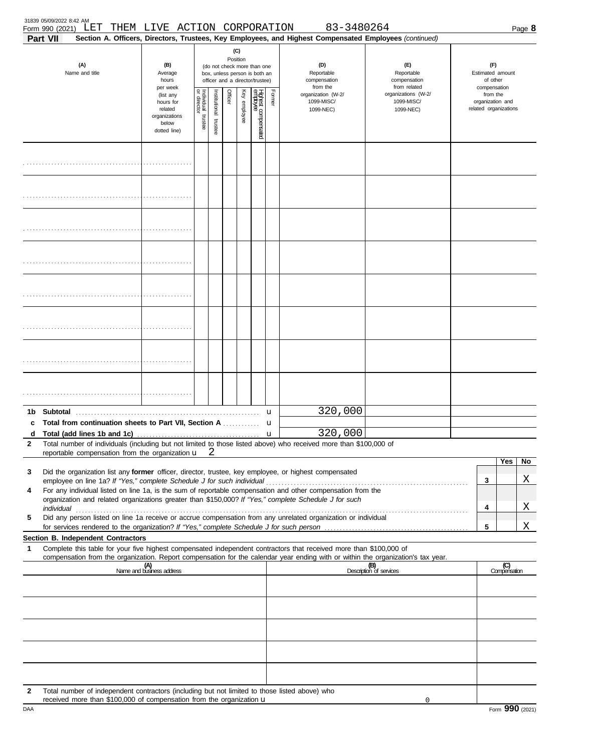| Form 990 (2021) LET<br>Part VII                                                                                                                                                                                                                             | THEM LIVE ACTION CORPORATION                                                            |                                   |                          |         |                 |                                                                                                 |        | 83-3480264<br>Section A. Officers, Directors, Trustees, Key Employees, and Highest Compensated Employees (continued) |                                                                |                                              |                       | Page 8 |
|-------------------------------------------------------------------------------------------------------------------------------------------------------------------------------------------------------------------------------------------------------------|-----------------------------------------------------------------------------------------|-----------------------------------|--------------------------|---------|-----------------|-------------------------------------------------------------------------------------------------|--------|----------------------------------------------------------------------------------------------------------------------|----------------------------------------------------------------|----------------------------------------------|-----------------------|--------|
| (A)<br>Name and title                                                                                                                                                                                                                                       | (B)<br>Average<br>hours                                                                 |                                   |                          |         | (C)<br>Position | (do not check more than one<br>box, unless person is both an<br>officer and a director/trustee) |        | (D)<br>Reportable<br>compensation                                                                                    | (F)<br>Reportable<br>compensation                              | (F)<br>Estimated amount<br>of other          |                       |        |
|                                                                                                                                                                                                                                                             | per week<br>(list any<br>hours for<br>related<br>organizations<br>below<br>dotted line) | Individual trustee<br>or director | Institutional<br>trustee | Officer | Key employee    | Highest compensated<br>empbyee                                                                  | Former | from the<br>organization (W-2/<br>1099-MISC/<br>1099-NEC)                                                            | from related<br>organizations (W-2/<br>1099-MISC/<br>1099-NEC) | compensation<br>from the<br>organization and | related organizations |        |
|                                                                                                                                                                                                                                                             |                                                                                         |                                   |                          |         |                 |                                                                                                 |        |                                                                                                                      |                                                                |                                              |                       |        |
|                                                                                                                                                                                                                                                             |                                                                                         |                                   |                          |         |                 |                                                                                                 |        |                                                                                                                      |                                                                |                                              |                       |        |
|                                                                                                                                                                                                                                                             |                                                                                         |                                   |                          |         |                 |                                                                                                 |        |                                                                                                                      |                                                                |                                              |                       |        |
|                                                                                                                                                                                                                                                             |                                                                                         |                                   |                          |         |                 |                                                                                                 |        |                                                                                                                      |                                                                |                                              |                       |        |
|                                                                                                                                                                                                                                                             |                                                                                         |                                   |                          |         |                 |                                                                                                 |        |                                                                                                                      |                                                                |                                              |                       |        |
|                                                                                                                                                                                                                                                             |                                                                                         |                                   |                          |         |                 |                                                                                                 |        |                                                                                                                      |                                                                |                                              |                       |        |
|                                                                                                                                                                                                                                                             |                                                                                         |                                   |                          |         |                 |                                                                                                 |        |                                                                                                                      |                                                                |                                              |                       |        |
|                                                                                                                                                                                                                                                             |                                                                                         |                                   |                          |         |                 |                                                                                                 |        |                                                                                                                      |                                                                |                                              |                       |        |
| c Total from continuation sheets to Part VII. Section A<br>d                                                                                                                                                                                                |                                                                                         |                                   |                          |         |                 |                                                                                                 | u<br>U | 320,000<br>320,000                                                                                                   |                                                                |                                              |                       |        |
| Total number of individuals (including but not limited to those listed above) who received more than \$100,000 of<br>2                                                                                                                                      |                                                                                         |                                   |                          |         |                 |                                                                                                 |        |                                                                                                                      |                                                                |                                              |                       |        |
| reportable compensation from the organization $\mu$ 2                                                                                                                                                                                                       |                                                                                         |                                   |                          |         |                 |                                                                                                 |        |                                                                                                                      |                                                                |                                              | Yes                   | No     |
| Did the organization list any former officer, director, trustee, key employee, or highest compensated<br>3                                                                                                                                                  |                                                                                         |                                   |                          |         |                 |                                                                                                 |        |                                                                                                                      |                                                                | 3                                            |                       | Χ      |
| For any individual listed on line 1a, is the sum of reportable compensation and other compensation from the<br>4                                                                                                                                            |                                                                                         |                                   |                          |         |                 |                                                                                                 |        |                                                                                                                      |                                                                |                                              |                       |        |
| organization and related organizations greater than \$150,000? If "Yes," complete Schedule J for such                                                                                                                                                       |                                                                                         |                                   |                          |         |                 |                                                                                                 |        |                                                                                                                      |                                                                | 4                                            |                       | Χ      |
| Did any person listed on line 1a receive or accrue compensation from any unrelated organization or individual<br>5                                                                                                                                          |                                                                                         |                                   |                          |         |                 |                                                                                                 |        |                                                                                                                      |                                                                | 5                                            |                       | Χ      |
| Section B. Independent Contractors                                                                                                                                                                                                                          |                                                                                         |                                   |                          |         |                 |                                                                                                 |        |                                                                                                                      |                                                                |                                              |                       |        |
| Complete this table for your five highest compensated independent contractors that received more than \$100,000 of<br>1<br>compensation from the organization. Report compensation for the calendar year ending with or within the organization's tax year. |                                                                                         |                                   |                          |         |                 |                                                                                                 |        |                                                                                                                      |                                                                |                                              |                       |        |
|                                                                                                                                                                                                                                                             | (A)<br>Name and business address                                                        |                                   |                          |         |                 |                                                                                                 |        |                                                                                                                      | (B)<br>Description of services                                 |                                              | (C)<br>Compensation   |        |
|                                                                                                                                                                                                                                                             |                                                                                         |                                   |                          |         |                 |                                                                                                 |        |                                                                                                                      |                                                                |                                              |                       |        |
|                                                                                                                                                                                                                                                             |                                                                                         |                                   |                          |         |                 |                                                                                                 |        |                                                                                                                      |                                                                |                                              |                       |        |
|                                                                                                                                                                                                                                                             |                                                                                         |                                   |                          |         |                 |                                                                                                 |        |                                                                                                                      |                                                                |                                              |                       |        |
|                                                                                                                                                                                                                                                             |                                                                                         |                                   |                          |         |                 |                                                                                                 |        |                                                                                                                      |                                                                |                                              |                       |        |
| Total number of independent contractors (including but not limited to those listed above) who<br>2<br>received more than \$100,000 of compensation from the organization u                                                                                  |                                                                                         |                                   |                          |         |                 |                                                                                                 |        |                                                                                                                      | 0                                                              |                                              |                       |        |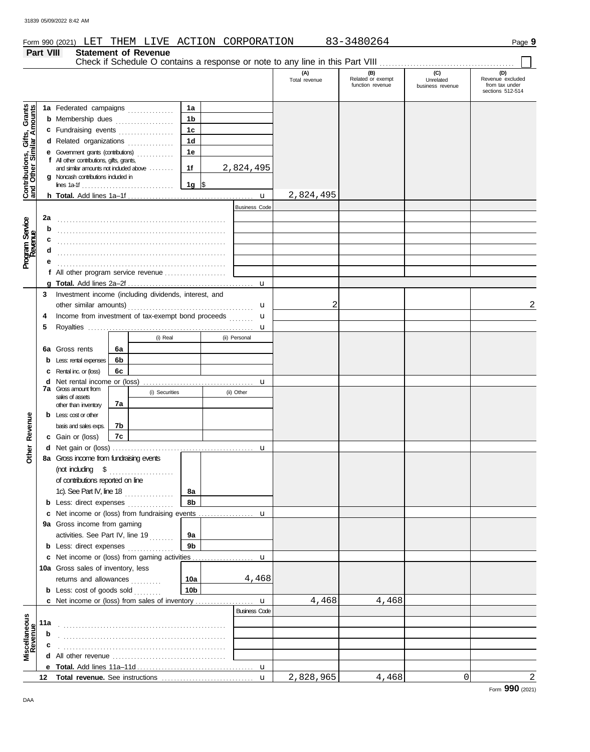# Form 990 (2021) LET THEM LIVE ACTION CORPORATION 83-3480264 Page **9 Part VIII Statement of Revenue** Check if Schedule O contains a response or note to any line in this Part VIII . . . . . . . . . . . . . . . . . . . . . . . . . . . . . . . . . . . . . . . . . . . .

|                                                                  |     |                                                                                                |          |                |                 |                      | (A)<br>Total revenue | (B)<br>Related or exempt<br>function revenue | (C)<br>Unrelated<br>business revenue | (D)<br>Revenue excluded<br>from tax under<br>sections 512-514 |
|------------------------------------------------------------------|-----|------------------------------------------------------------------------------------------------|----------|----------------|-----------------|----------------------|----------------------|----------------------------------------------|--------------------------------------|---------------------------------------------------------------|
|                                                                  |     | 1a Federated campaigns                                                                         |          |                | 1a              |                      |                      |                                              |                                      |                                                               |
|                                                                  |     |                                                                                                |          |                | 1 <sub>b</sub>  |                      |                      |                                              |                                      |                                                               |
|                                                                  |     | <b>b</b> Membership dues                                                                       |          |                | 1 <sub>c</sub>  |                      |                      |                                              |                                      |                                                               |
|                                                                  |     | c Fundraising events                                                                           |          |                |                 |                      |                      |                                              |                                      |                                                               |
|                                                                  |     | d Related organizations                                                                        |          |                | 1d              |                      |                      |                                              |                                      |                                                               |
|                                                                  |     | <b>e</b> Government grants (contributions)<br><b>f</b> All other contributions, gifts, grants, |          | .              | 1e              |                      |                      |                                              |                                      |                                                               |
| <b>Contributions, Gifts, Grants</b><br>and Other Similar Amounts |     | and similar amounts not induded above                                                          |          |                | 1f              | 2,824,495            |                      |                                              |                                      |                                                               |
|                                                                  |     | <b>q</b> Noncash contributions included in                                                     |          |                |                 |                      |                      |                                              |                                      |                                                               |
|                                                                  |     |                                                                                                |          |                | $1g$ \$         |                      |                      |                                              |                                      |                                                               |
|                                                                  |     |                                                                                                |          |                |                 | $\mathbf u$          | 2,824,495            |                                              |                                      |                                                               |
|                                                                  |     |                                                                                                |          |                |                 | <b>Business Code</b> |                      |                                              |                                      |                                                               |
|                                                                  | 2a  |                                                                                                |          |                |                 |                      |                      |                                              |                                      |                                                               |
| Program Service<br>Revenue                                       | b   |                                                                                                |          |                |                 |                      |                      |                                              |                                      |                                                               |
|                                                                  |     |                                                                                                |          |                |                 |                      |                      |                                              |                                      |                                                               |
|                                                                  |     |                                                                                                |          |                |                 |                      |                      |                                              |                                      |                                                               |
|                                                                  |     |                                                                                                |          |                |                 |                      |                      |                                              |                                      |                                                               |
|                                                                  |     | f All other program service revenue                                                            |          |                |                 |                      |                      |                                              |                                      |                                                               |
|                                                                  |     |                                                                                                |          |                |                 |                      |                      |                                              |                                      |                                                               |
|                                                                  | 3   | Investment income (including dividends, interest, and                                          |          |                |                 |                      |                      |                                              |                                      |                                                               |
|                                                                  |     |                                                                                                |          |                |                 | u                    | 2                    |                                              |                                      | 2                                                             |
|                                                                  | 4   | Income from investment of tax-exempt bond proceeds                                             |          |                |                 | u                    |                      |                                              |                                      |                                                               |
|                                                                  | 5   |                                                                                                |          |                |                 | u                    |                      |                                              |                                      |                                                               |
|                                                                  |     |                                                                                                |          | (i) Real       |                 | (ii) Personal        |                      |                                              |                                      |                                                               |
|                                                                  |     | <b>6a</b> Gross rents                                                                          | 6a       |                |                 |                      |                      |                                              |                                      |                                                               |
|                                                                  | b   | Less: rental expenses                                                                          | 6b       |                |                 |                      |                      |                                              |                                      |                                                               |
|                                                                  | c   | Rental inc. or (loss)                                                                          | 6с       |                |                 |                      |                      |                                              |                                      |                                                               |
|                                                                  | d   | Net rental income or (loss)                                                                    |          |                |                 | u                    |                      |                                              |                                      |                                                               |
|                                                                  |     | <b>7a</b> Gross amount from                                                                    |          | (i) Securities |                 | (ii) Other           |                      |                                              |                                      |                                                               |
|                                                                  |     | sales of assets                                                                                |          |                |                 |                      |                      |                                              |                                      |                                                               |
|                                                                  |     | other than inventory                                                                           | 7a       |                |                 |                      |                      |                                              |                                      |                                                               |
| Revenue                                                          |     | $b$ Less: $\cos$ or other                                                                      |          |                |                 |                      |                      |                                              |                                      |                                                               |
|                                                                  |     | basis and sales exps.                                                                          | 7b<br>7c |                |                 |                      |                      |                                              |                                      |                                                               |
|                                                                  |     | <b>c</b> Gain or (loss)                                                                        |          |                |                 |                      |                      |                                              |                                      |                                                               |
| Other                                                            |     |                                                                                                |          |                |                 | u                    |                      |                                              |                                      |                                                               |
|                                                                  |     | 8a Gross income from fundraising events                                                        |          |                |                 |                      |                      |                                              |                                      |                                                               |
|                                                                  |     | (not including \$                                                                              |          |                |                 |                      |                      |                                              |                                      |                                                               |
|                                                                  |     | of contributions reported on line                                                              |          |                |                 |                      |                      |                                              |                                      |                                                               |
|                                                                  |     | 1c). See Part IV, line 18                                                                      |          |                | 8a              |                      |                      |                                              |                                      |                                                               |
|                                                                  |     | <b>b</b> Less: direct expenses                                                                 |          |                | 8b              |                      |                      |                                              |                                      |                                                               |
|                                                                  | c   | Net income or (loss) from fundraising events                                                   |          |                |                 | u                    |                      |                                              |                                      |                                                               |
|                                                                  |     | 9a Gross income from gaming                                                                    |          |                |                 |                      |                      |                                              |                                      |                                                               |
|                                                                  |     | activities. See Part IV, line 19                                                               |          |                | 9а              |                      |                      |                                              |                                      |                                                               |
|                                                                  |     | <b>b</b> Less: direct expenses                                                                 |          |                | 9 <sub>b</sub>  |                      |                      |                                              |                                      |                                                               |
|                                                                  |     |                                                                                                |          |                |                 | u                    |                      |                                              |                                      |                                                               |
|                                                                  |     | 10a Gross sales of inventory, less                                                             |          |                |                 |                      |                      |                                              |                                      |                                                               |
|                                                                  |     | returns and allowances                                                                         |          | .              | 10a             | 4,468                |                      |                                              |                                      |                                                               |
|                                                                  |     | <b>b</b> Less: cost of goods sold                                                              |          |                | 10 <sub>b</sub> |                      |                      |                                              |                                      |                                                               |
|                                                                  |     |                                                                                                |          |                |                 | $\mathbf{u}$         | 4,468                | 4,468                                        |                                      |                                                               |
|                                                                  |     |                                                                                                |          |                |                 | <b>Business Code</b> |                      |                                              |                                      |                                                               |
|                                                                  | 11a |                                                                                                |          |                |                 |                      |                      |                                              |                                      |                                                               |
| Miscellaneous<br>Revenue                                         | b   |                                                                                                |          |                |                 |                      |                      |                                              |                                      |                                                               |
|                                                                  |     |                                                                                                |          |                |                 |                      |                      |                                              |                                      |                                                               |
|                                                                  | d   |                                                                                                |          |                |                 |                      |                      |                                              |                                      |                                                               |
|                                                                  | е   |                                                                                                |          |                |                 |                      |                      |                                              |                                      |                                                               |
|                                                                  | 12  |                                                                                                |          |                |                 | $\mathbf{u}$         | 2,828,965            | 4,468                                        | 0                                    | 2                                                             |
|                                                                  |     |                                                                                                |          |                |                 |                      |                      |                                              |                                      | nnn                                                           |

Form **990** (2021)

П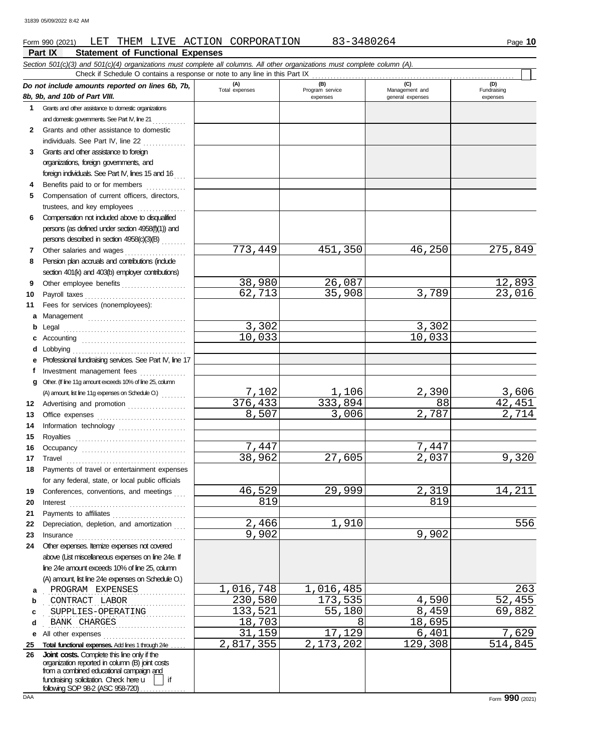## Form 990 (2021) LET THEM LIVE ACTION CORPORATION 83-3480264 Page **10**

**Part IX Statement of Functional Expenses** *Section 501(c)(3) and 501(c)(4) organizations must complete all columns. All other organizations must complete column (A).* Check if Schedule O contains a response or note to any line in this Part IX

|             | Check if Schedule O contains a response or note to any line in this Part IX                    |                         |                                    |                                           |                                |  |  |  |  |  |
|-------------|------------------------------------------------------------------------------------------------|-------------------------|------------------------------------|-------------------------------------------|--------------------------------|--|--|--|--|--|
|             | Do not include amounts reported on lines 6b, 7b,<br>8b, 9b, and 10b of Part VIII.              | (A)<br>Total expenses   | (B)<br>Program service<br>expenses | (C)<br>Management and<br>general expenses | (D)<br>Fundraising<br>expenses |  |  |  |  |  |
| $\mathbf 1$ | Grants and other assistance to domestic organizations                                          |                         |                                    |                                           |                                |  |  |  |  |  |
|             | and domestic governments. See Part IV, line 21                                                 |                         |                                    |                                           |                                |  |  |  |  |  |
| 2           | Grants and other assistance to domestic                                                        |                         |                                    |                                           |                                |  |  |  |  |  |
|             | individuals. See Part IV, line 22                                                              |                         |                                    |                                           |                                |  |  |  |  |  |
| 3           | Grants and other assistance to foreign                                                         |                         |                                    |                                           |                                |  |  |  |  |  |
|             | organizations, foreign governments, and                                                        |                         |                                    |                                           |                                |  |  |  |  |  |
|             | foreign individuals. See Part IV, lines 15 and 16                                              |                         |                                    |                                           |                                |  |  |  |  |  |
| 4           | Benefits paid to or for members                                                                |                         |                                    |                                           |                                |  |  |  |  |  |
| 5           | Compensation of current officers, directors,                                                   |                         |                                    |                                           |                                |  |  |  |  |  |
|             | trustees, and key employees                                                                    |                         |                                    |                                           |                                |  |  |  |  |  |
| 6           | Compensation not included above to disqualified                                                |                         |                                    |                                           |                                |  |  |  |  |  |
|             | persons (as defined under section 4958(f)(1)) and                                              |                         |                                    |                                           |                                |  |  |  |  |  |
|             | persons described in section 4958(c)(3)(B)                                                     |                         |                                    |                                           |                                |  |  |  |  |  |
| 7           | Other salaries and wages                                                                       | 773,449                 | 451,350                            | 46,250                                    | 275,849                        |  |  |  |  |  |
| 8           | Pension plan accruals and contributions (include                                               |                         |                                    |                                           |                                |  |  |  |  |  |
|             | section 401(k) and 403(b) employer contributions)                                              |                         |                                    |                                           |                                |  |  |  |  |  |
| 9           | Other employee benefits                                                                        | 38,980                  | 26,087                             |                                           | 12,893<br>23,016               |  |  |  |  |  |
| 10          |                                                                                                | 62,713                  | 35,908                             | 3,789                                     |                                |  |  |  |  |  |
| 11          | Fees for services (nonemployees):                                                              |                         |                                    |                                           |                                |  |  |  |  |  |
| a           |                                                                                                | 3,302                   |                                    | 3,302                                     |                                |  |  |  |  |  |
| b<br>c      |                                                                                                | 10,033                  |                                    | 10,033                                    |                                |  |  |  |  |  |
| d           | Lobbying                                                                                       |                         |                                    |                                           |                                |  |  |  |  |  |
| е           | Professional fundraising services. See Part IV, line 17                                        |                         |                                    |                                           |                                |  |  |  |  |  |
| f           | Investment management fees<br>.                                                                |                         |                                    |                                           |                                |  |  |  |  |  |
| a           | Other. (If line 11g amount exceeds 10% of line 25, column                                      |                         |                                    |                                           |                                |  |  |  |  |  |
|             |                                                                                                |                         |                                    | <u>2,390</u>                              |                                |  |  |  |  |  |
| 12          | Advertising and promotion                                                                      | $\frac{7,102}{376,433}$ | $\frac{1,106}{333,894}$            | $\overline{88}$                           | $\frac{3,606}{42,451}$         |  |  |  |  |  |
| 13          |                                                                                                | 8,507                   | 3,006                              | 2,787                                     | $\overline{2,714}$             |  |  |  |  |  |
| 14          | Information technology                                                                         |                         |                                    |                                           |                                |  |  |  |  |  |
| 15          |                                                                                                |                         |                                    |                                           |                                |  |  |  |  |  |
| 16          |                                                                                                | 7,447                   |                                    | 7,447                                     |                                |  |  |  |  |  |
| 17          | Travel                                                                                         | 38,962                  | 27,605                             | 2,037                                     | 9,320                          |  |  |  |  |  |
| 18          | Payments of travel or entertainment expenses                                                   |                         |                                    |                                           |                                |  |  |  |  |  |
|             | for any federal, state, or local public officials                                              |                         |                                    |                                           |                                |  |  |  |  |  |
| 19          | Conferences, conventions, and meetings                                                         | 46,529<br>819           | 29,999                             | 2,319<br>819                              | 14,211                         |  |  |  |  |  |
| 20<br>21    | Interest<br>Payments to affiliates                                                             |                         |                                    |                                           |                                |  |  |  |  |  |
| 22          | Depreciation, depletion, and amortization                                                      | 2,466                   | 1,910                              |                                           | 556                            |  |  |  |  |  |
| 23          |                                                                                                | $\frac{1}{9,902}$       |                                    | 9,902                                     |                                |  |  |  |  |  |
| 24          | Other expenses. Itemize expenses not covered                                                   |                         |                                    |                                           |                                |  |  |  |  |  |
|             | above (List miscellaneous expenses on line 24e. If                                             |                         |                                    |                                           |                                |  |  |  |  |  |
|             | line 24e amount exceeds 10% of line 25, column                                                 |                         |                                    |                                           |                                |  |  |  |  |  |
|             | (A) amount, list line 24e expenses on Schedule O.)                                             |                         |                                    |                                           |                                |  |  |  |  |  |
| a           | PROGRAM EXPENSES                                                                               | 1,016,748               | 1,016,485                          |                                           | 263                            |  |  |  |  |  |
| b           | CONTRACT LABOR                                                                                 | 230,580                 | 173,535                            | 4,590                                     | 52,455                         |  |  |  |  |  |
| c           | SUPPLIES-OPERATING                                                                             | 133,521                 | 55,180                             | 8,459                                     | 69,882                         |  |  |  |  |  |
| d           | BANK CHARGES                                                                                   | 18,703                  | 8                                  | 18,695                                    |                                |  |  |  |  |  |
| е           | All other expenses                                                                             | 31,159                  | 17,129                             | 6,401                                     | 7,629                          |  |  |  |  |  |
| 25          | Total functional expenses. Add lines 1 through 24e                                             | 2,817,355               | 2,173,202                          | 129,308                                   | 514,845                        |  |  |  |  |  |
| 26          | Joint costs. Complete this line only if the<br>organization reported in column (B) joint costs |                         |                                    |                                           |                                |  |  |  |  |  |
|             | from a combined educational campaign and                                                       |                         |                                    |                                           |                                |  |  |  |  |  |
|             | fundraising solicitation. Check here u<br>if<br>following SOP 98-2 (ASC 958-720)               |                         |                                    |                                           |                                |  |  |  |  |  |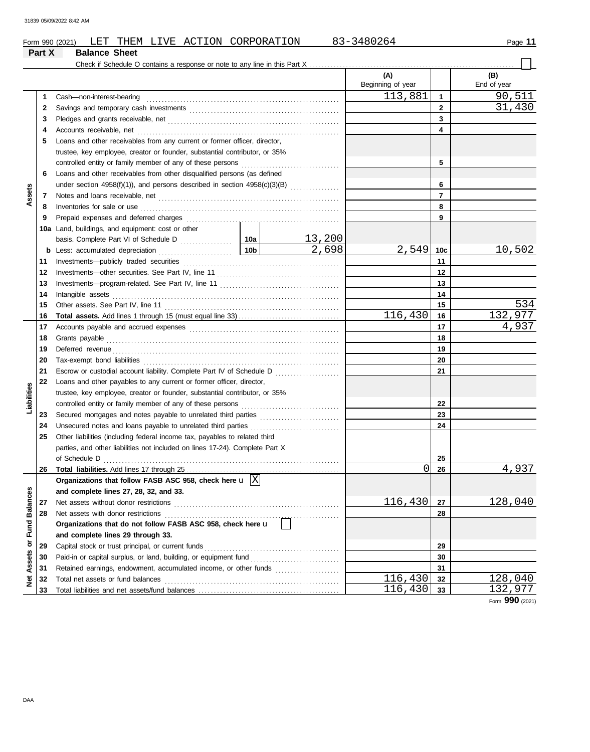|               |        | THEM LIVE ACTION CORPORATION<br>LET<br>Form 990 (2021)                                                                                                                                                                         |        | 83-3480264               |                 | Page 11            |
|---------------|--------|--------------------------------------------------------------------------------------------------------------------------------------------------------------------------------------------------------------------------------|--------|--------------------------|-----------------|--------------------|
|               | Part X | <b>Balance Sheet</b>                                                                                                                                                                                                           |        |                          |                 |                    |
|               |        |                                                                                                                                                                                                                                |        |                          |                 |                    |
|               |        |                                                                                                                                                                                                                                |        | (A)<br>Beginning of year |                 | (B)<br>End of year |
|               | 1      | Cash-non-interest-bearing                                                                                                                                                                                                      |        | 113,881                  | $\mathbf{1}$    | 90,511             |
|               | 2      |                                                                                                                                                                                                                                |        |                          | $\mathbf{2}$    | 31,430             |
|               | 3      |                                                                                                                                                                                                                                |        |                          | 3               |                    |
|               | 4      |                                                                                                                                                                                                                                |        |                          | 4               |                    |
|               | 5      | Loans and other receivables from any current or former officer, director,                                                                                                                                                      |        |                          |                 |                    |
|               |        | trustee, key employee, creator or founder, substantial contributor, or 35%                                                                                                                                                     |        |                          |                 |                    |
|               |        |                                                                                                                                                                                                                                |        |                          | 5               |                    |
|               | 6      | Loans and other receivables from other disqualified persons (as defined                                                                                                                                                        |        |                          |                 |                    |
|               |        | under section $4958(f)(1)$ ), and persons described in section $4958(c)(3)(B)$ <sub>1</sub> , , , ,                                                                                                                            |        |                          | 6               |                    |
| Assets        | 7      |                                                                                                                                                                                                                                |        |                          | $\overline{7}$  |                    |
|               | 8      | Inventories for sale or use                                                                                                                                                                                                    |        |                          | 8               |                    |
|               | 9      | Prepaid expenses and deferred charges                                                                                                                                                                                          |        |                          | 9               |                    |
|               |        | 10a Land, buildings, and equipment: cost or other                                                                                                                                                                              |        |                          |                 |                    |
|               |        |                                                                                                                                                                                                                                | 13,200 |                          |                 |                    |
|               | b      | <u>  10b  </u><br>Less: accumulated depreciation                                                                                                                                                                               | 2,698  | 2,549                    | 10 <sub>c</sub> | 10,502             |
|               | 11     | Investments-publicly traded securities                                                                                                                                                                                         |        | 11                       |                 |                    |
|               | 12     |                                                                                                                                                                                                                                |        |                          | 12              |                    |
|               | 13     |                                                                                                                                                                                                                                |        |                          | 13              |                    |
|               | 14     | Intangible assets                                                                                                                                                                                                              |        |                          | 14              |                    |
|               | 15     |                                                                                                                                                                                                                                |        |                          | 15              | 534                |
|               | 16     |                                                                                                                                                                                                                                |        | 116,430                  | 16              | 132,977            |
|               | 17     |                                                                                                                                                                                                                                |        |                          | 17              | 4,937              |
|               | 18     | Grants payable                                                                                                                                                                                                                 |        | 18                       |                 |                    |
|               | 19     | Deferred revenue contains and all the container and all the container and all the container and all the containing of the container and all the containing of the containing of the containing of the containing of the contai |        |                          | 19              |                    |
|               | 20     |                                                                                                                                                                                                                                |        |                          | 20              |                    |
|               | 21     |                                                                                                                                                                                                                                |        |                          | 21              |                    |
|               | 22     | Loans and other payables to any current or former officer, director,                                                                                                                                                           |        |                          |                 |                    |
|               |        | trustee, key employee, creator or founder, substantial contributor, or 35%                                                                                                                                                     |        |                          |                 |                    |
| Liabilities   |        |                                                                                                                                                                                                                                |        |                          | 22              |                    |
|               | 23     | Secured mortgages and notes payable to unrelated third parties [                                                                                                                                                               |        |                          | 23              |                    |
|               | 24     |                                                                                                                                                                                                                                |        |                          | 24              |                    |
|               | 25     | Other liabilities (including federal income tax, payables to related third                                                                                                                                                     |        |                          |                 |                    |
|               |        | parties, and other liabilities not included on lines 17-24). Complete Part X                                                                                                                                                   |        |                          |                 |                    |
|               | 26     | of Schedule D                                                                                                                                                                                                                  |        | 0                        | 25<br>26        | 4,937              |
|               |        | Organizations that follow FASB ASC 958, check here $\mathbf{u}$ $\overline{X}$                                                                                                                                                 |        |                          |                 |                    |
|               |        | and complete lines 27, 28, 32, and 33.                                                                                                                                                                                         |        |                          |                 |                    |
|               | 27     |                                                                                                                                                                                                                                |        | 116,430                  | 27              | 128,040            |
|               | 28     | Net assets with donor restrictions                                                                                                                                                                                             |        |                          | 28              |                    |
| Fund Balances |        | Organizations that do not follow FASB ASC 958, check here u                                                                                                                                                                    |        |                          |                 |                    |
|               |        | and complete lines 29 through 33.                                                                                                                                                                                              |        |                          |                 |                    |
|               | 29     | Capital stock or trust principal, or current funds                                                                                                                                                                             |        | 29                       |                 |                    |
|               | 30     | Paid-in or capital surplus, or land, building, or equipment fund                                                                                                                                                               |        |                          | 30              |                    |
| Assets or     | 31     | Retained earnings, endowment, accumulated income, or other funds                                                                                                                                                               |        |                          | 31              |                    |
| $\frac{1}{2}$ | 32     | Total net assets or fund balances                                                                                                                                                                                              |        | 116,430                  | 32              | 128,040            |
|               | 33     |                                                                                                                                                                                                                                |        | <u>116,430</u>           | 33              | 132,977            |

## Form **990** (2021)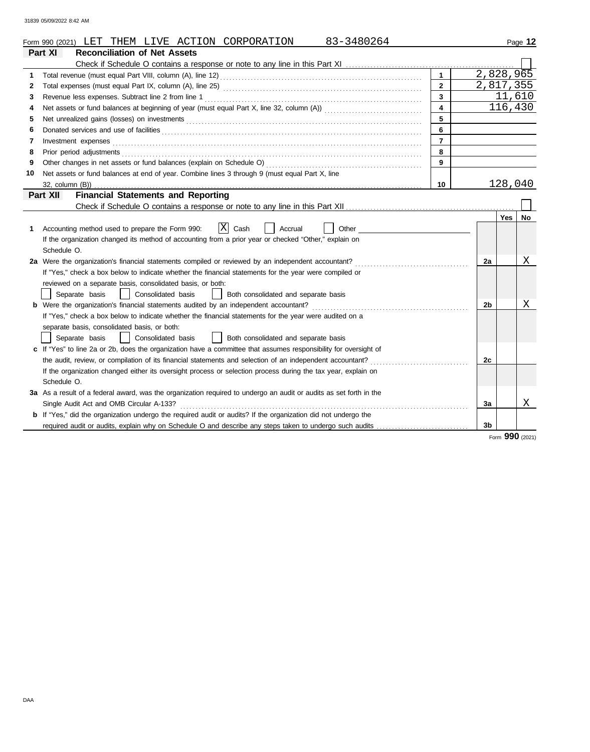|              | 83-3480264<br>Form 990 (2021) LET THEM LIVE ACTION CORPORATION                                                                                                                                                               |                         |                | Page 12    |
|--------------|------------------------------------------------------------------------------------------------------------------------------------------------------------------------------------------------------------------------------|-------------------------|----------------|------------|
|              | <b>Reconciliation of Net Assets</b><br>Part XI                                                                                                                                                                               |                         |                |            |
|              |                                                                                                                                                                                                                              |                         |                |            |
| 1            |                                                                                                                                                                                                                              |                         |                | 2,828,965  |
| $\mathbf{2}$ |                                                                                                                                                                                                                              | $\overline{2}$          |                | 2,817,355  |
| 3            | Revenue less expenses. Subtract line 2 from line 1                                                                                                                                                                           | $\mathbf{3}$            |                | 11,610     |
| 4            |                                                                                                                                                                                                                              | $\overline{\mathbf{4}}$ |                | 116,430    |
| 5            | Net unrealized gains (losses) on investments                                                                                                                                                                                 | 5                       |                |            |
| 6            | Donated services and use of facilities <b>constants and interview of the service of the services</b> and use of facilities                                                                                                   | 6                       |                |            |
| 7            | Investment expenses                                                                                                                                                                                                          | $\overline{7}$          |                |            |
| 8            | Prior period adjustments                                                                                                                                                                                                     | 8                       |                |            |
| 9            |                                                                                                                                                                                                                              | 9                       |                |            |
| 10           | Net assets or fund balances at end of year. Combine lines 3 through 9 (must equal Part X, line                                                                                                                               |                         |                |            |
|              |                                                                                                                                                                                                                              | 10                      |                | 128,040    |
|              | <b>Financial Statements and Reporting</b><br>Part XII                                                                                                                                                                        |                         |                |            |
|              |                                                                                                                                                                                                                              |                         |                |            |
|              |                                                                                                                                                                                                                              |                         |                | Yes<br>No  |
| 1            | $\vert x \vert$<br>Cash<br>Accounting method used to prepare the Form 990:<br>Accrual<br>Other                                                                                                                               |                         |                |            |
|              | If the organization changed its method of accounting from a prior year or checked "Other," explain on                                                                                                                        |                         |                |            |
|              | Schedule O.                                                                                                                                                                                                                  |                         |                |            |
|              | 2a Were the organization's financial statements compiled or reviewed by an independent accountant?<br><u> 1986 - Johann Stoff, deutscher Stoff, der Stoff, deutscher Stoff, der Stoff, der Stoff, der Stoff, der Stoff, </u> |                         | 2a             | Χ          |
|              | If "Yes," check a box below to indicate whether the financial statements for the year were compiled or                                                                                                                       |                         |                |            |
|              | reviewed on a separate basis, consolidated basis, or both:                                                                                                                                                                   |                         |                |            |
|              | Separate basis<br>Consolidated basis<br>Both consolidated and separate basis                                                                                                                                                 |                         |                |            |
|              |                                                                                                                                                                                                                              |                         | 2 <sub>b</sub> | Χ          |
|              | If "Yes," check a box below to indicate whether the financial statements for the year were audited on a                                                                                                                      |                         |                |            |
|              | separate basis, consolidated basis, or both:                                                                                                                                                                                 |                         |                |            |
|              | Consolidated basis<br>Both consolidated and separate basis<br>Separate basis                                                                                                                                                 |                         |                |            |
|              | c If "Yes" to line 2a or 2b, does the organization have a committee that assumes responsibility for oversight of                                                                                                             |                         |                |            |
|              | the audit, review, or compilation of its financial statements and selection of an independent accountant?                                                                                                                    |                         | 2c             |            |
|              | If the organization changed either its oversight process or selection process during the tax year, explain on                                                                                                                |                         |                |            |
|              | Schedule O.                                                                                                                                                                                                                  |                         |                |            |
|              | 3a As a result of a federal award, was the organization required to undergo an audit or audits as set forth in the                                                                                                           |                         |                |            |
|              | Single Audit Act and OMB Circular A-133?                                                                                                                                                                                     |                         | 3a             | X.         |
|              | <b>b</b> If "Yes," did the organization undergo the required audit or audits? If the organization did not undergo the                                                                                                        |                         |                |            |
|              |                                                                                                                                                                                                                              |                         | 3 <sub>b</sub> |            |
|              |                                                                                                                                                                                                                              |                         |                | <b>nnn</b> |

Form **990** (2021)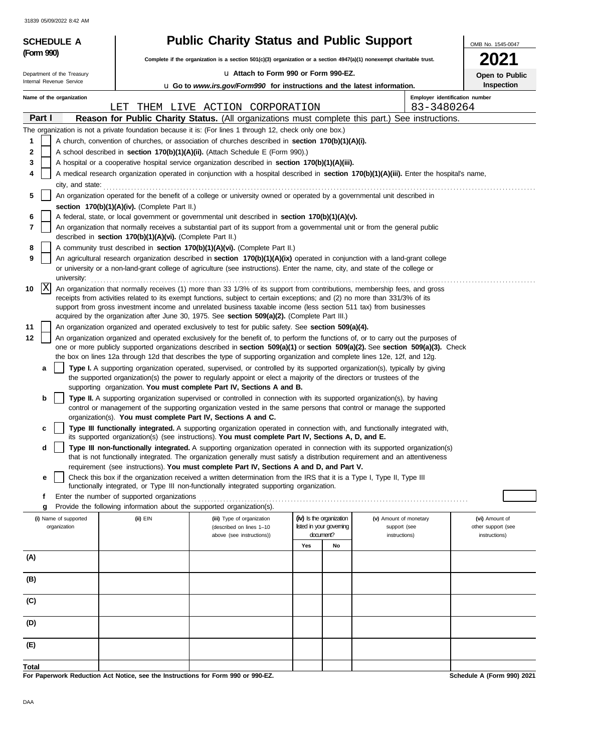| (Form 990)<br>2021<br>Complete if the organization is a section 501(c)(3) organization or a section $4947(a)(1)$ nonexempt charitable trust.<br>Lattach to Form 990 or Form 990-EZ.<br>Department of the Treasury<br>Open to Public<br>Internal Revenue Service<br>Inspection<br>Lu Go to www.irs.gov/Form990 for instructions and the latest information.<br>Employer identification number<br>Name of the organization<br>THEM LIVE ACTION CORPORATION<br>83-3480264<br>LET<br>Part I<br>Reason for Public Charity Status. (All organizations must complete this part.) See instructions.<br>The organization is not a private foundation because it is: (For lines 1 through 12, check only one box.)<br>A church, convention of churches, or association of churches described in section 170(b)(1)(A)(i).<br>1<br>A school described in section 170(b)(1)(A)(ii). (Attach Schedule E (Form 990).)<br>2<br>3<br>A hospital or a cooperative hospital service organization described in section 170(b)(1)(A)(iii).<br>A medical research organization operated in conjunction with a hospital described in section 170(b)(1)(A)(iii). Enter the hospital's name,<br>4<br>city, and state:<br>5<br>An organization operated for the benefit of a college or university owned or operated by a governmental unit described in<br>section 170(b)(1)(A)(iv). (Complete Part II.)<br>A federal, state, or local government or governmental unit described in section 170(b)(1)(A)(v).<br>6<br>An organization that normally receives a substantial part of its support from a governmental unit or from the general public<br>7<br>described in section 170(b)(1)(A)(vi). (Complete Part II.)<br>8<br>A community trust described in section 170(b)(1)(A)(vi). (Complete Part II.)<br>9<br>An agricultural research organization described in section 170(b)(1)(A)(ix) operated in conjunction with a land-grant college<br>or university or a non-land-grant college of agriculture (see instructions). Enter the name, city, and state of the college or<br>university:<br>ΙX<br>10<br>An organization that normally receives (1) more than 33 1/3% of its support from contributions, membership fees, and gross<br>receipts from activities related to its exempt functions, subject to certain exceptions; and (2) no more than 331/3% of its<br>support from gross investment income and unrelated business taxable income (less section 511 tax) from businesses<br>acquired by the organization after June 30, 1975. See section 509(a)(2). (Complete Part III.)<br>11<br>An organization organized and operated exclusively to test for public safety. See section 509(a)(4).<br>12<br>An organization organized and operated exclusively for the benefit of, to perform the functions of, or to carry out the purposes of<br>one or more publicly supported organizations described in section 509(a)(1) or section 509(a)(2). See section 509(a)(3). Check<br>the box on lines 12a through 12d that describes the type of supporting organization and complete lines 12e, 12f, and 12g.<br>Type I. A supporting organization operated, supervised, or controlled by its supported organization(s), typically by giving<br>a<br>the supported organization(s) the power to regularly appoint or elect a majority of the directors or trustees of the<br>supporting organization. You must complete Part IV, Sections A and B.<br>b<br><b>Type II.</b> A supporting organization supervised or controlled in connection with its supported organization(s), by having<br>control or management of the supporting organization vested in the same persons that control or manage the supported<br>organization(s). You must complete Part IV, Sections A and C.<br>Type III functionally integrated. A supporting organization operated in connection with, and functionally integrated with,<br>c<br>its supported organization(s) (see instructions). You must complete Part IV, Sections A, D, and E.<br>Type III non-functionally integrated. A supporting organization operated in connection with its supported organization(s)<br>d<br>that is not functionally integrated. The organization generally must satisfy a distribution requirement and an attentiveness<br>requirement (see instructions). You must complete Part IV, Sections A and D, and Part V.<br>Check this box if the organization received a written determination from the IRS that it is a Type I, Type II, Type III<br>е<br>functionally integrated, or Type III non-functionally integrated supporting organization.<br>Enter the number of supported organizations<br>f<br>Provide the following information about the supported organization(s).<br>g<br>(iv) Is the organization<br>(ii) EIN<br>(vi) Amount of<br>(i) Name of supported<br>(iii) Type of organization<br>(v) Amount of monetary<br>listed in your governing<br>organization<br>(described on lines 1-10<br>support (see<br>other support (see<br>document?<br>above (see instructions))<br>instructions)<br>instructions)<br>Yes<br>No<br>(A)<br>(B)<br>(C)<br>(D)<br>(E)<br>Total | <b>SCHEDULE A</b> |  | <b>Public Charity Status and Public Support</b> |  |  |  | OMB No. 1545-0047 |  |
|--------------------------------------------------------------------------------------------------------------------------------------------------------------------------------------------------------------------------------------------------------------------------------------------------------------------------------------------------------------------------------------------------------------------------------------------------------------------------------------------------------------------------------------------------------------------------------------------------------------------------------------------------------------------------------------------------------------------------------------------------------------------------------------------------------------------------------------------------------------------------------------------------------------------------------------------------------------------------------------------------------------------------------------------------------------------------------------------------------------------------------------------------------------------------------------------------------------------------------------------------------------------------------------------------------------------------------------------------------------------------------------------------------------------------------------------------------------------------------------------------------------------------------------------------------------------------------------------------------------------------------------------------------------------------------------------------------------------------------------------------------------------------------------------------------------------------------------------------------------------------------------------------------------------------------------------------------------------------------------------------------------------------------------------------------------------------------------------------------------------------------------------------------------------------------------------------------------------------------------------------------------------------------------------------------------------------------------------------------------------------------------------------------------------------------------------------------------------------------------------------------------------------------------------------------------------------------------------------------------------------------------------------------------------------------------------------------------------------------------------------------------------------------------------------------------------------------------------------------------------------------------------------------------------------------------------------------------------------------------------------------------------------------------------------------------------------------------------------------------------------------------------------------------------------------------------------------------------------------------------------------------------------------------------------------------------------------------------------------------------------------------------------------------------------------------------------------------------------------------------------------------------------------------------------------------------------------------------------------------------------------------------------------------------------------------------------------------------------------------------------------------------------------------------------------------------------------------------------------------------------------------------------------------------------------------------------------------------------------------------------------------------------------------------------------------------------------------------------------------------------------------------------------------------------------------------------------------------------------------------------------------------------------------------------------------------------------------------------------------------------------------------------------------------------------------------------------------------------------------------------------------------------------------------------------------------------------------------------------------------------------------------------------------------------------------------------------------------------------------------------------------------------------------------------------------------------------------------------------------------------------------------------------------------------------------------------------------------------------------------------------------------------------------------------------------------------------------------------------------------------------------------|-------------------|--|-------------------------------------------------|--|--|--|-------------------|--|
|                                                                                                                                                                                                                                                                                                                                                                                                                                                                                                                                                                                                                                                                                                                                                                                                                                                                                                                                                                                                                                                                                                                                                                                                                                                                                                                                                                                                                                                                                                                                                                                                                                                                                                                                                                                                                                                                                                                                                                                                                                                                                                                                                                                                                                                                                                                                                                                                                                                                                                                                                                                                                                                                                                                                                                                                                                                                                                                                                                                                                                                                                                                                                                                                                                                                                                                                                                                                                                                                                                                                                                                                                                                                                                                                                                                                                                                                                                                                                                                                                                                                                                                                                                                                                                                                                                                                                                                                                                                                                                                                                                                                                                                                                                                                                                                                                                                                                                                                                                                                                                                                                                                                            |                   |  |                                                 |  |  |  |                   |  |
|                                                                                                                                                                                                                                                                                                                                                                                                                                                                                                                                                                                                                                                                                                                                                                                                                                                                                                                                                                                                                                                                                                                                                                                                                                                                                                                                                                                                                                                                                                                                                                                                                                                                                                                                                                                                                                                                                                                                                                                                                                                                                                                                                                                                                                                                                                                                                                                                                                                                                                                                                                                                                                                                                                                                                                                                                                                                                                                                                                                                                                                                                                                                                                                                                                                                                                                                                                                                                                                                                                                                                                                                                                                                                                                                                                                                                                                                                                                                                                                                                                                                                                                                                                                                                                                                                                                                                                                                                                                                                                                                                                                                                                                                                                                                                                                                                                                                                                                                                                                                                                                                                                                                            |                   |  |                                                 |  |  |  |                   |  |
|                                                                                                                                                                                                                                                                                                                                                                                                                                                                                                                                                                                                                                                                                                                                                                                                                                                                                                                                                                                                                                                                                                                                                                                                                                                                                                                                                                                                                                                                                                                                                                                                                                                                                                                                                                                                                                                                                                                                                                                                                                                                                                                                                                                                                                                                                                                                                                                                                                                                                                                                                                                                                                                                                                                                                                                                                                                                                                                                                                                                                                                                                                                                                                                                                                                                                                                                                                                                                                                                                                                                                                                                                                                                                                                                                                                                                                                                                                                                                                                                                                                                                                                                                                                                                                                                                                                                                                                                                                                                                                                                                                                                                                                                                                                                                                                                                                                                                                                                                                                                                                                                                                                                            |                   |  |                                                 |  |  |  |                   |  |
|                                                                                                                                                                                                                                                                                                                                                                                                                                                                                                                                                                                                                                                                                                                                                                                                                                                                                                                                                                                                                                                                                                                                                                                                                                                                                                                                                                                                                                                                                                                                                                                                                                                                                                                                                                                                                                                                                                                                                                                                                                                                                                                                                                                                                                                                                                                                                                                                                                                                                                                                                                                                                                                                                                                                                                                                                                                                                                                                                                                                                                                                                                                                                                                                                                                                                                                                                                                                                                                                                                                                                                                                                                                                                                                                                                                                                                                                                                                                                                                                                                                                                                                                                                                                                                                                                                                                                                                                                                                                                                                                                                                                                                                                                                                                                                                                                                                                                                                                                                                                                                                                                                                                            |                   |  |                                                 |  |  |  |                   |  |
|                                                                                                                                                                                                                                                                                                                                                                                                                                                                                                                                                                                                                                                                                                                                                                                                                                                                                                                                                                                                                                                                                                                                                                                                                                                                                                                                                                                                                                                                                                                                                                                                                                                                                                                                                                                                                                                                                                                                                                                                                                                                                                                                                                                                                                                                                                                                                                                                                                                                                                                                                                                                                                                                                                                                                                                                                                                                                                                                                                                                                                                                                                                                                                                                                                                                                                                                                                                                                                                                                                                                                                                                                                                                                                                                                                                                                                                                                                                                                                                                                                                                                                                                                                                                                                                                                                                                                                                                                                                                                                                                                                                                                                                                                                                                                                                                                                                                                                                                                                                                                                                                                                                                            |                   |  |                                                 |  |  |  |                   |  |
|                                                                                                                                                                                                                                                                                                                                                                                                                                                                                                                                                                                                                                                                                                                                                                                                                                                                                                                                                                                                                                                                                                                                                                                                                                                                                                                                                                                                                                                                                                                                                                                                                                                                                                                                                                                                                                                                                                                                                                                                                                                                                                                                                                                                                                                                                                                                                                                                                                                                                                                                                                                                                                                                                                                                                                                                                                                                                                                                                                                                                                                                                                                                                                                                                                                                                                                                                                                                                                                                                                                                                                                                                                                                                                                                                                                                                                                                                                                                                                                                                                                                                                                                                                                                                                                                                                                                                                                                                                                                                                                                                                                                                                                                                                                                                                                                                                                                                                                                                                                                                                                                                                                                            |                   |  |                                                 |  |  |  |                   |  |
|                                                                                                                                                                                                                                                                                                                                                                                                                                                                                                                                                                                                                                                                                                                                                                                                                                                                                                                                                                                                                                                                                                                                                                                                                                                                                                                                                                                                                                                                                                                                                                                                                                                                                                                                                                                                                                                                                                                                                                                                                                                                                                                                                                                                                                                                                                                                                                                                                                                                                                                                                                                                                                                                                                                                                                                                                                                                                                                                                                                                                                                                                                                                                                                                                                                                                                                                                                                                                                                                                                                                                                                                                                                                                                                                                                                                                                                                                                                                                                                                                                                                                                                                                                                                                                                                                                                                                                                                                                                                                                                                                                                                                                                                                                                                                                                                                                                                                                                                                                                                                                                                                                                                            |                   |  |                                                 |  |  |  |                   |  |
|                                                                                                                                                                                                                                                                                                                                                                                                                                                                                                                                                                                                                                                                                                                                                                                                                                                                                                                                                                                                                                                                                                                                                                                                                                                                                                                                                                                                                                                                                                                                                                                                                                                                                                                                                                                                                                                                                                                                                                                                                                                                                                                                                                                                                                                                                                                                                                                                                                                                                                                                                                                                                                                                                                                                                                                                                                                                                                                                                                                                                                                                                                                                                                                                                                                                                                                                                                                                                                                                                                                                                                                                                                                                                                                                                                                                                                                                                                                                                                                                                                                                                                                                                                                                                                                                                                                                                                                                                                                                                                                                                                                                                                                                                                                                                                                                                                                                                                                                                                                                                                                                                                                                            |                   |  |                                                 |  |  |  |                   |  |
|                                                                                                                                                                                                                                                                                                                                                                                                                                                                                                                                                                                                                                                                                                                                                                                                                                                                                                                                                                                                                                                                                                                                                                                                                                                                                                                                                                                                                                                                                                                                                                                                                                                                                                                                                                                                                                                                                                                                                                                                                                                                                                                                                                                                                                                                                                                                                                                                                                                                                                                                                                                                                                                                                                                                                                                                                                                                                                                                                                                                                                                                                                                                                                                                                                                                                                                                                                                                                                                                                                                                                                                                                                                                                                                                                                                                                                                                                                                                                                                                                                                                                                                                                                                                                                                                                                                                                                                                                                                                                                                                                                                                                                                                                                                                                                                                                                                                                                                                                                                                                                                                                                                                            |                   |  |                                                 |  |  |  |                   |  |
|                                                                                                                                                                                                                                                                                                                                                                                                                                                                                                                                                                                                                                                                                                                                                                                                                                                                                                                                                                                                                                                                                                                                                                                                                                                                                                                                                                                                                                                                                                                                                                                                                                                                                                                                                                                                                                                                                                                                                                                                                                                                                                                                                                                                                                                                                                                                                                                                                                                                                                                                                                                                                                                                                                                                                                                                                                                                                                                                                                                                                                                                                                                                                                                                                                                                                                                                                                                                                                                                                                                                                                                                                                                                                                                                                                                                                                                                                                                                                                                                                                                                                                                                                                                                                                                                                                                                                                                                                                                                                                                                                                                                                                                                                                                                                                                                                                                                                                                                                                                                                                                                                                                                            |                   |  |                                                 |  |  |  |                   |  |
|                                                                                                                                                                                                                                                                                                                                                                                                                                                                                                                                                                                                                                                                                                                                                                                                                                                                                                                                                                                                                                                                                                                                                                                                                                                                                                                                                                                                                                                                                                                                                                                                                                                                                                                                                                                                                                                                                                                                                                                                                                                                                                                                                                                                                                                                                                                                                                                                                                                                                                                                                                                                                                                                                                                                                                                                                                                                                                                                                                                                                                                                                                                                                                                                                                                                                                                                                                                                                                                                                                                                                                                                                                                                                                                                                                                                                                                                                                                                                                                                                                                                                                                                                                                                                                                                                                                                                                                                                                                                                                                                                                                                                                                                                                                                                                                                                                                                                                                                                                                                                                                                                                                                            |                   |  |                                                 |  |  |  |                   |  |
|                                                                                                                                                                                                                                                                                                                                                                                                                                                                                                                                                                                                                                                                                                                                                                                                                                                                                                                                                                                                                                                                                                                                                                                                                                                                                                                                                                                                                                                                                                                                                                                                                                                                                                                                                                                                                                                                                                                                                                                                                                                                                                                                                                                                                                                                                                                                                                                                                                                                                                                                                                                                                                                                                                                                                                                                                                                                                                                                                                                                                                                                                                                                                                                                                                                                                                                                                                                                                                                                                                                                                                                                                                                                                                                                                                                                                                                                                                                                                                                                                                                                                                                                                                                                                                                                                                                                                                                                                                                                                                                                                                                                                                                                                                                                                                                                                                                                                                                                                                                                                                                                                                                                            |                   |  |                                                 |  |  |  |                   |  |
|                                                                                                                                                                                                                                                                                                                                                                                                                                                                                                                                                                                                                                                                                                                                                                                                                                                                                                                                                                                                                                                                                                                                                                                                                                                                                                                                                                                                                                                                                                                                                                                                                                                                                                                                                                                                                                                                                                                                                                                                                                                                                                                                                                                                                                                                                                                                                                                                                                                                                                                                                                                                                                                                                                                                                                                                                                                                                                                                                                                                                                                                                                                                                                                                                                                                                                                                                                                                                                                                                                                                                                                                                                                                                                                                                                                                                                                                                                                                                                                                                                                                                                                                                                                                                                                                                                                                                                                                                                                                                                                                                                                                                                                                                                                                                                                                                                                                                                                                                                                                                                                                                                                                            |                   |  |                                                 |  |  |  |                   |  |
|                                                                                                                                                                                                                                                                                                                                                                                                                                                                                                                                                                                                                                                                                                                                                                                                                                                                                                                                                                                                                                                                                                                                                                                                                                                                                                                                                                                                                                                                                                                                                                                                                                                                                                                                                                                                                                                                                                                                                                                                                                                                                                                                                                                                                                                                                                                                                                                                                                                                                                                                                                                                                                                                                                                                                                                                                                                                                                                                                                                                                                                                                                                                                                                                                                                                                                                                                                                                                                                                                                                                                                                                                                                                                                                                                                                                                                                                                                                                                                                                                                                                                                                                                                                                                                                                                                                                                                                                                                                                                                                                                                                                                                                                                                                                                                                                                                                                                                                                                                                                                                                                                                                                            |                   |  |                                                 |  |  |  |                   |  |
|                                                                                                                                                                                                                                                                                                                                                                                                                                                                                                                                                                                                                                                                                                                                                                                                                                                                                                                                                                                                                                                                                                                                                                                                                                                                                                                                                                                                                                                                                                                                                                                                                                                                                                                                                                                                                                                                                                                                                                                                                                                                                                                                                                                                                                                                                                                                                                                                                                                                                                                                                                                                                                                                                                                                                                                                                                                                                                                                                                                                                                                                                                                                                                                                                                                                                                                                                                                                                                                                                                                                                                                                                                                                                                                                                                                                                                                                                                                                                                                                                                                                                                                                                                                                                                                                                                                                                                                                                                                                                                                                                                                                                                                                                                                                                                                                                                                                                                                                                                                                                                                                                                                                            |                   |  |                                                 |  |  |  |                   |  |
|                                                                                                                                                                                                                                                                                                                                                                                                                                                                                                                                                                                                                                                                                                                                                                                                                                                                                                                                                                                                                                                                                                                                                                                                                                                                                                                                                                                                                                                                                                                                                                                                                                                                                                                                                                                                                                                                                                                                                                                                                                                                                                                                                                                                                                                                                                                                                                                                                                                                                                                                                                                                                                                                                                                                                                                                                                                                                                                                                                                                                                                                                                                                                                                                                                                                                                                                                                                                                                                                                                                                                                                                                                                                                                                                                                                                                                                                                                                                                                                                                                                                                                                                                                                                                                                                                                                                                                                                                                                                                                                                                                                                                                                                                                                                                                                                                                                                                                                                                                                                                                                                                                                                            |                   |  |                                                 |  |  |  |                   |  |
|                                                                                                                                                                                                                                                                                                                                                                                                                                                                                                                                                                                                                                                                                                                                                                                                                                                                                                                                                                                                                                                                                                                                                                                                                                                                                                                                                                                                                                                                                                                                                                                                                                                                                                                                                                                                                                                                                                                                                                                                                                                                                                                                                                                                                                                                                                                                                                                                                                                                                                                                                                                                                                                                                                                                                                                                                                                                                                                                                                                                                                                                                                                                                                                                                                                                                                                                                                                                                                                                                                                                                                                                                                                                                                                                                                                                                                                                                                                                                                                                                                                                                                                                                                                                                                                                                                                                                                                                                                                                                                                                                                                                                                                                                                                                                                                                                                                                                                                                                                                                                                                                                                                                            |                   |  |                                                 |  |  |  |                   |  |
|                                                                                                                                                                                                                                                                                                                                                                                                                                                                                                                                                                                                                                                                                                                                                                                                                                                                                                                                                                                                                                                                                                                                                                                                                                                                                                                                                                                                                                                                                                                                                                                                                                                                                                                                                                                                                                                                                                                                                                                                                                                                                                                                                                                                                                                                                                                                                                                                                                                                                                                                                                                                                                                                                                                                                                                                                                                                                                                                                                                                                                                                                                                                                                                                                                                                                                                                                                                                                                                                                                                                                                                                                                                                                                                                                                                                                                                                                                                                                                                                                                                                                                                                                                                                                                                                                                                                                                                                                                                                                                                                                                                                                                                                                                                                                                                                                                                                                                                                                                                                                                                                                                                                            |                   |  |                                                 |  |  |  |                   |  |
|                                                                                                                                                                                                                                                                                                                                                                                                                                                                                                                                                                                                                                                                                                                                                                                                                                                                                                                                                                                                                                                                                                                                                                                                                                                                                                                                                                                                                                                                                                                                                                                                                                                                                                                                                                                                                                                                                                                                                                                                                                                                                                                                                                                                                                                                                                                                                                                                                                                                                                                                                                                                                                                                                                                                                                                                                                                                                                                                                                                                                                                                                                                                                                                                                                                                                                                                                                                                                                                                                                                                                                                                                                                                                                                                                                                                                                                                                                                                                                                                                                                                                                                                                                                                                                                                                                                                                                                                                                                                                                                                                                                                                                                                                                                                                                                                                                                                                                                                                                                                                                                                                                                                            |                   |  |                                                 |  |  |  |                   |  |
|                                                                                                                                                                                                                                                                                                                                                                                                                                                                                                                                                                                                                                                                                                                                                                                                                                                                                                                                                                                                                                                                                                                                                                                                                                                                                                                                                                                                                                                                                                                                                                                                                                                                                                                                                                                                                                                                                                                                                                                                                                                                                                                                                                                                                                                                                                                                                                                                                                                                                                                                                                                                                                                                                                                                                                                                                                                                                                                                                                                                                                                                                                                                                                                                                                                                                                                                                                                                                                                                                                                                                                                                                                                                                                                                                                                                                                                                                                                                                                                                                                                                                                                                                                                                                                                                                                                                                                                                                                                                                                                                                                                                                                                                                                                                                                                                                                                                                                                                                                                                                                                                                                                                            |                   |  |                                                 |  |  |  |                   |  |
|                                                                                                                                                                                                                                                                                                                                                                                                                                                                                                                                                                                                                                                                                                                                                                                                                                                                                                                                                                                                                                                                                                                                                                                                                                                                                                                                                                                                                                                                                                                                                                                                                                                                                                                                                                                                                                                                                                                                                                                                                                                                                                                                                                                                                                                                                                                                                                                                                                                                                                                                                                                                                                                                                                                                                                                                                                                                                                                                                                                                                                                                                                                                                                                                                                                                                                                                                                                                                                                                                                                                                                                                                                                                                                                                                                                                                                                                                                                                                                                                                                                                                                                                                                                                                                                                                                                                                                                                                                                                                                                                                                                                                                                                                                                                                                                                                                                                                                                                                                                                                                                                                                                                            |                   |  |                                                 |  |  |  |                   |  |
|                                                                                                                                                                                                                                                                                                                                                                                                                                                                                                                                                                                                                                                                                                                                                                                                                                                                                                                                                                                                                                                                                                                                                                                                                                                                                                                                                                                                                                                                                                                                                                                                                                                                                                                                                                                                                                                                                                                                                                                                                                                                                                                                                                                                                                                                                                                                                                                                                                                                                                                                                                                                                                                                                                                                                                                                                                                                                                                                                                                                                                                                                                                                                                                                                                                                                                                                                                                                                                                                                                                                                                                                                                                                                                                                                                                                                                                                                                                                                                                                                                                                                                                                                                                                                                                                                                                                                                                                                                                                                                                                                                                                                                                                                                                                                                                                                                                                                                                                                                                                                                                                                                                                            |                   |  |                                                 |  |  |  |                   |  |
|                                                                                                                                                                                                                                                                                                                                                                                                                                                                                                                                                                                                                                                                                                                                                                                                                                                                                                                                                                                                                                                                                                                                                                                                                                                                                                                                                                                                                                                                                                                                                                                                                                                                                                                                                                                                                                                                                                                                                                                                                                                                                                                                                                                                                                                                                                                                                                                                                                                                                                                                                                                                                                                                                                                                                                                                                                                                                                                                                                                                                                                                                                                                                                                                                                                                                                                                                                                                                                                                                                                                                                                                                                                                                                                                                                                                                                                                                                                                                                                                                                                                                                                                                                                                                                                                                                                                                                                                                                                                                                                                                                                                                                                                                                                                                                                                                                                                                                                                                                                                                                                                                                                                            |                   |  |                                                 |  |  |  |                   |  |
|                                                                                                                                                                                                                                                                                                                                                                                                                                                                                                                                                                                                                                                                                                                                                                                                                                                                                                                                                                                                                                                                                                                                                                                                                                                                                                                                                                                                                                                                                                                                                                                                                                                                                                                                                                                                                                                                                                                                                                                                                                                                                                                                                                                                                                                                                                                                                                                                                                                                                                                                                                                                                                                                                                                                                                                                                                                                                                                                                                                                                                                                                                                                                                                                                                                                                                                                                                                                                                                                                                                                                                                                                                                                                                                                                                                                                                                                                                                                                                                                                                                                                                                                                                                                                                                                                                                                                                                                                                                                                                                                                                                                                                                                                                                                                                                                                                                                                                                                                                                                                                                                                                                                            |                   |  |                                                 |  |  |  |                   |  |
|                                                                                                                                                                                                                                                                                                                                                                                                                                                                                                                                                                                                                                                                                                                                                                                                                                                                                                                                                                                                                                                                                                                                                                                                                                                                                                                                                                                                                                                                                                                                                                                                                                                                                                                                                                                                                                                                                                                                                                                                                                                                                                                                                                                                                                                                                                                                                                                                                                                                                                                                                                                                                                                                                                                                                                                                                                                                                                                                                                                                                                                                                                                                                                                                                                                                                                                                                                                                                                                                                                                                                                                                                                                                                                                                                                                                                                                                                                                                                                                                                                                                                                                                                                                                                                                                                                                                                                                                                                                                                                                                                                                                                                                                                                                                                                                                                                                                                                                                                                                                                                                                                                                                            |                   |  |                                                 |  |  |  |                   |  |
|                                                                                                                                                                                                                                                                                                                                                                                                                                                                                                                                                                                                                                                                                                                                                                                                                                                                                                                                                                                                                                                                                                                                                                                                                                                                                                                                                                                                                                                                                                                                                                                                                                                                                                                                                                                                                                                                                                                                                                                                                                                                                                                                                                                                                                                                                                                                                                                                                                                                                                                                                                                                                                                                                                                                                                                                                                                                                                                                                                                                                                                                                                                                                                                                                                                                                                                                                                                                                                                                                                                                                                                                                                                                                                                                                                                                                                                                                                                                                                                                                                                                                                                                                                                                                                                                                                                                                                                                                                                                                                                                                                                                                                                                                                                                                                                                                                                                                                                                                                                                                                                                                                                                            |                   |  |                                                 |  |  |  |                   |  |
|                                                                                                                                                                                                                                                                                                                                                                                                                                                                                                                                                                                                                                                                                                                                                                                                                                                                                                                                                                                                                                                                                                                                                                                                                                                                                                                                                                                                                                                                                                                                                                                                                                                                                                                                                                                                                                                                                                                                                                                                                                                                                                                                                                                                                                                                                                                                                                                                                                                                                                                                                                                                                                                                                                                                                                                                                                                                                                                                                                                                                                                                                                                                                                                                                                                                                                                                                                                                                                                                                                                                                                                                                                                                                                                                                                                                                                                                                                                                                                                                                                                                                                                                                                                                                                                                                                                                                                                                                                                                                                                                                                                                                                                                                                                                                                                                                                                                                                                                                                                                                                                                                                                                            |                   |  |                                                 |  |  |  |                   |  |
|                                                                                                                                                                                                                                                                                                                                                                                                                                                                                                                                                                                                                                                                                                                                                                                                                                                                                                                                                                                                                                                                                                                                                                                                                                                                                                                                                                                                                                                                                                                                                                                                                                                                                                                                                                                                                                                                                                                                                                                                                                                                                                                                                                                                                                                                                                                                                                                                                                                                                                                                                                                                                                                                                                                                                                                                                                                                                                                                                                                                                                                                                                                                                                                                                                                                                                                                                                                                                                                                                                                                                                                                                                                                                                                                                                                                                                                                                                                                                                                                                                                                                                                                                                                                                                                                                                                                                                                                                                                                                                                                                                                                                                                                                                                                                                                                                                                                                                                                                                                                                                                                                                                                            |                   |  |                                                 |  |  |  |                   |  |
|                                                                                                                                                                                                                                                                                                                                                                                                                                                                                                                                                                                                                                                                                                                                                                                                                                                                                                                                                                                                                                                                                                                                                                                                                                                                                                                                                                                                                                                                                                                                                                                                                                                                                                                                                                                                                                                                                                                                                                                                                                                                                                                                                                                                                                                                                                                                                                                                                                                                                                                                                                                                                                                                                                                                                                                                                                                                                                                                                                                                                                                                                                                                                                                                                                                                                                                                                                                                                                                                                                                                                                                                                                                                                                                                                                                                                                                                                                                                                                                                                                                                                                                                                                                                                                                                                                                                                                                                                                                                                                                                                                                                                                                                                                                                                                                                                                                                                                                                                                                                                                                                                                                                            |                   |  |                                                 |  |  |  |                   |  |
|                                                                                                                                                                                                                                                                                                                                                                                                                                                                                                                                                                                                                                                                                                                                                                                                                                                                                                                                                                                                                                                                                                                                                                                                                                                                                                                                                                                                                                                                                                                                                                                                                                                                                                                                                                                                                                                                                                                                                                                                                                                                                                                                                                                                                                                                                                                                                                                                                                                                                                                                                                                                                                                                                                                                                                                                                                                                                                                                                                                                                                                                                                                                                                                                                                                                                                                                                                                                                                                                                                                                                                                                                                                                                                                                                                                                                                                                                                                                                                                                                                                                                                                                                                                                                                                                                                                                                                                                                                                                                                                                                                                                                                                                                                                                                                                                                                                                                                                                                                                                                                                                                                                                            |                   |  |                                                 |  |  |  |                   |  |
|                                                                                                                                                                                                                                                                                                                                                                                                                                                                                                                                                                                                                                                                                                                                                                                                                                                                                                                                                                                                                                                                                                                                                                                                                                                                                                                                                                                                                                                                                                                                                                                                                                                                                                                                                                                                                                                                                                                                                                                                                                                                                                                                                                                                                                                                                                                                                                                                                                                                                                                                                                                                                                                                                                                                                                                                                                                                                                                                                                                                                                                                                                                                                                                                                                                                                                                                                                                                                                                                                                                                                                                                                                                                                                                                                                                                                                                                                                                                                                                                                                                                                                                                                                                                                                                                                                                                                                                                                                                                                                                                                                                                                                                                                                                                                                                                                                                                                                                                                                                                                                                                                                                                            |                   |  |                                                 |  |  |  |                   |  |
|                                                                                                                                                                                                                                                                                                                                                                                                                                                                                                                                                                                                                                                                                                                                                                                                                                                                                                                                                                                                                                                                                                                                                                                                                                                                                                                                                                                                                                                                                                                                                                                                                                                                                                                                                                                                                                                                                                                                                                                                                                                                                                                                                                                                                                                                                                                                                                                                                                                                                                                                                                                                                                                                                                                                                                                                                                                                                                                                                                                                                                                                                                                                                                                                                                                                                                                                                                                                                                                                                                                                                                                                                                                                                                                                                                                                                                                                                                                                                                                                                                                                                                                                                                                                                                                                                                                                                                                                                                                                                                                                                                                                                                                                                                                                                                                                                                                                                                                                                                                                                                                                                                                                            |                   |  |                                                 |  |  |  |                   |  |
|                                                                                                                                                                                                                                                                                                                                                                                                                                                                                                                                                                                                                                                                                                                                                                                                                                                                                                                                                                                                                                                                                                                                                                                                                                                                                                                                                                                                                                                                                                                                                                                                                                                                                                                                                                                                                                                                                                                                                                                                                                                                                                                                                                                                                                                                                                                                                                                                                                                                                                                                                                                                                                                                                                                                                                                                                                                                                                                                                                                                                                                                                                                                                                                                                                                                                                                                                                                                                                                                                                                                                                                                                                                                                                                                                                                                                                                                                                                                                                                                                                                                                                                                                                                                                                                                                                                                                                                                                                                                                                                                                                                                                                                                                                                                                                                                                                                                                                                                                                                                                                                                                                                                            |                   |  |                                                 |  |  |  |                   |  |
|                                                                                                                                                                                                                                                                                                                                                                                                                                                                                                                                                                                                                                                                                                                                                                                                                                                                                                                                                                                                                                                                                                                                                                                                                                                                                                                                                                                                                                                                                                                                                                                                                                                                                                                                                                                                                                                                                                                                                                                                                                                                                                                                                                                                                                                                                                                                                                                                                                                                                                                                                                                                                                                                                                                                                                                                                                                                                                                                                                                                                                                                                                                                                                                                                                                                                                                                                                                                                                                                                                                                                                                                                                                                                                                                                                                                                                                                                                                                                                                                                                                                                                                                                                                                                                                                                                                                                                                                                                                                                                                                                                                                                                                                                                                                                                                                                                                                                                                                                                                                                                                                                                                                            |                   |  |                                                 |  |  |  |                   |  |
|                                                                                                                                                                                                                                                                                                                                                                                                                                                                                                                                                                                                                                                                                                                                                                                                                                                                                                                                                                                                                                                                                                                                                                                                                                                                                                                                                                                                                                                                                                                                                                                                                                                                                                                                                                                                                                                                                                                                                                                                                                                                                                                                                                                                                                                                                                                                                                                                                                                                                                                                                                                                                                                                                                                                                                                                                                                                                                                                                                                                                                                                                                                                                                                                                                                                                                                                                                                                                                                                                                                                                                                                                                                                                                                                                                                                                                                                                                                                                                                                                                                                                                                                                                                                                                                                                                                                                                                                                                                                                                                                                                                                                                                                                                                                                                                                                                                                                                                                                                                                                                                                                                                                            |                   |  |                                                 |  |  |  |                   |  |
|                                                                                                                                                                                                                                                                                                                                                                                                                                                                                                                                                                                                                                                                                                                                                                                                                                                                                                                                                                                                                                                                                                                                                                                                                                                                                                                                                                                                                                                                                                                                                                                                                                                                                                                                                                                                                                                                                                                                                                                                                                                                                                                                                                                                                                                                                                                                                                                                                                                                                                                                                                                                                                                                                                                                                                                                                                                                                                                                                                                                                                                                                                                                                                                                                                                                                                                                                                                                                                                                                                                                                                                                                                                                                                                                                                                                                                                                                                                                                                                                                                                                                                                                                                                                                                                                                                                                                                                                                                                                                                                                                                                                                                                                                                                                                                                                                                                                                                                                                                                                                                                                                                                                            |                   |  |                                                 |  |  |  |                   |  |
|                                                                                                                                                                                                                                                                                                                                                                                                                                                                                                                                                                                                                                                                                                                                                                                                                                                                                                                                                                                                                                                                                                                                                                                                                                                                                                                                                                                                                                                                                                                                                                                                                                                                                                                                                                                                                                                                                                                                                                                                                                                                                                                                                                                                                                                                                                                                                                                                                                                                                                                                                                                                                                                                                                                                                                                                                                                                                                                                                                                                                                                                                                                                                                                                                                                                                                                                                                                                                                                                                                                                                                                                                                                                                                                                                                                                                                                                                                                                                                                                                                                                                                                                                                                                                                                                                                                                                                                                                                                                                                                                                                                                                                                                                                                                                                                                                                                                                                                                                                                                                                                                                                                                            |                   |  |                                                 |  |  |  |                   |  |
|                                                                                                                                                                                                                                                                                                                                                                                                                                                                                                                                                                                                                                                                                                                                                                                                                                                                                                                                                                                                                                                                                                                                                                                                                                                                                                                                                                                                                                                                                                                                                                                                                                                                                                                                                                                                                                                                                                                                                                                                                                                                                                                                                                                                                                                                                                                                                                                                                                                                                                                                                                                                                                                                                                                                                                                                                                                                                                                                                                                                                                                                                                                                                                                                                                                                                                                                                                                                                                                                                                                                                                                                                                                                                                                                                                                                                                                                                                                                                                                                                                                                                                                                                                                                                                                                                                                                                                                                                                                                                                                                                                                                                                                                                                                                                                                                                                                                                                                                                                                                                                                                                                                                            |                   |  |                                                 |  |  |  |                   |  |
|                                                                                                                                                                                                                                                                                                                                                                                                                                                                                                                                                                                                                                                                                                                                                                                                                                                                                                                                                                                                                                                                                                                                                                                                                                                                                                                                                                                                                                                                                                                                                                                                                                                                                                                                                                                                                                                                                                                                                                                                                                                                                                                                                                                                                                                                                                                                                                                                                                                                                                                                                                                                                                                                                                                                                                                                                                                                                                                                                                                                                                                                                                                                                                                                                                                                                                                                                                                                                                                                                                                                                                                                                                                                                                                                                                                                                                                                                                                                                                                                                                                                                                                                                                                                                                                                                                                                                                                                                                                                                                                                                                                                                                                                                                                                                                                                                                                                                                                                                                                                                                                                                                                                            |                   |  |                                                 |  |  |  |                   |  |
|                                                                                                                                                                                                                                                                                                                                                                                                                                                                                                                                                                                                                                                                                                                                                                                                                                                                                                                                                                                                                                                                                                                                                                                                                                                                                                                                                                                                                                                                                                                                                                                                                                                                                                                                                                                                                                                                                                                                                                                                                                                                                                                                                                                                                                                                                                                                                                                                                                                                                                                                                                                                                                                                                                                                                                                                                                                                                                                                                                                                                                                                                                                                                                                                                                                                                                                                                                                                                                                                                                                                                                                                                                                                                                                                                                                                                                                                                                                                                                                                                                                                                                                                                                                                                                                                                                                                                                                                                                                                                                                                                                                                                                                                                                                                                                                                                                                                                                                                                                                                                                                                                                                                            |                   |  |                                                 |  |  |  |                   |  |
|                                                                                                                                                                                                                                                                                                                                                                                                                                                                                                                                                                                                                                                                                                                                                                                                                                                                                                                                                                                                                                                                                                                                                                                                                                                                                                                                                                                                                                                                                                                                                                                                                                                                                                                                                                                                                                                                                                                                                                                                                                                                                                                                                                                                                                                                                                                                                                                                                                                                                                                                                                                                                                                                                                                                                                                                                                                                                                                                                                                                                                                                                                                                                                                                                                                                                                                                                                                                                                                                                                                                                                                                                                                                                                                                                                                                                                                                                                                                                                                                                                                                                                                                                                                                                                                                                                                                                                                                                                                                                                                                                                                                                                                                                                                                                                                                                                                                                                                                                                                                                                                                                                                                            |                   |  |                                                 |  |  |  |                   |  |
|                                                                                                                                                                                                                                                                                                                                                                                                                                                                                                                                                                                                                                                                                                                                                                                                                                                                                                                                                                                                                                                                                                                                                                                                                                                                                                                                                                                                                                                                                                                                                                                                                                                                                                                                                                                                                                                                                                                                                                                                                                                                                                                                                                                                                                                                                                                                                                                                                                                                                                                                                                                                                                                                                                                                                                                                                                                                                                                                                                                                                                                                                                                                                                                                                                                                                                                                                                                                                                                                                                                                                                                                                                                                                                                                                                                                                                                                                                                                                                                                                                                                                                                                                                                                                                                                                                                                                                                                                                                                                                                                                                                                                                                                                                                                                                                                                                                                                                                                                                                                                                                                                                                                            |                   |  |                                                 |  |  |  |                   |  |
|                                                                                                                                                                                                                                                                                                                                                                                                                                                                                                                                                                                                                                                                                                                                                                                                                                                                                                                                                                                                                                                                                                                                                                                                                                                                                                                                                                                                                                                                                                                                                                                                                                                                                                                                                                                                                                                                                                                                                                                                                                                                                                                                                                                                                                                                                                                                                                                                                                                                                                                                                                                                                                                                                                                                                                                                                                                                                                                                                                                                                                                                                                                                                                                                                                                                                                                                                                                                                                                                                                                                                                                                                                                                                                                                                                                                                                                                                                                                                                                                                                                                                                                                                                                                                                                                                                                                                                                                                                                                                                                                                                                                                                                                                                                                                                                                                                                                                                                                                                                                                                                                                                                                            |                   |  |                                                 |  |  |  |                   |  |
|                                                                                                                                                                                                                                                                                                                                                                                                                                                                                                                                                                                                                                                                                                                                                                                                                                                                                                                                                                                                                                                                                                                                                                                                                                                                                                                                                                                                                                                                                                                                                                                                                                                                                                                                                                                                                                                                                                                                                                                                                                                                                                                                                                                                                                                                                                                                                                                                                                                                                                                                                                                                                                                                                                                                                                                                                                                                                                                                                                                                                                                                                                                                                                                                                                                                                                                                                                                                                                                                                                                                                                                                                                                                                                                                                                                                                                                                                                                                                                                                                                                                                                                                                                                                                                                                                                                                                                                                                                                                                                                                                                                                                                                                                                                                                                                                                                                                                                                                                                                                                                                                                                                                            |                   |  |                                                 |  |  |  |                   |  |
|                                                                                                                                                                                                                                                                                                                                                                                                                                                                                                                                                                                                                                                                                                                                                                                                                                                                                                                                                                                                                                                                                                                                                                                                                                                                                                                                                                                                                                                                                                                                                                                                                                                                                                                                                                                                                                                                                                                                                                                                                                                                                                                                                                                                                                                                                                                                                                                                                                                                                                                                                                                                                                                                                                                                                                                                                                                                                                                                                                                                                                                                                                                                                                                                                                                                                                                                                                                                                                                                                                                                                                                                                                                                                                                                                                                                                                                                                                                                                                                                                                                                                                                                                                                                                                                                                                                                                                                                                                                                                                                                                                                                                                                                                                                                                                                                                                                                                                                                                                                                                                                                                                                                            |                   |  |                                                 |  |  |  |                   |  |
|                                                                                                                                                                                                                                                                                                                                                                                                                                                                                                                                                                                                                                                                                                                                                                                                                                                                                                                                                                                                                                                                                                                                                                                                                                                                                                                                                                                                                                                                                                                                                                                                                                                                                                                                                                                                                                                                                                                                                                                                                                                                                                                                                                                                                                                                                                                                                                                                                                                                                                                                                                                                                                                                                                                                                                                                                                                                                                                                                                                                                                                                                                                                                                                                                                                                                                                                                                                                                                                                                                                                                                                                                                                                                                                                                                                                                                                                                                                                                                                                                                                                                                                                                                                                                                                                                                                                                                                                                                                                                                                                                                                                                                                                                                                                                                                                                                                                                                                                                                                                                                                                                                                                            |                   |  |                                                 |  |  |  |                   |  |

**For Paperwork Reduction Act Notice, see the Instructions for Form 990 or 990-EZ.**

**Schedule A (Form 990) 2021**

DAA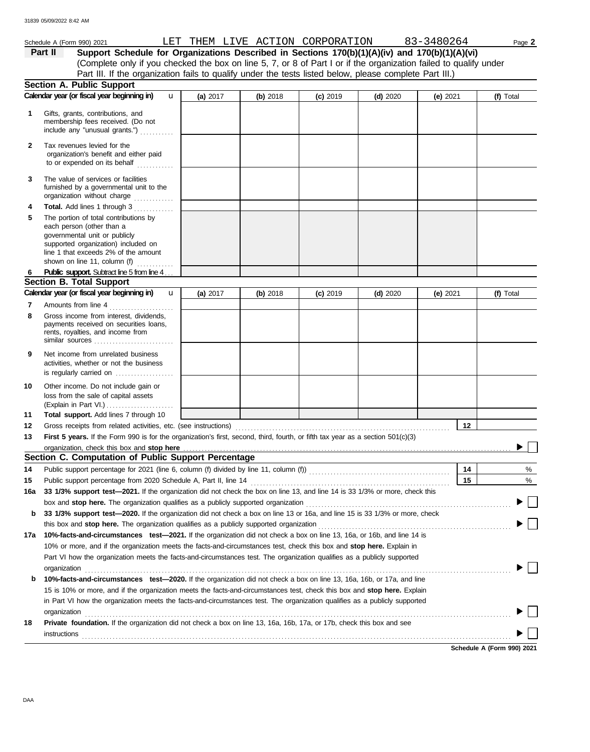|              | Schedule A (Form 990) 2021                                                                                                                                                                                                                                                                                                                | LET THEM LIVE ACTION CORPORATION 83-3480264 |          |            |            |            |          | Page 2    |
|--------------|-------------------------------------------------------------------------------------------------------------------------------------------------------------------------------------------------------------------------------------------------------------------------------------------------------------------------------------------|---------------------------------------------|----------|------------|------------|------------|----------|-----------|
|              | Support Schedule for Organizations Described in Sections 170(b)(1)(A)(iv) and 170(b)(1)(A)(vi)<br>Part II<br>(Complete only if you checked the box on line 5, 7, or 8 of Part I or if the organization failed to qualify under<br>Part III. If the organization fails to qualify under the tests listed below, please complete Part III.) |                                             |          |            |            |            |          |           |
|              | Section A. Public Support                                                                                                                                                                                                                                                                                                                 |                                             |          |            |            |            |          |           |
|              | Calendar year (or fiscal year beginning in)<br>$\mathbf{u}$                                                                                                                                                                                                                                                                               | (a) 2017                                    | (b) 2018 | $(c)$ 2019 | $(d)$ 2020 | (e) $2021$ |          | (f) Total |
| 1            | Gifts, grants, contributions, and<br>membership fees received. (Do not<br>include any "unusual grants.")                                                                                                                                                                                                                                  |                                             |          |            |            |            |          |           |
| $\mathbf{2}$ | Tax revenues levied for the<br>organization's benefit and either paid<br>to or expended on its behalf                                                                                                                                                                                                                                     |                                             |          |            |            |            |          |           |
| 3            | The value of services or facilities<br>furnished by a governmental unit to the<br>organization without charge                                                                                                                                                                                                                             |                                             |          |            |            |            |          |           |
| 4            | Total. Add lines 1 through 3                                                                                                                                                                                                                                                                                                              |                                             |          |            |            |            |          |           |
| 5            | The portion of total contributions by<br>each person (other than a<br>governmental unit or publicly<br>supported organization) included on<br>line 1 that exceeds 2% of the amount                                                                                                                                                        |                                             |          |            |            |            |          |           |
|              | shown on line 11, column (f)<br>.                                                                                                                                                                                                                                                                                                         |                                             |          |            |            |            |          |           |
| 6            | Public support. Subtract line 5 from line 4                                                                                                                                                                                                                                                                                               |                                             |          |            |            |            |          |           |
|              | <b>Section B. Total Support</b><br>Calendar year (or fiscal year beginning in)<br>u                                                                                                                                                                                                                                                       |                                             |          |            |            |            |          |           |
|              |                                                                                                                                                                                                                                                                                                                                           | (a) 2017                                    | (b) 2018 | $(c)$ 2019 | $(d)$ 2020 | (e) $2021$ |          | (f) Total |
| 7<br>8       | Amounts from line 4<br>Gross income from interest, dividends,<br>payments received on securities loans,<br>rents, royalties, and income from<br>similar sources                                                                                                                                                                           |                                             |          |            |            |            |          |           |
| 9            | Net income from unrelated business<br>activities, whether or not the business<br>is regularly carried on                                                                                                                                                                                                                                  |                                             |          |            |            |            |          |           |
| 10           | Other income. Do not include gain or<br>loss from the sale of capital assets                                                                                                                                                                                                                                                              |                                             |          |            |            |            |          |           |
| 11           | Total support. Add lines 7 through 10                                                                                                                                                                                                                                                                                                     |                                             |          |            |            |            |          |           |
| 12           | Gross receipts from related activities, etc. (see instructions)                                                                                                                                                                                                                                                                           |                                             |          |            |            |            | 12       |           |
| 13           | First 5 years. If the Form 990 is for the organization's first, second, third, fourth, or fifth tax year as a section 501(c)(3)                                                                                                                                                                                                           |                                             |          |            |            |            |          |           |
|              | organization, check this box and stop here                                                                                                                                                                                                                                                                                                |                                             |          |            |            |            |          |           |
|              | Section C. Computation of Public Support Percentage                                                                                                                                                                                                                                                                                       |                                             |          |            |            |            |          |           |
| 14           | Public support percentage from 2020 Schedule A, Part II, line 14                                                                                                                                                                                                                                                                          |                                             |          |            |            |            | 14<br>15 | %<br>%    |
| 15<br>16a    | 33 1/3% support test-2021. If the organization did not check the box on line 13, and line 14 is 33 1/3% or more, check this                                                                                                                                                                                                               |                                             |          |            |            |            |          |           |
|              | box and stop here. The organization qualifies as a publicly supported organization                                                                                                                                                                                                                                                        |                                             |          |            |            |            |          |           |
| b            | 33 1/3% support test—2020. If the organization did not check a box on line 13 or 16a, and line 15 is 33 1/3% or more, check                                                                                                                                                                                                               |                                             |          |            |            |            |          |           |
|              | this box and <b>stop here.</b> The organization qualifies as a publicly supported organization                                                                                                                                                                                                                                            |                                             |          |            |            |            |          |           |
|              | 17a 10%-facts-and-circumstances test-2021. If the organization did not check a box on line 13, 16a, or 16b, and line 14 is                                                                                                                                                                                                                |                                             |          |            |            |            |          |           |
|              | 10% or more, and if the organization meets the facts-and-circumstances test, check this box and stop here. Explain in                                                                                                                                                                                                                     |                                             |          |            |            |            |          |           |
|              | Part VI how the organization meets the facts-and-circumstances test. The organization qualifies as a publicly supported                                                                                                                                                                                                                   |                                             |          |            |            |            |          |           |
|              | organization                                                                                                                                                                                                                                                                                                                              |                                             |          |            |            |            |          |           |
| b            | 10%-facts-and-circumstances test-2020. If the organization did not check a box on line 13, 16a, 16b, or 17a, and line                                                                                                                                                                                                                     |                                             |          |            |            |            |          |           |
|              | 15 is 10% or more, and if the organization meets the facts-and-circumstances test, check this box and stop here. Explain                                                                                                                                                                                                                  |                                             |          |            |            |            |          |           |
|              | in Part VI how the organization meets the facts-and-circumstances test. The organization qualifies as a publicly supported                                                                                                                                                                                                                |                                             |          |            |            |            |          |           |
|              | organization                                                                                                                                                                                                                                                                                                                              |                                             |          |            |            |            |          |           |
| 18           | Private foundation. If the organization did not check a box on line 13, 16a, 16b, 17a, or 17b, check this box and see<br>instructions                                                                                                                                                                                                     |                                             |          |            |            |            |          |           |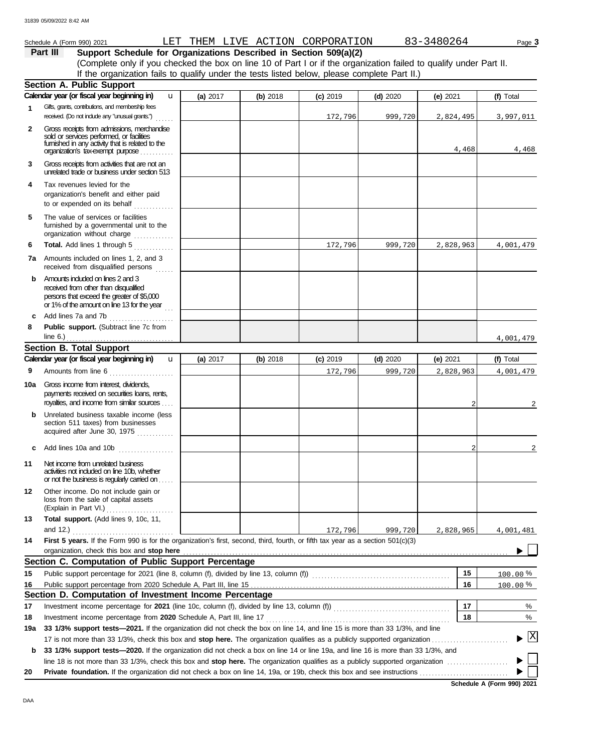| Part III<br>Support Schedule for Organizations Described in Section 509(a)(2)<br>(Complete only if you checked the box on line 10 of Part I or if the organization failed to qualify under Part II.<br>If the organization fails to qualify under the tests listed below, please complete Part II.)<br><b>Section A. Public Support</b><br>Calendar year (or fiscal year beginning in)<br><b>u</b><br>(a) 2017<br>(b) 2018<br>$(c)$ 2019<br>$(d)$ 2020<br>$(e)$ 2021<br>(f) Total<br>Gifts, grants, contributions, and membership fees<br>1<br>received. (Do not include any "unusual grants.")<br>172,796<br>2,824,495<br>999,720<br>3,997,011<br>Gross receipts from admissions, merchandise<br>$\mathbf{2}$<br>sold or services performed, or facilities<br>furnished in any activity that is related to the<br>4,468<br>4,468<br>organization's tax-exempt purpose<br>Gross receipts from activities that are not an<br>3<br>unrelated trade or business under section 513<br>Tax revenues levied for the<br>4<br>organization's benefit and either paid<br>to or expended on its behalf<br>The value of services or facilities<br>5<br>furnished by a governmental unit to the<br>organization without charge<br>Total. Add lines 1 through 5<br>172,796<br>999,720<br>2,828,963<br>4,001,479<br>6<br>7a Amounts included on lines 1, 2, and 3<br>received from disqualified persons<br>Amounts induded on lines 2 and 3<br>b<br>received from other than disqualified<br>persons that exceed the greater of \$5,000<br>or 1% of the amount on line 13 for the year<br>Add lines 7a and 7b<br>c<br>Public support. (Subtract line 7c from<br>8<br>line 6.) $\ldots$ $\ldots$ $\ldots$ $\ldots$ $\ldots$ $\ldots$ $\ldots$<br>4,001,479<br><b>Section B. Total Support</b><br>Calendar year (or fiscal year beginning in)<br><b>u</b><br>(a) 2017<br>(b) 2018<br>$(c)$ 2019<br>$(d)$ 2020<br>(e) 2021<br>(f) Total<br>Amounts from line 6<br>9<br>172,796<br>999,720<br>2,828,963<br>4,001,479<br>Gross income from interest, dividends,<br>10a<br>payments received on securities loans, rents,<br>royalties, and income from similar sources<br>Unrelated business taxable income (less<br>b.<br>section 511 taxes) from businesses<br>acquired after June 30, 1975<br>Add lines 10a and 10b<br>2<br>. <b>.</b> .<br>c<br>Net income from unrelated business<br>11<br>activities not induded on line 10b, whether<br>or not the business is regularly carried on<br>Other income. Do not include gain or<br>12<br>loss from the sale of capital assets<br>Total support. (Add lines 9, 10c, 11,<br>13<br>2,828,965<br>172,796<br>999,720<br>4,001,481<br>First 5 years. If the Form 990 is for the organization's first, second, third, fourth, or fifth tax year as a section 501(c)(3)<br>14<br>organization, check this box and stop here <b>construction and construction</b> construction of the state of the state of the state of the state of the state of the state of the state of the state of the state of the state of t<br>Section C. Computation of Public Support Percentage<br>15<br>15<br>100.00%<br>16<br>100.00 %<br>16<br>Section D. Computation of Investment Income Percentage<br>17<br>17<br>%<br>Investment income percentage from 2020 Schedule A, Part III, line 17<br>18<br>%<br>18<br>33 1/3% support tests-2021. If the organization did not check the box on line 14, and line 15 is more than 33 1/3%, and line<br>19a<br>$\mathbf{X}$<br>33 1/3% support tests-2020. If the organization did not check a box on line 14 or line 19a, and line 16 is more than 33 1/3%, and<br>b | Schedule A (Form 990) 2021 |  |  | LET THEM LIVE ACTION CORPORATION |  | 83-3480264 | Page 3 |
|------------------------------------------------------------------------------------------------------------------------------------------------------------------------------------------------------------------------------------------------------------------------------------------------------------------------------------------------------------------------------------------------------------------------------------------------------------------------------------------------------------------------------------------------------------------------------------------------------------------------------------------------------------------------------------------------------------------------------------------------------------------------------------------------------------------------------------------------------------------------------------------------------------------------------------------------------------------------------------------------------------------------------------------------------------------------------------------------------------------------------------------------------------------------------------------------------------------------------------------------------------------------------------------------------------------------------------------------------------------------------------------------------------------------------------------------------------------------------------------------------------------------------------------------------------------------------------------------------------------------------------------------------------------------------------------------------------------------------------------------------------------------------------------------------------------------------------------------------------------------------------------------------------------------------------------------------------------------------------------------------------------------------------------------------------------------------------------------------------------------------------------------------------------------------------------------------------------------------------------------------------------------------------------------------------------------------------------------------------------------------------------------------------------------------------------------------------------------------------------------------------------------------------------------------------------------------------------------------------------------------------------------------------------------------------------------------------------------------------------------------------------------------------------------------------------------------------------------------------------------------------------------------------------------------------------------------------------------------------------------------------------------------------------------------------------------------------------------------------------------------------------------------------------------------------------------------------------------------------------------------------------------------------------------------------------------------------------------------------------------------------------------------------------------------------------------------------------------------------------------------------------------------------------------------------------------------------------------------------------------|----------------------------|--|--|----------------------------------|--|------------|--------|
|                                                                                                                                                                                                                                                                                                                                                                                                                                                                                                                                                                                                                                                                                                                                                                                                                                                                                                                                                                                                                                                                                                                                                                                                                                                                                                                                                                                                                                                                                                                                                                                                                                                                                                                                                                                                                                                                                                                                                                                                                                                                                                                                                                                                                                                                                                                                                                                                                                                                                                                                                                                                                                                                                                                                                                                                                                                                                                                                                                                                                                                                                                                                                                                                                                                                                                                                                                                                                                                                                                                                                                                                                        |                            |  |  |                                  |  |            |        |
|                                                                                                                                                                                                                                                                                                                                                                                                                                                                                                                                                                                                                                                                                                                                                                                                                                                                                                                                                                                                                                                                                                                                                                                                                                                                                                                                                                                                                                                                                                                                                                                                                                                                                                                                                                                                                                                                                                                                                                                                                                                                                                                                                                                                                                                                                                                                                                                                                                                                                                                                                                                                                                                                                                                                                                                                                                                                                                                                                                                                                                                                                                                                                                                                                                                                                                                                                                                                                                                                                                                                                                                                                        |                            |  |  |                                  |  |            |        |
|                                                                                                                                                                                                                                                                                                                                                                                                                                                                                                                                                                                                                                                                                                                                                                                                                                                                                                                                                                                                                                                                                                                                                                                                                                                                                                                                                                                                                                                                                                                                                                                                                                                                                                                                                                                                                                                                                                                                                                                                                                                                                                                                                                                                                                                                                                                                                                                                                                                                                                                                                                                                                                                                                                                                                                                                                                                                                                                                                                                                                                                                                                                                                                                                                                                                                                                                                                                                                                                                                                                                                                                                                        |                            |  |  |                                  |  |            |        |
|                                                                                                                                                                                                                                                                                                                                                                                                                                                                                                                                                                                                                                                                                                                                                                                                                                                                                                                                                                                                                                                                                                                                                                                                                                                                                                                                                                                                                                                                                                                                                                                                                                                                                                                                                                                                                                                                                                                                                                                                                                                                                                                                                                                                                                                                                                                                                                                                                                                                                                                                                                                                                                                                                                                                                                                                                                                                                                                                                                                                                                                                                                                                                                                                                                                                                                                                                                                                                                                                                                                                                                                                                        |                            |  |  |                                  |  |            |        |
|                                                                                                                                                                                                                                                                                                                                                                                                                                                                                                                                                                                                                                                                                                                                                                                                                                                                                                                                                                                                                                                                                                                                                                                                                                                                                                                                                                                                                                                                                                                                                                                                                                                                                                                                                                                                                                                                                                                                                                                                                                                                                                                                                                                                                                                                                                                                                                                                                                                                                                                                                                                                                                                                                                                                                                                                                                                                                                                                                                                                                                                                                                                                                                                                                                                                                                                                                                                                                                                                                                                                                                                                                        |                            |  |  |                                  |  |            |        |
|                                                                                                                                                                                                                                                                                                                                                                                                                                                                                                                                                                                                                                                                                                                                                                                                                                                                                                                                                                                                                                                                                                                                                                                                                                                                                                                                                                                                                                                                                                                                                                                                                                                                                                                                                                                                                                                                                                                                                                                                                                                                                                                                                                                                                                                                                                                                                                                                                                                                                                                                                                                                                                                                                                                                                                                                                                                                                                                                                                                                                                                                                                                                                                                                                                                                                                                                                                                                                                                                                                                                                                                                                        |                            |  |  |                                  |  |            |        |
|                                                                                                                                                                                                                                                                                                                                                                                                                                                                                                                                                                                                                                                                                                                                                                                                                                                                                                                                                                                                                                                                                                                                                                                                                                                                                                                                                                                                                                                                                                                                                                                                                                                                                                                                                                                                                                                                                                                                                                                                                                                                                                                                                                                                                                                                                                                                                                                                                                                                                                                                                                                                                                                                                                                                                                                                                                                                                                                                                                                                                                                                                                                                                                                                                                                                                                                                                                                                                                                                                                                                                                                                                        |                            |  |  |                                  |  |            |        |
|                                                                                                                                                                                                                                                                                                                                                                                                                                                                                                                                                                                                                                                                                                                                                                                                                                                                                                                                                                                                                                                                                                                                                                                                                                                                                                                                                                                                                                                                                                                                                                                                                                                                                                                                                                                                                                                                                                                                                                                                                                                                                                                                                                                                                                                                                                                                                                                                                                                                                                                                                                                                                                                                                                                                                                                                                                                                                                                                                                                                                                                                                                                                                                                                                                                                                                                                                                                                                                                                                                                                                                                                                        |                            |  |  |                                  |  |            |        |
|                                                                                                                                                                                                                                                                                                                                                                                                                                                                                                                                                                                                                                                                                                                                                                                                                                                                                                                                                                                                                                                                                                                                                                                                                                                                                                                                                                                                                                                                                                                                                                                                                                                                                                                                                                                                                                                                                                                                                                                                                                                                                                                                                                                                                                                                                                                                                                                                                                                                                                                                                                                                                                                                                                                                                                                                                                                                                                                                                                                                                                                                                                                                                                                                                                                                                                                                                                                                                                                                                                                                                                                                                        |                            |  |  |                                  |  |            |        |
|                                                                                                                                                                                                                                                                                                                                                                                                                                                                                                                                                                                                                                                                                                                                                                                                                                                                                                                                                                                                                                                                                                                                                                                                                                                                                                                                                                                                                                                                                                                                                                                                                                                                                                                                                                                                                                                                                                                                                                                                                                                                                                                                                                                                                                                                                                                                                                                                                                                                                                                                                                                                                                                                                                                                                                                                                                                                                                                                                                                                                                                                                                                                                                                                                                                                                                                                                                                                                                                                                                                                                                                                                        |                            |  |  |                                  |  |            |        |
|                                                                                                                                                                                                                                                                                                                                                                                                                                                                                                                                                                                                                                                                                                                                                                                                                                                                                                                                                                                                                                                                                                                                                                                                                                                                                                                                                                                                                                                                                                                                                                                                                                                                                                                                                                                                                                                                                                                                                                                                                                                                                                                                                                                                                                                                                                                                                                                                                                                                                                                                                                                                                                                                                                                                                                                                                                                                                                                                                                                                                                                                                                                                                                                                                                                                                                                                                                                                                                                                                                                                                                                                                        |                            |  |  |                                  |  |            |        |
|                                                                                                                                                                                                                                                                                                                                                                                                                                                                                                                                                                                                                                                                                                                                                                                                                                                                                                                                                                                                                                                                                                                                                                                                                                                                                                                                                                                                                                                                                                                                                                                                                                                                                                                                                                                                                                                                                                                                                                                                                                                                                                                                                                                                                                                                                                                                                                                                                                                                                                                                                                                                                                                                                                                                                                                                                                                                                                                                                                                                                                                                                                                                                                                                                                                                                                                                                                                                                                                                                                                                                                                                                        |                            |  |  |                                  |  |            |        |
|                                                                                                                                                                                                                                                                                                                                                                                                                                                                                                                                                                                                                                                                                                                                                                                                                                                                                                                                                                                                                                                                                                                                                                                                                                                                                                                                                                                                                                                                                                                                                                                                                                                                                                                                                                                                                                                                                                                                                                                                                                                                                                                                                                                                                                                                                                                                                                                                                                                                                                                                                                                                                                                                                                                                                                                                                                                                                                                                                                                                                                                                                                                                                                                                                                                                                                                                                                                                                                                                                                                                                                                                                        |                            |  |  |                                  |  |            |        |
|                                                                                                                                                                                                                                                                                                                                                                                                                                                                                                                                                                                                                                                                                                                                                                                                                                                                                                                                                                                                                                                                                                                                                                                                                                                                                                                                                                                                                                                                                                                                                                                                                                                                                                                                                                                                                                                                                                                                                                                                                                                                                                                                                                                                                                                                                                                                                                                                                                                                                                                                                                                                                                                                                                                                                                                                                                                                                                                                                                                                                                                                                                                                                                                                                                                                                                                                                                                                                                                                                                                                                                                                                        |                            |  |  |                                  |  |            |        |
|                                                                                                                                                                                                                                                                                                                                                                                                                                                                                                                                                                                                                                                                                                                                                                                                                                                                                                                                                                                                                                                                                                                                                                                                                                                                                                                                                                                                                                                                                                                                                                                                                                                                                                                                                                                                                                                                                                                                                                                                                                                                                                                                                                                                                                                                                                                                                                                                                                                                                                                                                                                                                                                                                                                                                                                                                                                                                                                                                                                                                                                                                                                                                                                                                                                                                                                                                                                                                                                                                                                                                                                                                        |                            |  |  |                                  |  |            |        |
|                                                                                                                                                                                                                                                                                                                                                                                                                                                                                                                                                                                                                                                                                                                                                                                                                                                                                                                                                                                                                                                                                                                                                                                                                                                                                                                                                                                                                                                                                                                                                                                                                                                                                                                                                                                                                                                                                                                                                                                                                                                                                                                                                                                                                                                                                                                                                                                                                                                                                                                                                                                                                                                                                                                                                                                                                                                                                                                                                                                                                                                                                                                                                                                                                                                                                                                                                                                                                                                                                                                                                                                                                        |                            |  |  |                                  |  |            |        |
|                                                                                                                                                                                                                                                                                                                                                                                                                                                                                                                                                                                                                                                                                                                                                                                                                                                                                                                                                                                                                                                                                                                                                                                                                                                                                                                                                                                                                                                                                                                                                                                                                                                                                                                                                                                                                                                                                                                                                                                                                                                                                                                                                                                                                                                                                                                                                                                                                                                                                                                                                                                                                                                                                                                                                                                                                                                                                                                                                                                                                                                                                                                                                                                                                                                                                                                                                                                                                                                                                                                                                                                                                        |                            |  |  |                                  |  |            |        |
|                                                                                                                                                                                                                                                                                                                                                                                                                                                                                                                                                                                                                                                                                                                                                                                                                                                                                                                                                                                                                                                                                                                                                                                                                                                                                                                                                                                                                                                                                                                                                                                                                                                                                                                                                                                                                                                                                                                                                                                                                                                                                                                                                                                                                                                                                                                                                                                                                                                                                                                                                                                                                                                                                                                                                                                                                                                                                                                                                                                                                                                                                                                                                                                                                                                                                                                                                                                                                                                                                                                                                                                                                        |                            |  |  |                                  |  |            |        |
|                                                                                                                                                                                                                                                                                                                                                                                                                                                                                                                                                                                                                                                                                                                                                                                                                                                                                                                                                                                                                                                                                                                                                                                                                                                                                                                                                                                                                                                                                                                                                                                                                                                                                                                                                                                                                                                                                                                                                                                                                                                                                                                                                                                                                                                                                                                                                                                                                                                                                                                                                                                                                                                                                                                                                                                                                                                                                                                                                                                                                                                                                                                                                                                                                                                                                                                                                                                                                                                                                                                                                                                                                        |                            |  |  |                                  |  |            |        |
|                                                                                                                                                                                                                                                                                                                                                                                                                                                                                                                                                                                                                                                                                                                                                                                                                                                                                                                                                                                                                                                                                                                                                                                                                                                                                                                                                                                                                                                                                                                                                                                                                                                                                                                                                                                                                                                                                                                                                                                                                                                                                                                                                                                                                                                                                                                                                                                                                                                                                                                                                                                                                                                                                                                                                                                                                                                                                                                                                                                                                                                                                                                                                                                                                                                                                                                                                                                                                                                                                                                                                                                                                        |                            |  |  |                                  |  |            |        |
|                                                                                                                                                                                                                                                                                                                                                                                                                                                                                                                                                                                                                                                                                                                                                                                                                                                                                                                                                                                                                                                                                                                                                                                                                                                                                                                                                                                                                                                                                                                                                                                                                                                                                                                                                                                                                                                                                                                                                                                                                                                                                                                                                                                                                                                                                                                                                                                                                                                                                                                                                                                                                                                                                                                                                                                                                                                                                                                                                                                                                                                                                                                                                                                                                                                                                                                                                                                                                                                                                                                                                                                                                        |                            |  |  |                                  |  |            |        |
|                                                                                                                                                                                                                                                                                                                                                                                                                                                                                                                                                                                                                                                                                                                                                                                                                                                                                                                                                                                                                                                                                                                                                                                                                                                                                                                                                                                                                                                                                                                                                                                                                                                                                                                                                                                                                                                                                                                                                                                                                                                                                                                                                                                                                                                                                                                                                                                                                                                                                                                                                                                                                                                                                                                                                                                                                                                                                                                                                                                                                                                                                                                                                                                                                                                                                                                                                                                                                                                                                                                                                                                                                        |                            |  |  |                                  |  |            |        |
|                                                                                                                                                                                                                                                                                                                                                                                                                                                                                                                                                                                                                                                                                                                                                                                                                                                                                                                                                                                                                                                                                                                                                                                                                                                                                                                                                                                                                                                                                                                                                                                                                                                                                                                                                                                                                                                                                                                                                                                                                                                                                                                                                                                                                                                                                                                                                                                                                                                                                                                                                                                                                                                                                                                                                                                                                                                                                                                                                                                                                                                                                                                                                                                                                                                                                                                                                                                                                                                                                                                                                                                                                        |                            |  |  |                                  |  |            |        |
|                                                                                                                                                                                                                                                                                                                                                                                                                                                                                                                                                                                                                                                                                                                                                                                                                                                                                                                                                                                                                                                                                                                                                                                                                                                                                                                                                                                                                                                                                                                                                                                                                                                                                                                                                                                                                                                                                                                                                                                                                                                                                                                                                                                                                                                                                                                                                                                                                                                                                                                                                                                                                                                                                                                                                                                                                                                                                                                                                                                                                                                                                                                                                                                                                                                                                                                                                                                                                                                                                                                                                                                                                        |                            |  |  |                                  |  |            |        |
|                                                                                                                                                                                                                                                                                                                                                                                                                                                                                                                                                                                                                                                                                                                                                                                                                                                                                                                                                                                                                                                                                                                                                                                                                                                                                                                                                                                                                                                                                                                                                                                                                                                                                                                                                                                                                                                                                                                                                                                                                                                                                                                                                                                                                                                                                                                                                                                                                                                                                                                                                                                                                                                                                                                                                                                                                                                                                                                                                                                                                                                                                                                                                                                                                                                                                                                                                                                                                                                                                                                                                                                                                        |                            |  |  |                                  |  |            |        |
|                                                                                                                                                                                                                                                                                                                                                                                                                                                                                                                                                                                                                                                                                                                                                                                                                                                                                                                                                                                                                                                                                                                                                                                                                                                                                                                                                                                                                                                                                                                                                                                                                                                                                                                                                                                                                                                                                                                                                                                                                                                                                                                                                                                                                                                                                                                                                                                                                                                                                                                                                                                                                                                                                                                                                                                                                                                                                                                                                                                                                                                                                                                                                                                                                                                                                                                                                                                                                                                                                                                                                                                                                        |                            |  |  |                                  |  |            |        |
|                                                                                                                                                                                                                                                                                                                                                                                                                                                                                                                                                                                                                                                                                                                                                                                                                                                                                                                                                                                                                                                                                                                                                                                                                                                                                                                                                                                                                                                                                                                                                                                                                                                                                                                                                                                                                                                                                                                                                                                                                                                                                                                                                                                                                                                                                                                                                                                                                                                                                                                                                                                                                                                                                                                                                                                                                                                                                                                                                                                                                                                                                                                                                                                                                                                                                                                                                                                                                                                                                                                                                                                                                        |                            |  |  |                                  |  |            |        |
|                                                                                                                                                                                                                                                                                                                                                                                                                                                                                                                                                                                                                                                                                                                                                                                                                                                                                                                                                                                                                                                                                                                                                                                                                                                                                                                                                                                                                                                                                                                                                                                                                                                                                                                                                                                                                                                                                                                                                                                                                                                                                                                                                                                                                                                                                                                                                                                                                                                                                                                                                                                                                                                                                                                                                                                                                                                                                                                                                                                                                                                                                                                                                                                                                                                                                                                                                                                                                                                                                                                                                                                                                        |                            |  |  |                                  |  |            |        |
|                                                                                                                                                                                                                                                                                                                                                                                                                                                                                                                                                                                                                                                                                                                                                                                                                                                                                                                                                                                                                                                                                                                                                                                                                                                                                                                                                                                                                                                                                                                                                                                                                                                                                                                                                                                                                                                                                                                                                                                                                                                                                                                                                                                                                                                                                                                                                                                                                                                                                                                                                                                                                                                                                                                                                                                                                                                                                                                                                                                                                                                                                                                                                                                                                                                                                                                                                                                                                                                                                                                                                                                                                        |                            |  |  |                                  |  |            |        |
|                                                                                                                                                                                                                                                                                                                                                                                                                                                                                                                                                                                                                                                                                                                                                                                                                                                                                                                                                                                                                                                                                                                                                                                                                                                                                                                                                                                                                                                                                                                                                                                                                                                                                                                                                                                                                                                                                                                                                                                                                                                                                                                                                                                                                                                                                                                                                                                                                                                                                                                                                                                                                                                                                                                                                                                                                                                                                                                                                                                                                                                                                                                                                                                                                                                                                                                                                                                                                                                                                                                                                                                                                        |                            |  |  |                                  |  |            |        |
|                                                                                                                                                                                                                                                                                                                                                                                                                                                                                                                                                                                                                                                                                                                                                                                                                                                                                                                                                                                                                                                                                                                                                                                                                                                                                                                                                                                                                                                                                                                                                                                                                                                                                                                                                                                                                                                                                                                                                                                                                                                                                                                                                                                                                                                                                                                                                                                                                                                                                                                                                                                                                                                                                                                                                                                                                                                                                                                                                                                                                                                                                                                                                                                                                                                                                                                                                                                                                                                                                                                                                                                                                        |                            |  |  |                                  |  |            |        |
|                                                                                                                                                                                                                                                                                                                                                                                                                                                                                                                                                                                                                                                                                                                                                                                                                                                                                                                                                                                                                                                                                                                                                                                                                                                                                                                                                                                                                                                                                                                                                                                                                                                                                                                                                                                                                                                                                                                                                                                                                                                                                                                                                                                                                                                                                                                                                                                                                                                                                                                                                                                                                                                                                                                                                                                                                                                                                                                                                                                                                                                                                                                                                                                                                                                                                                                                                                                                                                                                                                                                                                                                                        |                            |  |  |                                  |  |            |        |
|                                                                                                                                                                                                                                                                                                                                                                                                                                                                                                                                                                                                                                                                                                                                                                                                                                                                                                                                                                                                                                                                                                                                                                                                                                                                                                                                                                                                                                                                                                                                                                                                                                                                                                                                                                                                                                                                                                                                                                                                                                                                                                                                                                                                                                                                                                                                                                                                                                                                                                                                                                                                                                                                                                                                                                                                                                                                                                                                                                                                                                                                                                                                                                                                                                                                                                                                                                                                                                                                                                                                                                                                                        |                            |  |  |                                  |  |            |        |
|                                                                                                                                                                                                                                                                                                                                                                                                                                                                                                                                                                                                                                                                                                                                                                                                                                                                                                                                                                                                                                                                                                                                                                                                                                                                                                                                                                                                                                                                                                                                                                                                                                                                                                                                                                                                                                                                                                                                                                                                                                                                                                                                                                                                                                                                                                                                                                                                                                                                                                                                                                                                                                                                                                                                                                                                                                                                                                                                                                                                                                                                                                                                                                                                                                                                                                                                                                                                                                                                                                                                                                                                                        |                            |  |  |                                  |  |            |        |
|                                                                                                                                                                                                                                                                                                                                                                                                                                                                                                                                                                                                                                                                                                                                                                                                                                                                                                                                                                                                                                                                                                                                                                                                                                                                                                                                                                                                                                                                                                                                                                                                                                                                                                                                                                                                                                                                                                                                                                                                                                                                                                                                                                                                                                                                                                                                                                                                                                                                                                                                                                                                                                                                                                                                                                                                                                                                                                                                                                                                                                                                                                                                                                                                                                                                                                                                                                                                                                                                                                                                                                                                                        |                            |  |  |                                  |  |            |        |
| 20                                                                                                                                                                                                                                                                                                                                                                                                                                                                                                                                                                                                                                                                                                                                                                                                                                                                                                                                                                                                                                                                                                                                                                                                                                                                                                                                                                                                                                                                                                                                                                                                                                                                                                                                                                                                                                                                                                                                                                                                                                                                                                                                                                                                                                                                                                                                                                                                                                                                                                                                                                                                                                                                                                                                                                                                                                                                                                                                                                                                                                                                                                                                                                                                                                                                                                                                                                                                                                                                                                                                                                                                                     |                            |  |  |                                  |  |            |        |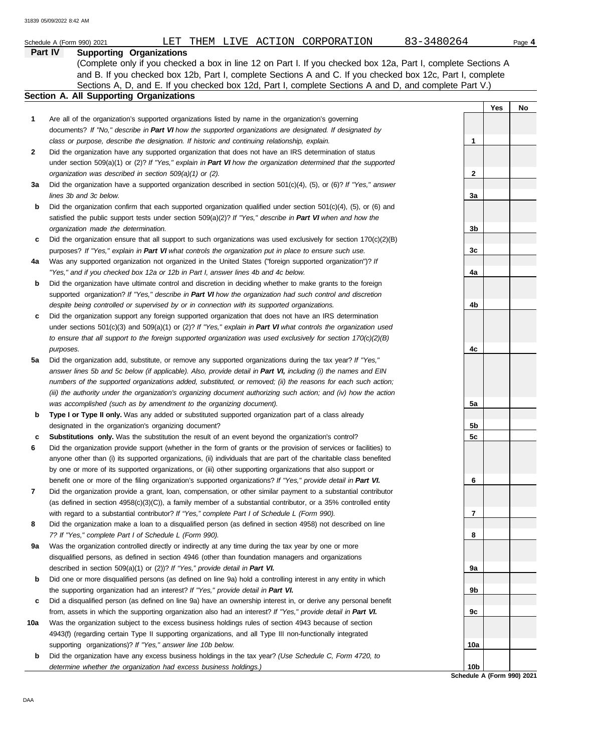|     | Part IV<br><b>Supporting Organizations</b>                                                                          |     |     | Page 4 |
|-----|---------------------------------------------------------------------------------------------------------------------|-----|-----|--------|
|     | (Complete only if you checked a box in line 12 on Part I. If you checked box 12a, Part I, complete Sections A       |     |     |        |
|     | and B. If you checked box 12b, Part I, complete Sections A and C. If you checked box 12c, Part I, complete          |     |     |        |
|     | Sections A, D, and E. If you checked box 12d, Part I, complete Sections A and D, and complete Part V.)              |     |     |        |
|     | Section A. All Supporting Organizations                                                                             |     |     |        |
|     |                                                                                                                     |     | Yes | No     |
| 1   | Are all of the organization's supported organizations listed by name in the organization's governing                |     |     |        |
|     | documents? If "No," describe in Part VI how the supported organizations are designated. If designated by            |     |     |        |
|     | class or purpose, describe the designation. If historic and continuing relationship, explain.                       | 1   |     |        |
| 2   | Did the organization have any supported organization that does not have an IRS determination of status              |     |     |        |
|     | under section 509(a)(1) or (2)? If "Yes," explain in Part VI how the organization determined that the supported     |     |     |        |
|     | organization was described in section 509(a)(1) or (2).                                                             | 2   |     |        |
| За  | Did the organization have a supported organization described in section $501(c)(4)$ , (5), or (6)? If "Yes," answer |     |     |        |
|     | lines 3b and 3c below.                                                                                              | За  |     |        |
| b   | Did the organization confirm that each supported organization qualified under section $501(c)(4)$ , (5), or (6) and |     |     |        |
|     | satisfied the public support tests under section 509(a)(2)? If "Yes," describe in Part VI when and how the          |     |     |        |
|     | organization made the determination.                                                                                | 3b  |     |        |
|     | Did the organization ensure that all support to such organizations was used exclusively for section $170(c)(2)(B)$  |     |     |        |
| c   |                                                                                                                     |     |     |        |
|     | purposes? If "Yes," explain in Part VI what controls the organization put in place to ensure such use.              | 3c  |     |        |
| 4a  | Was any supported organization not organized in the United States ("foreign supported organization")? If            |     |     |        |
|     | "Yes," and if you checked box 12a or 12b in Part I, answer lines 4b and 4c below.                                   | 4a  |     |        |
| b   | Did the organization have ultimate control and discretion in deciding whether to make grants to the foreign         |     |     |        |
|     | supported organization? If "Yes," describe in Part VI how the organization had such control and discretion          |     |     |        |
|     | despite being controlled or supervised by or in connection with its supported organizations.                        | 4b  |     |        |
| c   | Did the organization support any foreign supported organization that does not have an IRS determination             |     |     |        |
|     | under sections $501(c)(3)$ and $509(a)(1)$ or (2)? If "Yes," explain in Part VI what controls the organization used |     |     |        |
|     | to ensure that all support to the foreign supported organization was used exclusively for section $170(c)(2)(B)$    |     |     |        |
|     | purposes.                                                                                                           | 4c  |     |        |
| 5a  | Did the organization add, substitute, or remove any supported organizations during the tax year? If "Yes,"          |     |     |        |
|     | answer lines 5b and 5c below (if applicable). Also, provide detail in Part VI, including (i) the names and EIN      |     |     |        |
|     | numbers of the supported organizations added, substituted, or removed; (ii) the reasons for each such action;       |     |     |        |
|     | (iii) the authority under the organization's organizing document authorizing such action; and (iv) how the action   |     |     |        |
|     | was accomplished (such as by amendment to the organizing document).                                                 | 5a  |     |        |
| b   | Type I or Type II only. Was any added or substituted supported organization part of a class already                 |     |     |        |
|     | designated in the organization's organizing document?                                                               | 5b  |     |        |
|     | Substitutions only. Was the substitution the result of an event beyond the organization's control?                  | 5c  |     |        |
| 6   | Did the organization provide support (whether in the form of grants or the provision of services or facilities) to  |     |     |        |
|     | anyone other than (i) its supported organizations, (ii) individuals that are part of the charitable class benefited |     |     |        |
|     | by one or more of its supported organizations, or (iii) other supporting organizations that also support or         |     |     |        |
|     | benefit one or more of the filing organization's supported organizations? If "Yes," provide detail in Part VI.      | 6   |     |        |
| 7   | Did the organization provide a grant, loan, compensation, or other similar payment to a substantial contributor     |     |     |        |
|     | (as defined in section 4958(c)(3)(C)), a family member of a substantial contributor, or a 35% controlled entity     |     |     |        |
|     |                                                                                                                     | 7   |     |        |
|     | with regard to a substantial contributor? If "Yes," complete Part I of Schedule L (Form 990).                       |     |     |        |
| 8   | Did the organization make a loan to a disqualified person (as defined in section 4958) not described on line        |     |     |        |
|     | 7? If "Yes," complete Part I of Schedule L (Form 990).                                                              | 8   |     |        |
| 9а  | Was the organization controlled directly or indirectly at any time during the tax year by one or more               |     |     |        |
|     | disqualified persons, as defined in section 4946 (other than foundation managers and organizations                  |     |     |        |
|     | described in section 509(a)(1) or (2))? If "Yes," provide detail in Part VI.                                        | 9а  |     |        |
| b   | Did one or more disqualified persons (as defined on line 9a) hold a controlling interest in any entity in which     |     |     |        |
|     | the supporting organization had an interest? If "Yes," provide detail in Part VI.                                   | 9b  |     |        |
| c   | Did a disqualified person (as defined on line 9a) have an ownership interest in, or derive any personal benefit     |     |     |        |
|     | from, assets in which the supporting organization also had an interest? If "Yes," provide detail in Part VI.        | 9c  |     |        |
| 10a | Was the organization subject to the excess business holdings rules of section 4943 because of section               |     |     |        |
|     | 4943(f) (regarding certain Type II supporting organizations, and all Type III non-functionally integrated           |     |     |        |
|     | supporting organizations)? If "Yes," answer line 10b below.                                                         | 10a |     |        |
|     | Did the organization have any excess business holdings in the tax year? (Use Schedule C, Form 4720, to              |     |     |        |
| b   |                                                                                                                     |     |     |        |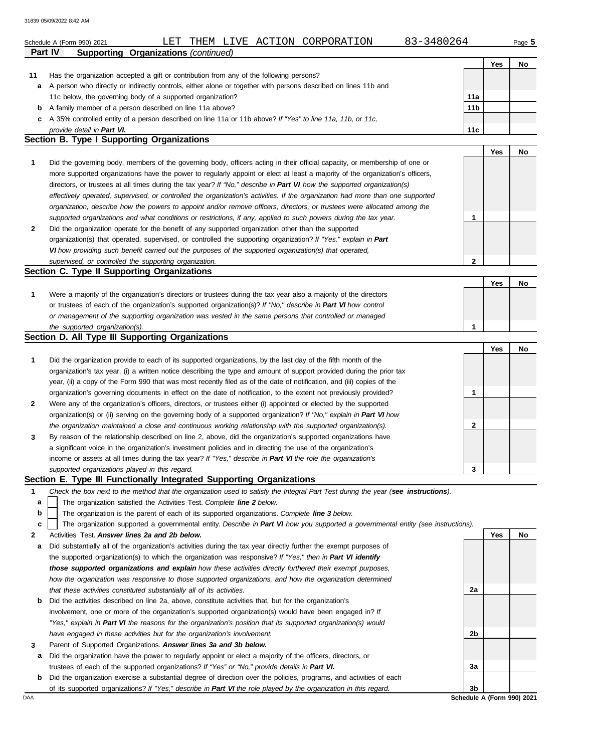|              | 83-3480264<br>THEM LIVE ACTION CORPORATION<br>LET<br>Schedule A (Form 990) 2021                                                                                                  |                        |     | Page 5 |
|--------------|----------------------------------------------------------------------------------------------------------------------------------------------------------------------------------|------------------------|-----|--------|
|              | <b>Supporting Organizations (continued)</b><br>Part IV                                                                                                                           |                        |     |        |
|              |                                                                                                                                                                                  |                        | Yes | No     |
| 11           | Has the organization accepted a gift or contribution from any of the following persons?                                                                                          |                        |     |        |
| а            | A person who directly or indirectly controls, either alone or together with persons described on lines 11b and                                                                   |                        |     |        |
|              | 11c below, the governing body of a supported organization?                                                                                                                       | 11a<br>11 <sub>b</sub> |     |        |
| b<br>c       | A family member of a person described on line 11a above?<br>A 35% controlled entity of a person described on line 11a or 11b above? If "Yes" to line 11a, 11b, or 11c,           |                        |     |        |
|              | provide detail in Part VI.                                                                                                                                                       | 11c                    |     |        |
|              | Section B. Type I Supporting Organizations                                                                                                                                       |                        |     |        |
|              |                                                                                                                                                                                  |                        | Yes | No     |
| 1            | Did the governing body, members of the governing body, officers acting in their official capacity, or membership of one or                                                       |                        |     |        |
|              | more supported organizations have the power to regularly appoint or elect at least a majority of the organization's officers,                                                    |                        |     |        |
|              | directors, or trustees at all times during the tax year? If "No," describe in Part VI how the supported organization(s)                                                          |                        |     |        |
|              | effectively operated, supervised, or controlled the organization's activities. If the organization had more than one supported                                                   |                        |     |        |
|              | organization, describe how the powers to appoint and/or remove officers, directors, or trustees were allocated among the                                                         |                        |     |        |
|              | supported organizations and what conditions or restrictions, if any, applied to such powers during the tax year.                                                                 | 1                      |     |        |
| 2            | Did the organization operate for the benefit of any supported organization other than the supported                                                                              |                        |     |        |
|              | organization(s) that operated, supervised, or controlled the supporting organization? If "Yes," explain in Part                                                                  |                        |     |        |
|              | VI how providing such benefit carried out the purposes of the supported organization(s) that operated,                                                                           |                        |     |        |
|              | supervised, or controlled the supporting organization.                                                                                                                           | 2                      |     |        |
|              | Section C. Type II Supporting Organizations                                                                                                                                      |                        |     |        |
|              |                                                                                                                                                                                  |                        | Yes | No.    |
| 1            | Were a majority of the organization's directors or trustees during the tax year also a majority of the directors                                                                 |                        |     |        |
|              | or trustees of each of the organization's supported organization(s)? If "No," describe in Part VI how control                                                                    |                        |     |        |
|              | or management of the supporting organization was vested in the same persons that controlled or managed                                                                           |                        |     |        |
|              | the supported organization(s).<br>Section D. All Type III Supporting Organizations                                                                                               | 1                      |     |        |
|              |                                                                                                                                                                                  |                        | Yes | No     |
| 1            | Did the organization provide to each of its supported organizations, by the last day of the fifth month of the                                                                   |                        |     |        |
|              | organization's tax year, (i) a written notice describing the type and amount of support provided during the prior tax                                                            |                        |     |        |
|              | year, (ii) a copy of the Form 990 that was most recently filed as of the date of notification, and (iii) copies of the                                                           |                        |     |        |
|              | organization's governing documents in effect on the date of notification, to the extent not previously provided?                                                                 | 1                      |     |        |
| $\mathbf{2}$ | Were any of the organization's officers, directors, or trustees either (i) appointed or elected by the supported                                                                 |                        |     |        |
|              | organization(s) or (ii) serving on the governing body of a supported organization? If "No," explain in Part VI how                                                               |                        |     |        |
|              | the organization maintained a close and continuous working relationship with the supported organization(s).                                                                      | 2                      |     |        |
| 3            | By reason of the relationship described on line 2, above, did the organization's supported organizations have                                                                    |                        |     |        |
|              | a significant voice in the organization's investment policies and in directing the use of the organization's                                                                     |                        |     |        |
|              | income or assets at all times during the tax year? If "Yes," describe in Part VI the role the organization's                                                                     |                        |     |        |
|              | supported organizations played in this regard.                                                                                                                                   | 3                      |     |        |
|              | Section E. Type III Functionally Integrated Supporting Organizations                                                                                                             |                        |     |        |
| 1            | Check the box next to the method that the organization used to satisfy the Integral Part Test during the year (see instructions).                                                |                        |     |        |
| a            | The organization satisfied the Activities Test. Complete line 2 below.                                                                                                           |                        |     |        |
| b            | The organization is the parent of each of its supported organizations. Complete line 3 below.                                                                                    |                        |     |        |
| c            | The organization supported a governmental entity. Describe in Part VI how you supported a governmental entity (see instructions).                                                |                        |     |        |
| 2            | Activities Test. Answer lines 2a and 2b below.                                                                                                                                   |                        | Yes | No     |
| а            | Did substantially all of the organization's activities during the tax year directly further the exempt purposes of                                                               |                        |     |        |
|              | the supported organization(s) to which the organization was responsive? If "Yes," then in Part VI identify                                                                       |                        |     |        |
|              | those supported organizations and explain how these activities directly furthered their exempt purposes,                                                                         |                        |     |        |
|              | how the organization was responsive to those supported organizations, and how the organization determined                                                                        |                        |     |        |
| b            | that these activities constituted substantially all of its activities.<br>Did the activities described on line 2a, above, constitute activities that, but for the organization's | 2a                     |     |        |
|              | involvement, one or more of the organization's supported organization(s) would have been engaged in? If                                                                          |                        |     |        |
|              | "Yes," explain in Part VI the reasons for the organization's position that its supported organization(s) would                                                                   |                        |     |        |
|              | have engaged in these activities but for the organization's involvement.                                                                                                         | 2b                     |     |        |
| 3            | Parent of Supported Organizations. Answer lines 3a and 3b below.                                                                                                                 |                        |     |        |
| а            | Did the organization have the power to regularly appoint or elect a majority of the officers, directors, or                                                                      |                        |     |        |
|              | trustees of each of the supported organizations? If "Yes" or "No," provide details in Part VI.                                                                                   | За                     |     |        |
| b            | Did the organization exercise a substantial degree of direction over the policies, programs, and activities of each                                                              |                        |     |        |
|              |                                                                                                                                                                                  |                        |     |        |

|  |  | of its supported organizations? If "Yes," describe in Part VI the role played by the organization in this regard. |  |
|--|--|-------------------------------------------------------------------------------------------------------------------|--|
|  |  |                                                                                                                   |  |

DAA **Schedule A (Form 990) 2021**

**3b**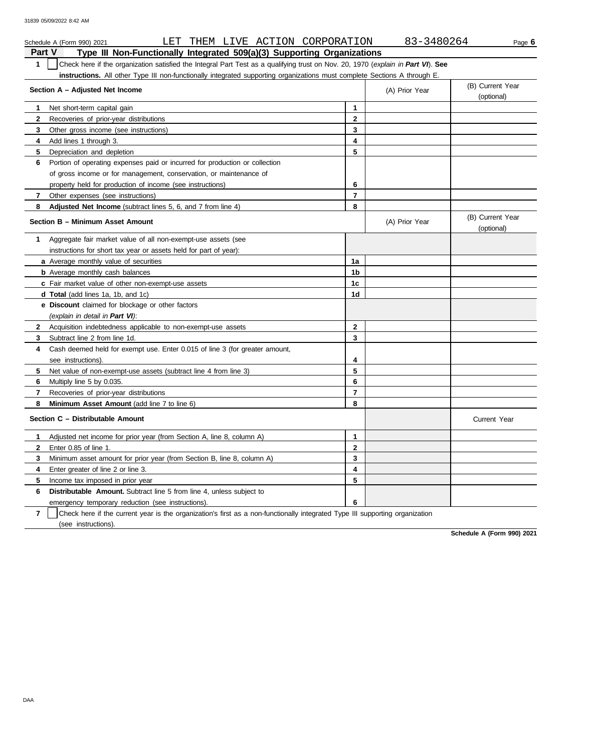|                | LET THEM LIVE ACTION CORPORATION<br>Schedule A (Form 990) 2021                                                                   |    | 83-3480264     | Page 6                         |
|----------------|----------------------------------------------------------------------------------------------------------------------------------|----|----------------|--------------------------------|
| Part V         | Type III Non-Functionally Integrated 509(a)(3) Supporting Organizations                                                          |    |                |                                |
| 1              | Check here if the organization satisfied the Integral Part Test as a qualifying trust on Nov. 20, 1970 (explain in Part VI). See |    |                |                                |
|                | instructions. All other Type III non-functionally integrated supporting organizations must complete Sections A through E.        |    |                |                                |
|                | Section A - Adjusted Net Income                                                                                                  |    | (A) Prior Year | (B) Current Year<br>(optional) |
| 1              | Net short-term capital gain                                                                                                      | 1  |                |                                |
| 2              | Recoveries of prior-year distributions                                                                                           | 2  |                |                                |
| 3              | Other gross income (see instructions)                                                                                            | 3  |                |                                |
| 4              | Add lines 1 through 3.                                                                                                           | 4  |                |                                |
| 5              | Depreciation and depletion                                                                                                       | 5  |                |                                |
| 6              | Portion of operating expenses paid or incurred for production or collection                                                      |    |                |                                |
|                | of gross income or for management, conservation, or maintenance of                                                               |    |                |                                |
|                | property held for production of income (see instructions)                                                                        | 6  |                |                                |
| 7              | Other expenses (see instructions)                                                                                                | 7  |                |                                |
| 8              | <b>Adjusted Net Income</b> (subtract lines 5, 6, and 7 from line 4)                                                              | 8  |                |                                |
|                | Section B - Minimum Asset Amount                                                                                                 |    | (A) Prior Year | (B) Current Year<br>(optional) |
| 1.             | Aggregate fair market value of all non-exempt-use assets (see                                                                    |    |                |                                |
|                | instructions for short tax year or assets held for part of year):                                                                |    |                |                                |
|                | <b>a</b> Average monthly value of securities                                                                                     | 1a |                |                                |
|                | <b>b</b> Average monthly cash balances                                                                                           | 1b |                |                                |
|                | c Fair market value of other non-exempt-use assets                                                                               | 1c |                |                                |
|                | d Total (add lines 1a, 1b, and 1c)                                                                                               | 1d |                |                                |
|                | e Discount claimed for blockage or other factors                                                                                 |    |                |                                |
|                | (explain in detail in Part VI):                                                                                                  |    |                |                                |
| 2              | Acquisition indebtedness applicable to non-exempt-use assets                                                                     | 2  |                |                                |
| 3              | Subtract line 2 from line 1d.                                                                                                    | 3  |                |                                |
| 4              | Cash deemed held for exempt use. Enter 0.015 of line 3 (for greater amount,                                                      |    |                |                                |
|                | see instructions)                                                                                                                | 4  |                |                                |
| 5              | Net value of non-exempt-use assets (subtract line 4 from line 3)                                                                 | 5  |                |                                |
| 6              | Multiply line 5 by 0.035.                                                                                                        | 6  |                |                                |
| 7              | Recoveries of prior-year distributions                                                                                           | 7  |                |                                |
| 8              | <b>Minimum Asset Amount</b> (add line 7 to line 6)                                                                               | 8  |                |                                |
|                | Section C - Distributable Amount                                                                                                 |    |                | <b>Current Year</b>            |
| 1.             | Adjusted net income for prior year (from Section A, line 8, column A)                                                            | 1  |                |                                |
| $\mathbf{2}$   | Enter 0.85 of line 1.                                                                                                            | 2  |                |                                |
| 3              | Minimum asset amount for prior year (from Section B, line 8, column A)                                                           | 3  |                |                                |
| 4              | Enter greater of line 2 or line 3.                                                                                               | 4  |                |                                |
| 5              | Income tax imposed in prior year                                                                                                 | 5  |                |                                |
| 6              | Distributable Amount. Subtract line 5 from line 4, unless subject to                                                             |    |                |                                |
|                | emergency temporary reduction (see instructions).                                                                                | 6  |                |                                |
| $\overline{7}$ | Check here if the current year is the organization's first as a non-functionally integrated Type III supporting organization     |    |                |                                |

**7** rganization's first as a non-functionally integrated Type III supporting orgi L (see instructions).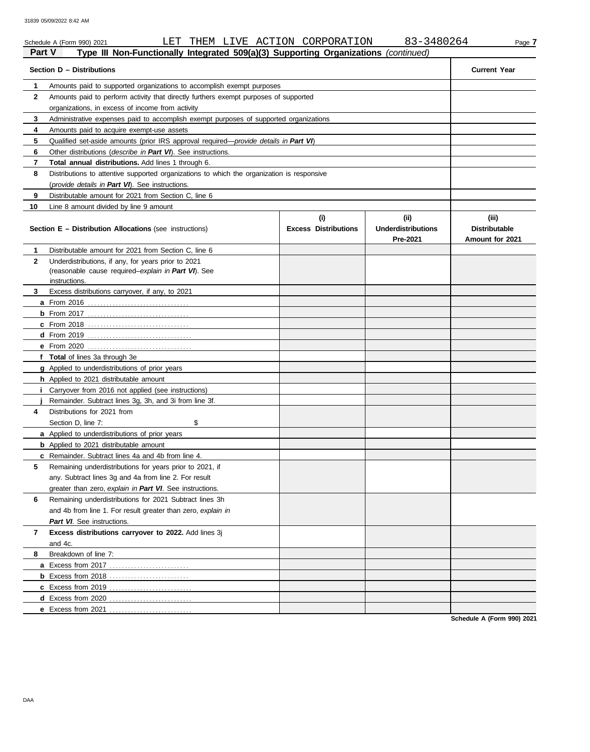|               | LET THEM LIVE ACTION CORPORATION<br>Schedule A (Form 990) 2021                             |                             | 83-3480264                            | Page 7                                  |
|---------------|--------------------------------------------------------------------------------------------|-----------------------------|---------------------------------------|-----------------------------------------|
| <b>Part V</b> | Type III Non-Functionally Integrated 509(a)(3) Supporting Organizations (continued)        |                             |                                       |                                         |
|               | Section D - Distributions                                                                  |                             |                                       | <b>Current Year</b>                     |
| 1             | Amounts paid to supported organizations to accomplish exempt purposes                      |                             |                                       |                                         |
| $\mathbf{2}$  | Amounts paid to perform activity that directly furthers exempt purposes of supported       |                             |                                       |                                         |
|               | organizations, in excess of income from activity                                           |                             |                                       |                                         |
| 3             | Administrative expenses paid to accomplish exempt purposes of supported organizations      |                             |                                       |                                         |
| 4             | Amounts paid to acquire exempt-use assets                                                  |                             |                                       |                                         |
| 5             | Qualified set-aside amounts (prior IRS approval required-provide details in Part VI)       |                             |                                       |                                         |
| 6             | Other distributions (describe in Part VI). See instructions.                               |                             |                                       |                                         |
| 7             | Total annual distributions. Add lines 1 through 6.                                         |                             |                                       |                                         |
| 8             | Distributions to attentive supported organizations to which the organization is responsive |                             |                                       |                                         |
|               | (provide details in Part VI). See instructions.                                            |                             |                                       |                                         |
| 9             | Distributable amount for 2021 from Section C, line 6                                       |                             |                                       |                                         |
| 10            | Line 8 amount divided by line 9 amount                                                     |                             |                                       |                                         |
|               |                                                                                            | (i)                         | (ii)                                  | (iii)                                   |
|               | <b>Section E - Distribution Allocations (see instructions)</b>                             | <b>Excess Distributions</b> | <b>Underdistributions</b><br>Pre-2021 | <b>Distributable</b><br>Amount for 2021 |
| 1             | Distributable amount for 2021 from Section C, line 6                                       |                             |                                       |                                         |
| 2             | Underdistributions, if any, for years prior to 2021                                        |                             |                                       |                                         |
|               | (reasonable cause required-explain in Part VI). See                                        |                             |                                       |                                         |
|               | instructions.                                                                              |                             |                                       |                                         |
| 3             | Excess distributions carryover, if any, to 2021                                            |                             |                                       |                                         |
|               |                                                                                            |                             |                                       |                                         |
|               |                                                                                            |                             |                                       |                                         |
|               |                                                                                            |                             |                                       |                                         |
|               |                                                                                            |                             |                                       |                                         |
|               |                                                                                            |                             |                                       |                                         |
|               | f Total of lines 3a through 3e                                                             |                             |                                       |                                         |
|               | <b>g</b> Applied to underdistributions of prior years                                      |                             |                                       |                                         |
|               | h Applied to 2021 distributable amount                                                     |                             |                                       |                                         |
|               | <i>i</i> Carryover from 2016 not applied (see instructions)                                |                             |                                       |                                         |
|               | Remainder. Subtract lines 3g, 3h, and 3i from line 3f.                                     |                             |                                       |                                         |
| 4             | Distributions for 2021 from                                                                |                             |                                       |                                         |
|               | \$<br>Section D, line 7:                                                                   |                             |                                       |                                         |
|               | <b>a</b> Applied to underdistributions of prior years                                      |                             |                                       |                                         |
|               | <b>b</b> Applied to 2021 distributable amount                                              |                             |                                       |                                         |
|               | <b>c</b> Remainder. Subtract lines 4a and 4b from line 4.                                  |                             |                                       |                                         |
| 5             | Remaining underdistributions for years prior to 2021, if                                   |                             |                                       |                                         |
|               | any. Subtract lines 3g and 4a from line 2. For result                                      |                             |                                       |                                         |
|               | greater than zero, explain in Part VI. See instructions.                                   |                             |                                       |                                         |
| 6             | Remaining underdistributions for 2021 Subtract lines 3h                                    |                             |                                       |                                         |
|               | and 4b from line 1. For result greater than zero, explain in                               |                             |                                       |                                         |
|               | Part VI. See instructions.                                                                 |                             |                                       |                                         |
| 7             | Excess distributions carryover to 2022. Add lines 3j                                       |                             |                                       |                                         |
|               | and 4c.                                                                                    |                             |                                       |                                         |
| 8             | Breakdown of line 7:                                                                       |                             |                                       |                                         |
|               |                                                                                            |                             |                                       |                                         |
|               |                                                                                            |                             |                                       |                                         |
|               |                                                                                            |                             |                                       |                                         |
|               |                                                                                            |                             |                                       |                                         |
|               | <b>e</b> Excess from 2021                                                                  |                             |                                       |                                         |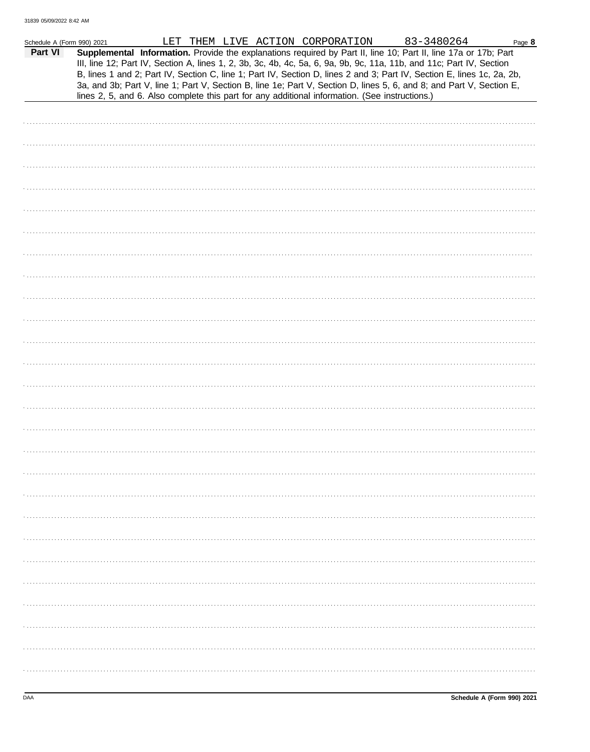| Schedule A (Form 990) 2021 |                                                                                                |  | LET THEM LIVE ACTION CORPORATION | 83-3480264                                                                                                                                                                                                                                                                                                                                                        | Page 8 |
|----------------------------|------------------------------------------------------------------------------------------------|--|----------------------------------|-------------------------------------------------------------------------------------------------------------------------------------------------------------------------------------------------------------------------------------------------------------------------------------------------------------------------------------------------------------------|--------|
| Part VI                    |                                                                                                |  |                                  | Supplemental Information. Provide the explanations required by Part II, line 10; Part II, line 17a or 17b; Part<br>III, line 12; Part IV, Section A, lines 1, 2, 3b, 3c, 4b, 4c, 5a, 6, 9a, 9b, 9c, 11a, 11b, and 11c; Part IV, Section<br>B, lines 1 and 2; Part IV, Section C, line 1; Part IV, Section D, lines 2 and 3; Part IV, Section E, lines 1c, 2a, 2b, |        |
|                            | lines 2, 5, and 6. Also complete this part for any additional information. (See instructions.) |  |                                  | 3a, and 3b; Part V, line 1; Part V, Section B, line 1e; Part V, Section D, lines 5, 6, and 8; and Part V, Section E,                                                                                                                                                                                                                                              |        |
|                            |                                                                                                |  |                                  |                                                                                                                                                                                                                                                                                                                                                                   |        |
|                            |                                                                                                |  |                                  |                                                                                                                                                                                                                                                                                                                                                                   |        |
|                            |                                                                                                |  |                                  |                                                                                                                                                                                                                                                                                                                                                                   |        |
|                            |                                                                                                |  |                                  |                                                                                                                                                                                                                                                                                                                                                                   |        |
|                            |                                                                                                |  |                                  |                                                                                                                                                                                                                                                                                                                                                                   |        |
|                            |                                                                                                |  |                                  |                                                                                                                                                                                                                                                                                                                                                                   |        |
|                            |                                                                                                |  |                                  |                                                                                                                                                                                                                                                                                                                                                                   |        |
|                            |                                                                                                |  |                                  |                                                                                                                                                                                                                                                                                                                                                                   |        |
|                            |                                                                                                |  |                                  |                                                                                                                                                                                                                                                                                                                                                                   |        |
|                            |                                                                                                |  |                                  |                                                                                                                                                                                                                                                                                                                                                                   |        |
|                            |                                                                                                |  |                                  |                                                                                                                                                                                                                                                                                                                                                                   |        |
|                            |                                                                                                |  |                                  |                                                                                                                                                                                                                                                                                                                                                                   |        |
|                            |                                                                                                |  |                                  |                                                                                                                                                                                                                                                                                                                                                                   |        |
|                            |                                                                                                |  |                                  |                                                                                                                                                                                                                                                                                                                                                                   |        |
|                            |                                                                                                |  |                                  |                                                                                                                                                                                                                                                                                                                                                                   |        |
|                            |                                                                                                |  |                                  |                                                                                                                                                                                                                                                                                                                                                                   |        |
|                            |                                                                                                |  |                                  |                                                                                                                                                                                                                                                                                                                                                                   |        |
|                            |                                                                                                |  |                                  |                                                                                                                                                                                                                                                                                                                                                                   |        |
|                            |                                                                                                |  |                                  |                                                                                                                                                                                                                                                                                                                                                                   |        |
|                            |                                                                                                |  |                                  |                                                                                                                                                                                                                                                                                                                                                                   |        |
|                            |                                                                                                |  |                                  |                                                                                                                                                                                                                                                                                                                                                                   |        |
|                            |                                                                                                |  |                                  |                                                                                                                                                                                                                                                                                                                                                                   |        |
|                            |                                                                                                |  |                                  |                                                                                                                                                                                                                                                                                                                                                                   |        |
|                            |                                                                                                |  |                                  |                                                                                                                                                                                                                                                                                                                                                                   |        |
|                            |                                                                                                |  |                                  |                                                                                                                                                                                                                                                                                                                                                                   |        |
|                            |                                                                                                |  |                                  |                                                                                                                                                                                                                                                                                                                                                                   |        |
|                            |                                                                                                |  |                                  |                                                                                                                                                                                                                                                                                                                                                                   |        |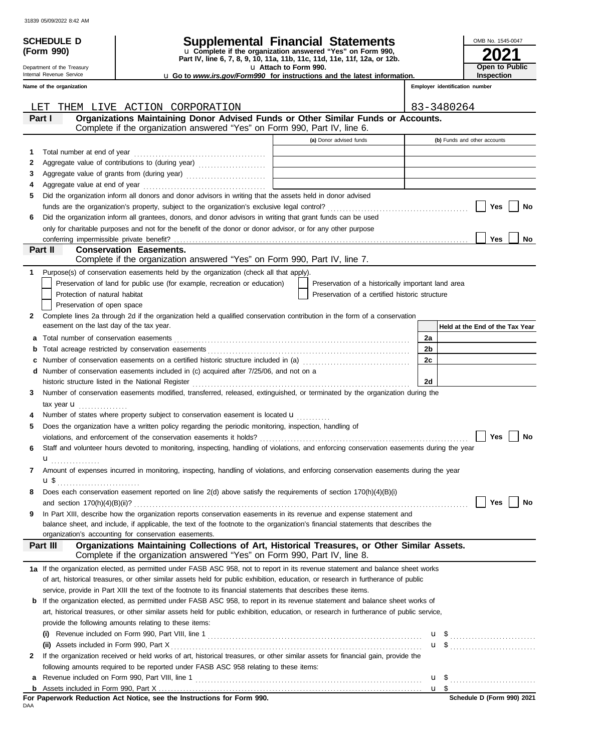| <b>SCHEDULE D</b>                         | Supplemental Financial Statements                                                                                                                                                                                   |                       |                                                    |    |                                | OMB No. 1545-0047               |  |  |
|-------------------------------------------|---------------------------------------------------------------------------------------------------------------------------------------------------------------------------------------------------------------------|-----------------------|----------------------------------------------------|----|--------------------------------|---------------------------------|--|--|
| (Form 990)                                | Lu Complete if the organization answered "Yes" on Form 990,<br>Part IV, line 6, 7, 8, 9, 10, 11a, 11b, 11c, 11d, 11e, 11f, 12a, or 12b.                                                                             |                       |                                                    |    |                                |                                 |  |  |
| Department of the Treasury                |                                                                                                                                                                                                                     | U Attach to Form 990. |                                                    |    | Open to Public                 |                                 |  |  |
| Internal Revenue Service                  | U Go to www.irs.gov/Form990 for instructions and the latest information.                                                                                                                                            |                       |                                                    |    |                                | <b>Inspection</b>               |  |  |
| Name of the organization                  |                                                                                                                                                                                                                     |                       |                                                    |    | Employer identification number |                                 |  |  |
| LET                                       | THEM LIVE ACTION CORPORATION                                                                                                                                                                                        |                       |                                                    |    | 83-3480264                     |                                 |  |  |
| Part I                                    | Organizations Maintaining Donor Advised Funds or Other Similar Funds or Accounts.                                                                                                                                   |                       |                                                    |    |                                |                                 |  |  |
|                                           | Complete if the organization answered "Yes" on Form 990, Part IV, line 6.                                                                                                                                           |                       |                                                    |    |                                |                                 |  |  |
|                                           |                                                                                                                                                                                                                     |                       | (a) Donor advised funds                            |    |                                | (b) Funds and other accounts    |  |  |
| Total number at end of year<br>1          |                                                                                                                                                                                                                     |                       |                                                    |    |                                |                                 |  |  |
| 2                                         | Aggregate value of contributions to (during year) [11] [11] Aggregate value of contributions to (during year)                                                                                                       |                       | <u> 1989 - Johann Barn, amerikansk politiker (</u> |    |                                |                                 |  |  |
| 3                                         | Aggregate value of grants from (during year)                                                                                                                                                                        |                       |                                                    |    |                                |                                 |  |  |
| 4<br>5                                    | Did the organization inform all donors and donor advisors in writing that the assets held in donor advised                                                                                                          |                       |                                                    |    |                                |                                 |  |  |
|                                           |                                                                                                                                                                                                                     |                       |                                                    |    |                                | Yes<br>No                       |  |  |
| 6                                         | Did the organization inform all grantees, donors, and donor advisors in writing that grant funds can be used                                                                                                        |                       |                                                    |    |                                |                                 |  |  |
|                                           | only for charitable purposes and not for the benefit of the donor or donor advisor, or for any other purpose                                                                                                        |                       |                                                    |    |                                |                                 |  |  |
|                                           |                                                                                                                                                                                                                     |                       |                                                    |    |                                | Yes<br>No.                      |  |  |
| Part II                                   | <b>Conservation Easements.</b>                                                                                                                                                                                      |                       |                                                    |    |                                |                                 |  |  |
|                                           | Complete if the organization answered "Yes" on Form 990, Part IV, line 7.                                                                                                                                           |                       |                                                    |    |                                |                                 |  |  |
| 1                                         | Purpose(s) of conservation easements held by the organization (check all that apply).                                                                                                                               |                       |                                                    |    |                                |                                 |  |  |
|                                           | Preservation of land for public use (for example, recreation or education)                                                                                                                                          |                       | Preservation of a historically important land area |    |                                |                                 |  |  |
| Protection of natural habitat             |                                                                                                                                                                                                                     |                       | Preservation of a certified historic structure     |    |                                |                                 |  |  |
| Preservation of open space                |                                                                                                                                                                                                                     |                       |                                                    |    |                                |                                 |  |  |
| 2                                         | Complete lines 2a through 2d if the organization held a qualified conservation contribution in the form of a conservation                                                                                           |                       |                                                    |    |                                |                                 |  |  |
| easement on the last day of the tax year. |                                                                                                                                                                                                                     |                       |                                                    |    |                                | Held at the End of the Tax Year |  |  |
| a                                         |                                                                                                                                                                                                                     |                       |                                                    | 2a |                                |                                 |  |  |
| b                                         |                                                                                                                                                                                                                     |                       |                                                    | 2b |                                |                                 |  |  |
| c                                         | Number of conservation easements on a certified historic structure included in (a) [11] Number of conservation easements on a certified historic structure included in (a)                                          |                       |                                                    | 2c |                                |                                 |  |  |
|                                           | d Number of conservation easements included in (c) acquired after 7/25/06, and not on a                                                                                                                             |                       |                                                    |    |                                |                                 |  |  |
|                                           | historic structure listed in the National Register                                                                                                                                                                  |                       |                                                    | 2d |                                |                                 |  |  |
| 3                                         | Number of conservation easements modified, transferred, released, extinguished, or terminated by the organization during the                                                                                        |                       |                                                    |    |                                |                                 |  |  |
| tax year $\mathsf{u}$                     |                                                                                                                                                                                                                     |                       |                                                    |    |                                |                                 |  |  |
| 4                                         | Number of states where property subject to conservation easement is located u                                                                                                                                       |                       |                                                    |    |                                |                                 |  |  |
| 5                                         | Does the organization have a written policy regarding the periodic monitoring, inspection, handling of                                                                                                              |                       |                                                    |    |                                |                                 |  |  |
|                                           | violations, and enforcement of the conservation easements it holds? $\ldots$ $\ldots$ $\ldots$ $\ldots$ $\ldots$ $\ldots$ $\ldots$ $\ldots$ $\ldots$ $\ldots$ $\ldots$ $\ldots$ $\ldots$ $\ldots$ $\ldots$ $\ldots$ |                       |                                                    |    |                                |                                 |  |  |
| 6                                         | Staff and volunteer hours devoted to monitoring, inspecting, handling of violations, and enforcing conservation easements during the year                                                                           |                       |                                                    |    |                                |                                 |  |  |
| <b>u</b> <sub></sub>                      |                                                                                                                                                                                                                     |                       |                                                    |    |                                |                                 |  |  |
| 7                                         | Amount of expenses incurred in monitoring, inspecting, handling of violations, and enforcing conservation easements during the year                                                                                 |                       |                                                    |    |                                |                                 |  |  |
|                                           |                                                                                                                                                                                                                     |                       |                                                    |    |                                |                                 |  |  |
| 8                                         | Does each conservation easement reported on line 2(d) above satisfy the requirements of section 170(h)(4)(B)(i)                                                                                                     |                       |                                                    |    |                                |                                 |  |  |
|                                           | In Part XIII, describe how the organization reports conservation easements in its revenue and expense statement and                                                                                                 |                       |                                                    |    |                                | Yes<br>No                       |  |  |
| 9                                         | balance sheet, and include, if applicable, the text of the footnote to the organization's financial statements that describes the                                                                                   |                       |                                                    |    |                                |                                 |  |  |
|                                           | organization's accounting for conservation easements.                                                                                                                                                               |                       |                                                    |    |                                |                                 |  |  |
| Part III                                  | Organizations Maintaining Collections of Art, Historical Treasures, or Other Similar Assets.                                                                                                                        |                       |                                                    |    |                                |                                 |  |  |
|                                           | Complete if the organization answered "Yes" on Form 990, Part IV, line 8.                                                                                                                                           |                       |                                                    |    |                                |                                 |  |  |
|                                           | 1a If the organization elected, as permitted under FASB ASC 958, not to report in its revenue statement and balance sheet works                                                                                     |                       |                                                    |    |                                |                                 |  |  |
|                                           | of art, historical treasures, or other similar assets held for public exhibition, education, or research in furtherance of public                                                                                   |                       |                                                    |    |                                |                                 |  |  |
|                                           | service, provide in Part XIII the text of the footnote to its financial statements that describes these items.                                                                                                      |                       |                                                    |    |                                |                                 |  |  |
| b                                         | If the organization elected, as permitted under FASB ASC 958, to report in its revenue statement and balance sheet works of                                                                                         |                       |                                                    |    |                                |                                 |  |  |
|                                           | art, historical treasures, or other similar assets held for public exhibition, education, or research in furtherance of public service,                                                                             |                       |                                                    |    |                                |                                 |  |  |
|                                           | provide the following amounts relating to these items:                                                                                                                                                              |                       |                                                    |    |                                |                                 |  |  |
|                                           |                                                                                                                                                                                                                     |                       |                                                    |    |                                | $\mathsf{u}$ \$                 |  |  |
|                                           |                                                                                                                                                                                                                     |                       |                                                    |    |                                |                                 |  |  |
| 2                                         | If the organization received or held works of art, historical treasures, or other similar assets for financial gain, provide the                                                                                    |                       |                                                    |    |                                |                                 |  |  |
|                                           | following amounts required to be reported under FASB ASC 958 relating to these items:                                                                                                                               |                       |                                                    |    |                                |                                 |  |  |
| а                                         |                                                                                                                                                                                                                     |                       |                                                    |    |                                |                                 |  |  |
| b                                         |                                                                                                                                                                                                                     |                       |                                                    |    | u s                            |                                 |  |  |

DAA **For Paperwork Reduction Act Notice, see the Instructions for Form 990.**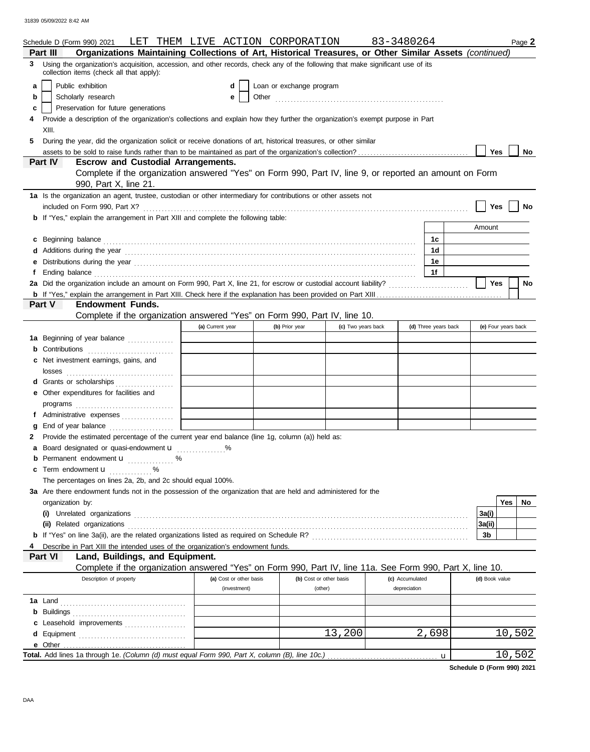|   | Schedule D (Form 990) 2021 LET THEM LIVE ACTION CORPORATION                                                                                                                                                                          |                         |                          |                         | 83-3480264      |                      |                | Page 2              |
|---|--------------------------------------------------------------------------------------------------------------------------------------------------------------------------------------------------------------------------------------|-------------------------|--------------------------|-------------------------|-----------------|----------------------|----------------|---------------------|
|   | Organizations Maintaining Collections of Art, Historical Treasures, or Other Similar Assets (continued)<br>Part III                                                                                                                  |                         |                          |                         |                 |                      |                |                     |
| 3 | Using the organization's acquisition, accession, and other records, check any of the following that make significant use of its<br>collection items (check all that apply):                                                          |                         |                          |                         |                 |                      |                |                     |
| a | Public exhibition                                                                                                                                                                                                                    | d                       | Loan or exchange program |                         |                 |                      |                |                     |
| b | Scholarly research                                                                                                                                                                                                                   | е                       |                          |                         |                 |                      |                |                     |
|   |                                                                                                                                                                                                                                      |                         |                          |                         |                 |                      |                |                     |
| c | Preservation for future generations                                                                                                                                                                                                  |                         |                          |                         |                 |                      |                |                     |
|   | Provide a description of the organization's collections and explain how they further the organization's exempt purpose in Part<br>XIII.                                                                                              |                         |                          |                         |                 |                      |                |                     |
| 5 | During the year, did the organization solicit or receive donations of art, historical treasures, or other similar                                                                                                                    |                         |                          |                         |                 |                      |                |                     |
|   |                                                                                                                                                                                                                                      |                         |                          |                         |                 |                      | <b>Yes</b>     | No                  |
|   | <b>Part IV</b><br><b>Escrow and Custodial Arrangements.</b>                                                                                                                                                                          |                         |                          |                         |                 |                      |                |                     |
|   | Complete if the organization answered "Yes" on Form 990, Part IV, line 9, or reported an amount on Form<br>990, Part X, line 21.                                                                                                     |                         |                          |                         |                 |                      |                |                     |
|   | 1a Is the organization an agent, trustee, custodian or other intermediary for contributions or other assets not                                                                                                                      |                         |                          |                         |                 |                      |                |                     |
|   |                                                                                                                                                                                                                                      |                         |                          |                         |                 |                      | Yes            | No                  |
|   | b If "Yes," explain the arrangement in Part XIII and complete the following table:                                                                                                                                                   |                         |                          |                         |                 |                      |                |                     |
|   |                                                                                                                                                                                                                                      |                         |                          |                         |                 |                      | Amount         |                     |
|   |                                                                                                                                                                                                                                      |                         |                          |                         |                 |                      |                |                     |
|   | c Beginning balance <b>contract the contract of the contract of the contract of the contract of the contract of the contract of the contract of the contract of the contract of the contract of the contract of the contract of </b> |                         |                          |                         |                 | 1c                   |                |                     |
|   |                                                                                                                                                                                                                                      |                         |                          |                         |                 | 1d                   |                |                     |
| е |                                                                                                                                                                                                                                      |                         |                          |                         |                 | 1e                   |                |                     |
|   | Ending balance <b>constructs</b> and constructs and constructs and constructs and constructs and constructs and constructs and constructs and constructs and constructs and constructs and constructs and constructs and constructs  |                         |                          |                         |                 | 1f                   |                |                     |
|   |                                                                                                                                                                                                                                      |                         |                          |                         |                 |                      | <b>Yes</b>     | No                  |
|   |                                                                                                                                                                                                                                      |                         |                          |                         |                 |                      |                |                     |
|   | <b>Part V</b><br><b>Endowment Funds.</b>                                                                                                                                                                                             |                         |                          |                         |                 |                      |                |                     |
|   | Complete if the organization answered "Yes" on Form 990, Part IV, line 10.                                                                                                                                                           |                         |                          |                         |                 |                      |                |                     |
|   |                                                                                                                                                                                                                                      | (a) Current year        | (b) Prior year           | (c) Two years back      |                 | (d) Three years back |                | (e) Four years back |
|   | 1a Beginning of year balance                                                                                                                                                                                                         |                         |                          |                         |                 |                      |                |                     |
|   | <b>b</b> Contributions <b>contributions</b>                                                                                                                                                                                          |                         |                          |                         |                 |                      |                |                     |
|   | c Net investment earnings, gains, and                                                                                                                                                                                                |                         |                          |                         |                 |                      |                |                     |
|   |                                                                                                                                                                                                                                      |                         |                          |                         |                 |                      |                |                     |
|   | d Grants or scholarships                                                                                                                                                                                                             |                         |                          |                         |                 |                      |                |                     |
|   | e Other expenditures for facilities and                                                                                                                                                                                              |                         |                          |                         |                 |                      |                |                     |
|   |                                                                                                                                                                                                                                      |                         |                          |                         |                 |                      |                |                     |
|   | f Administrative expenses                                                                                                                                                                                                            |                         |                          |                         |                 |                      |                |                     |
|   |                                                                                                                                                                                                                                      |                         |                          |                         |                 |                      |                |                     |
|   | End of year balance<br>2 Provide the estimated percentage of the current year end balance (line 1g, column (a)) held as:                                                                                                             |                         |                          |                         |                 |                      |                |                     |
|   |                                                                                                                                                                                                                                      |                         |                          |                         |                 |                      |                |                     |
|   | a Board designated or quasi-endowment u                                                                                                                                                                                              |                         |                          |                         |                 |                      |                |                     |
| b | Permanent endowment <b>u</b> %                                                                                                                                                                                                       |                         |                          |                         |                 |                      |                |                     |
| c | Term endowment <b>u</b><br>%                                                                                                                                                                                                         |                         |                          |                         |                 |                      |                |                     |
|   | The percentages on lines 2a, 2b, and 2c should equal 100%.                                                                                                                                                                           |                         |                          |                         |                 |                      |                |                     |
|   | 3a Are there endowment funds not in the possession of the organization that are held and administered for the                                                                                                                        |                         |                          |                         |                 |                      |                |                     |
|   | organization by:                                                                                                                                                                                                                     |                         |                          |                         |                 |                      |                | Yes<br>No           |
|   |                                                                                                                                                                                                                                      |                         |                          |                         |                 |                      | 3a(i)          |                     |
|   |                                                                                                                                                                                                                                      |                         |                          |                         |                 |                      | 3a(ii)         |                     |
|   |                                                                                                                                                                                                                                      |                         |                          |                         |                 |                      | 3b             |                     |
|   | Describe in Part XIII the intended uses of the organization's endowment funds.                                                                                                                                                       |                         |                          |                         |                 |                      |                |                     |
|   | Part VI<br>Land, Buildings, and Equipment.                                                                                                                                                                                           |                         |                          |                         |                 |                      |                |                     |
|   | Complete if the organization answered "Yes" on Form 990, Part IV, line 11a. See Form 990, Part X, line 10.                                                                                                                           |                         |                          |                         |                 |                      |                |                     |
|   | Description of property                                                                                                                                                                                                              | (a) Cost or other basis |                          | (b) Cost or other basis | (c) Accumulated |                      | (d) Book value |                     |
|   |                                                                                                                                                                                                                                      | (investment)            |                          | (other)                 | depreciation    |                      |                |                     |
|   |                                                                                                                                                                                                                                      |                         |                          |                         |                 |                      |                |                     |
|   |                                                                                                                                                                                                                                      |                         |                          |                         |                 |                      |                |                     |
|   | c Leasehold improvements                                                                                                                                                                                                             |                         |                          |                         |                 |                      |                |                     |
|   |                                                                                                                                                                                                                                      |                         |                          | 13,200                  |                 | 2,698                |                | 10,502              |
|   |                                                                                                                                                                                                                                      |                         |                          |                         |                 |                      |                |                     |
|   |                                                                                                                                                                                                                                      |                         |                          |                         |                 |                      |                | 10,502              |
|   |                                                                                                                                                                                                                                      |                         |                          |                         |                 | $\mathbf{u}$         |                |                     |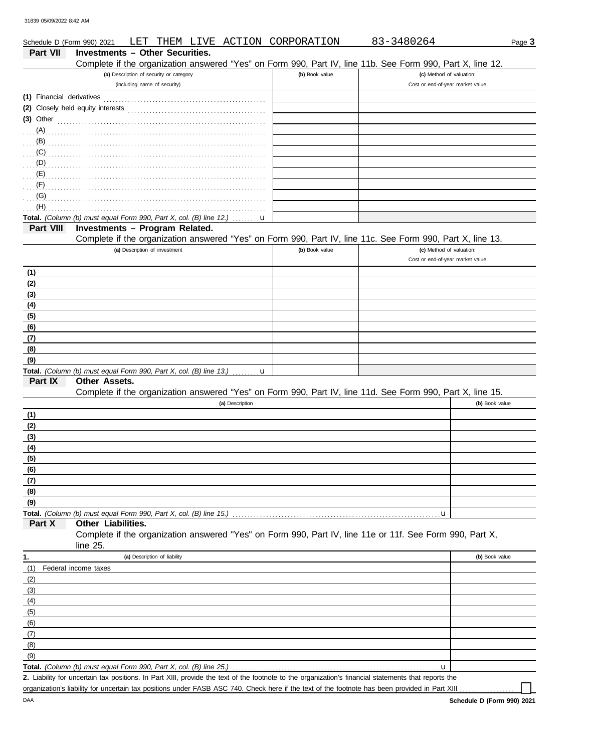|                           | THEM LIVE ACTION CORPORATION<br>LET.<br>Schedule D (Form 990) 2021                                                                                   |                | 83-3480264                       | Page 3         |
|---------------------------|------------------------------------------------------------------------------------------------------------------------------------------------------|----------------|----------------------------------|----------------|
| Part VII                  | <b>Investments - Other Securities.</b>                                                                                                               |                |                                  |                |
|                           | Complete if the organization answered "Yes" on Form 990, Part IV, line 11b. See Form 990, Part X, line 12.                                           |                |                                  |                |
|                           | (a) Description of security or category                                                                                                              | (b) Book value | (c) Method of valuation:         |                |
|                           | (including name of security)                                                                                                                         |                | Cost or end-of-year market value |                |
| (1) Financial derivatives |                                                                                                                                                      |                |                                  |                |
|                           | (2) Closely held equity interests                                                                                                                    |                |                                  |                |
| $(3)$ Other               |                                                                                                                                                      |                |                                  |                |
| (A)                       |                                                                                                                                                      |                |                                  |                |
| (B)                       |                                                                                                                                                      |                |                                  |                |
| (C)                       |                                                                                                                                                      |                |                                  |                |
|                           |                                                                                                                                                      |                |                                  |                |
| (D)                       |                                                                                                                                                      |                |                                  |                |
| (E)                       |                                                                                                                                                      |                |                                  |                |
| (F)                       |                                                                                                                                                      |                |                                  |                |
| (G)                       |                                                                                                                                                      |                |                                  |                |
| (H)                       |                                                                                                                                                      |                |                                  |                |
|                           | Total. (Column (b) must equal Form 990, Part X, col. (B) line 12.)<br>u                                                                              |                |                                  |                |
| Part VIII                 | Investments - Program Related.                                                                                                                       |                |                                  |                |
|                           | Complete if the organization answered "Yes" on Form 990, Part IV, line 11c. See Form 990, Part X, line 13.                                           |                |                                  |                |
|                           | (a) Description of investment                                                                                                                        | (b) Book value | (c) Method of valuation:         |                |
|                           |                                                                                                                                                      |                | Cost or end-of-year market value |                |
| (1)                       |                                                                                                                                                      |                |                                  |                |
| (2)                       |                                                                                                                                                      |                |                                  |                |
| (3)                       |                                                                                                                                                      |                |                                  |                |
| (4)                       |                                                                                                                                                      |                |                                  |                |
| (5)                       |                                                                                                                                                      |                |                                  |                |
| (6)                       |                                                                                                                                                      |                |                                  |                |
| (7)                       |                                                                                                                                                      |                |                                  |                |
| (8)                       |                                                                                                                                                      |                |                                  |                |
| (9)                       |                                                                                                                                                      |                |                                  |                |
|                           | Total. (Column (b) must equal Form 990, Part X, col. (B) line 13.)<br>u                                                                              |                |                                  |                |
| Part IX                   | <b>Other Assets.</b>                                                                                                                                 |                |                                  |                |
|                           | Complete if the organization answered "Yes" on Form 990, Part IV, line 11d. See Form 990, Part X, line 15.                                           |                |                                  |                |
|                           | (a) Description                                                                                                                                      |                |                                  | (b) Book value |
|                           |                                                                                                                                                      |                |                                  |                |
| (1)                       |                                                                                                                                                      |                |                                  |                |
| (2)                       |                                                                                                                                                      |                |                                  |                |
| (3)                       |                                                                                                                                                      |                |                                  |                |
| (4)                       |                                                                                                                                                      |                |                                  |                |
| (5)                       |                                                                                                                                                      |                |                                  |                |
| (6)                       |                                                                                                                                                      |                |                                  |                |
| (7)                       |                                                                                                                                                      |                |                                  |                |
| (8)                       |                                                                                                                                                      |                |                                  |                |
| (9)                       |                                                                                                                                                      |                |                                  |                |
|                           | Total. (Column (b) must equal Form 990, Part X, col. (B) line 15.)                                                                                   |                | u                                |                |
| Part X                    | Other Liabilities.                                                                                                                                   |                |                                  |                |
|                           | Complete if the organization answered "Yes" on Form 990, Part IV, line 11e or 11f. See Form 990, Part X,                                             |                |                                  |                |
|                           | line 25.                                                                                                                                             |                |                                  |                |
| 1.                        | (a) Description of liability                                                                                                                         |                |                                  | (b) Book value |
| (1)                       | Federal income taxes                                                                                                                                 |                |                                  |                |
| (2)                       |                                                                                                                                                      |                |                                  |                |
| (3)                       |                                                                                                                                                      |                |                                  |                |
| (4)                       |                                                                                                                                                      |                |                                  |                |
| (5)                       |                                                                                                                                                      |                |                                  |                |
| (6)                       |                                                                                                                                                      |                |                                  |                |
| (7)                       |                                                                                                                                                      |                |                                  |                |
|                           |                                                                                                                                                      |                |                                  |                |
| (8)                       |                                                                                                                                                      |                |                                  |                |
| (9)                       |                                                                                                                                                      |                |                                  |                |
|                           | Total. (Column (b) must equal Form 990, Part X, col. (B) line 25.)                                                                                   |                | u                                |                |
|                           | 2. Liability for uncertain tax positions. In Part XIII, provide the text of the footnote to the organization's financial statements that reports the |                |                                  |                |
|                           | organization's liability for uncertain tax positions under FASB ASC 740. Check here if the text of the footnote has been provided in Part XIII.      |                |                                  |                |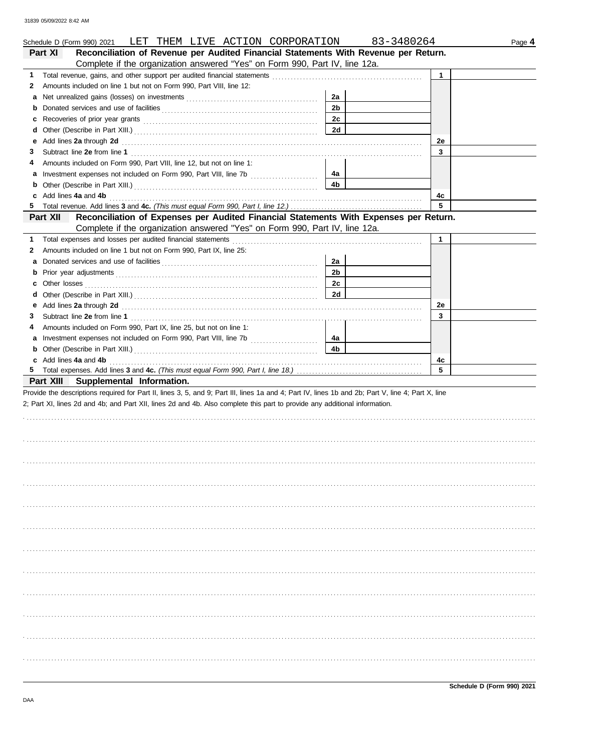|--|--|

|   | LET THEM LIVE ACTION CORPORATION<br>Schedule D (Form 990) 2021<br>Reconciliation of Revenue per Audited Financial Statements With Revenue per Return.<br>Part XI<br>Complete if the organization answered "Yes" on Form 990, Part IV, line 12a. |                | 83-3480264   | Page 4 |
|---|-------------------------------------------------------------------------------------------------------------------------------------------------------------------------------------------------------------------------------------------------|----------------|--------------|--------|
|   |                                                                                                                                                                                                                                                 |                |              |        |
| 1 |                                                                                                                                                                                                                                                 |                | 1            |        |
| 2 | Amounts included on line 1 but not on Form 990, Part VIII, line 12:                                                                                                                                                                             |                |              |        |
| a |                                                                                                                                                                                                                                                 | 2a             |              |        |
| b |                                                                                                                                                                                                                                                 | 2 <sub>b</sub> |              |        |
| c |                                                                                                                                                                                                                                                 | 2c             |              |        |
| d |                                                                                                                                                                                                                                                 | 2d             |              |        |
| е | Add lines 2a through 2d [11] Add [12] Add [12] Add lines 2a through 2d [12] Add lines 2a through 2d                                                                                                                                             |                | 2e           |        |
| З |                                                                                                                                                                                                                                                 |                | 3            |        |
| 4 | Amounts included on Form 990, Part VIII, line 12, but not on line 1:                                                                                                                                                                            |                |              |        |
| a |                                                                                                                                                                                                                                                 | 4a             |              |        |
| b |                                                                                                                                                                                                                                                 | 4b             |              |        |
|   | c Add lines 4a and 4b                                                                                                                                                                                                                           |                | 4c           |        |
| 5 |                                                                                                                                                                                                                                                 |                | 5            |        |
|   | Reconciliation of Expenses per Audited Financial Statements With Expenses per Return.<br>Part XII                                                                                                                                               |                |              |        |
|   | Complete if the organization answered "Yes" on Form 990, Part IV, line 12a.                                                                                                                                                                     |                |              |        |
| 1 |                                                                                                                                                                                                                                                 |                | $\mathbf{1}$ |        |
| 2 | Amounts included on line 1 but not on Form 990, Part IX, line 25:                                                                                                                                                                               |                |              |        |
| a |                                                                                                                                                                                                                                                 | 2a             |              |        |
|   |                                                                                                                                                                                                                                                 | 2 <sub>b</sub> |              |        |
| b |                                                                                                                                                                                                                                                 |                |              |        |
| c |                                                                                                                                                                                                                                                 | 2c             |              |        |
| d |                                                                                                                                                                                                                                                 | 2d             |              |        |
| е | Add lines 2a through 2d [11] March 20 [11] March 20 [12] March 20 [12] March 20 [12] March 20 [12] March 20 [12] March 20 [12] March 20 [12] March 20 [12] March 20 [12] March 20 [12] March 20 [12] March 20 [12] March 20 [1                  |                | 2e           |        |
| 3 |                                                                                                                                                                                                                                                 |                | 3            |        |
| 4 | Amounts included on Form 990, Part IX, line 25, but not on line 1:                                                                                                                                                                              |                |              |        |
| a |                                                                                                                                                                                                                                                 | 4a             |              |        |
| b |                                                                                                                                                                                                                                                 | 4b             |              |        |
|   |                                                                                                                                                                                                                                                 |                |              |        |
|   | c Add lines 4a and 4b                                                                                                                                                                                                                           |                | 4c           |        |
|   |                                                                                                                                                                                                                                                 |                | 5            |        |
|   | Part XIII Supplemental Information.                                                                                                                                                                                                             |                |              |        |
|   | Provide the descriptions required for Part II, lines 3, 5, and 9; Part III, lines 1a and 4; Part IV, lines 1b and 2b; Part V, line 4; Part X, line                                                                                              |                |              |        |
|   | 2; Part XI, lines 2d and 4b; and Part XII, lines 2d and 4b. Also complete this part to provide any additional information.                                                                                                                      |                |              |        |
|   |                                                                                                                                                                                                                                                 |                |              |        |
|   |                                                                                                                                                                                                                                                 |                |              |        |
|   |                                                                                                                                                                                                                                                 |                |              |        |
|   |                                                                                                                                                                                                                                                 |                |              |        |
|   |                                                                                                                                                                                                                                                 |                |              |        |
|   |                                                                                                                                                                                                                                                 |                |              |        |
|   |                                                                                                                                                                                                                                                 |                |              |        |
|   |                                                                                                                                                                                                                                                 |                |              |        |
|   |                                                                                                                                                                                                                                                 |                |              |        |
|   |                                                                                                                                                                                                                                                 |                |              |        |
|   |                                                                                                                                                                                                                                                 |                |              |        |
|   |                                                                                                                                                                                                                                                 |                |              |        |
|   |                                                                                                                                                                                                                                                 |                |              |        |
|   |                                                                                                                                                                                                                                                 |                |              |        |
|   |                                                                                                                                                                                                                                                 |                |              |        |
|   |                                                                                                                                                                                                                                                 |                |              |        |
|   |                                                                                                                                                                                                                                                 |                |              |        |
|   |                                                                                                                                                                                                                                                 |                |              |        |
|   |                                                                                                                                                                                                                                                 |                |              |        |
|   |                                                                                                                                                                                                                                                 |                |              |        |
|   |                                                                                                                                                                                                                                                 |                |              |        |
|   |                                                                                                                                                                                                                                                 |                |              |        |
|   |                                                                                                                                                                                                                                                 |                |              |        |
|   |                                                                                                                                                                                                                                                 |                |              |        |
|   |                                                                                                                                                                                                                                                 |                |              |        |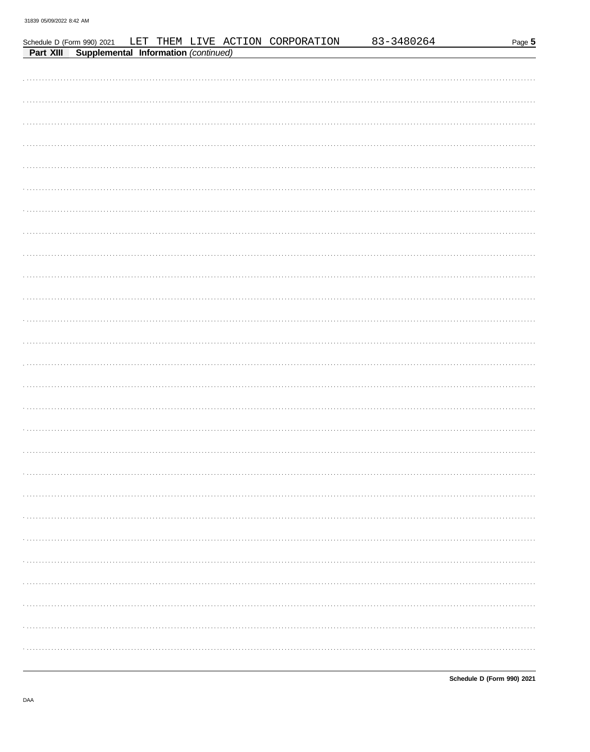|           | Schedule D (Form 990) 2021           |  |  | LET THEM LIVE ACTION CORPORATION | 83-3480264 | Page 5     |
|-----------|--------------------------------------|--|--|----------------------------------|------------|------------|
| Part XIII | Supplemental Information (continued) |  |  |                                  |            |            |
|           |                                      |  |  |                                  |            |            |
| $\cdots$  |                                      |  |  |                                  |            |            |
|           |                                      |  |  |                                  |            |            |
|           |                                      |  |  |                                  |            |            |
|           |                                      |  |  |                                  |            |            |
|           |                                      |  |  |                                  |            |            |
|           |                                      |  |  |                                  |            |            |
|           |                                      |  |  |                                  |            |            |
|           |                                      |  |  |                                  |            |            |
|           |                                      |  |  |                                  |            |            |
|           |                                      |  |  |                                  |            |            |
|           |                                      |  |  |                                  |            |            |
|           |                                      |  |  |                                  |            |            |
|           |                                      |  |  |                                  |            |            |
|           |                                      |  |  |                                  |            |            |
|           |                                      |  |  |                                  |            |            |
|           |                                      |  |  |                                  |            |            |
|           |                                      |  |  |                                  |            |            |
|           |                                      |  |  |                                  |            |            |
|           |                                      |  |  |                                  |            |            |
|           |                                      |  |  |                                  |            |            |
|           |                                      |  |  |                                  |            |            |
|           |                                      |  |  |                                  |            |            |
|           |                                      |  |  |                                  |            |            |
|           |                                      |  |  |                                  |            |            |
|           |                                      |  |  |                                  |            |            |
|           |                                      |  |  |                                  |            |            |
|           |                                      |  |  |                                  |            |            |
|           |                                      |  |  |                                  |            |            |
|           |                                      |  |  |                                  |            |            |
|           |                                      |  |  |                                  |            |            |
|           |                                      |  |  |                                  |            |            |
|           |                                      |  |  |                                  |            |            |
|           |                                      |  |  |                                  |            |            |
|           |                                      |  |  |                                  |            |            |
|           |                                      |  |  |                                  |            |            |
|           |                                      |  |  |                                  |            | . <b>.</b> |
|           |                                      |  |  |                                  |            |            |
|           |                                      |  |  |                                  |            |            |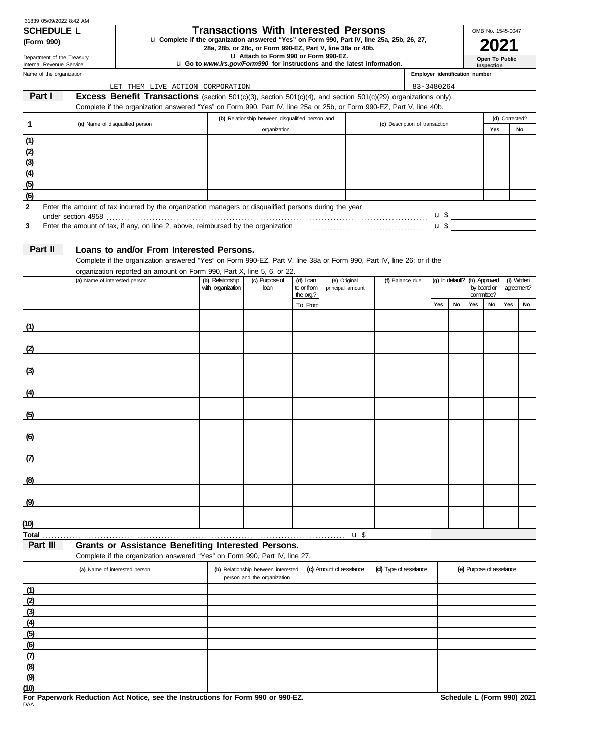| (Form 990)                                             |                                 | U Complete if the organization answered "Yes" on Form 990, Part IV, line 25a, 25b, 26, 27,                                    |                                       | 28a, 28b, or 28c, or Form 990-EZ, Part V, line 38a or 40b. |  |                                       |                                  |  |                                |                                |                              |     |                           |                |             |
|--------------------------------------------------------|---------------------------------|-------------------------------------------------------------------------------------------------------------------------------|---------------------------------------|------------------------------------------------------------|--|---------------------------------------|----------------------------------|--|--------------------------------|--------------------------------|------------------------------|-----|---------------------------|----------------|-------------|
| Department of the Treasury<br>Internal Revenue Service |                                 | U Attach to Form 990 or Form 990-EZ.<br><b>LI Go to www.irs.gov/Form990 for instructions and the latest information.</b>      |                                       |                                                            |  |                                       |                                  |  |                                |                                | Open To Public<br>Inspection |     |                           |                |             |
| Name of the organization                               |                                 |                                                                                                                               |                                       |                                                            |  |                                       |                                  |  |                                | Employer identification number |                              |     |                           |                |             |
|                                                        |                                 | LET THEM LIVE ACTION CORPORATION                                                                                              |                                       |                                                            |  |                                       |                                  |  |                                | 83-3480264                     |                              |     |                           |                |             |
| Part I                                                 |                                 | <b>Excess Benefit Transactions</b> (section $501(c)(3)$ , section $501(c)(4)$ , and section $501(c)(29)$ organizations only). |                                       |                                                            |  |                                       |                                  |  |                                |                                |                              |     |                           |                |             |
|                                                        |                                 | Complete if the organization answered "Yes" on Form 990, Part IV, line 25a or 25b, or Form 990-EZ, Part V, line 40b.          |                                       | (b) Relationship between disqualified person and           |  |                                       |                                  |  |                                |                                |                              |     |                           | (d) Corrected? |             |
| 1                                                      | (a) Name of disqualified person |                                                                                                                               |                                       | organization                                               |  |                                       |                                  |  | (c) Description of transaction |                                |                              |     | Yes                       |                | No          |
| (1)                                                    |                                 |                                                                                                                               |                                       |                                                            |  |                                       |                                  |  |                                |                                |                              |     |                           |                |             |
| (2)                                                    |                                 |                                                                                                                               |                                       |                                                            |  |                                       |                                  |  |                                |                                |                              |     |                           |                |             |
| (3)<br>(4)                                             |                                 |                                                                                                                               |                                       |                                                            |  |                                       |                                  |  |                                |                                |                              |     |                           |                |             |
| (5)                                                    |                                 |                                                                                                                               |                                       |                                                            |  |                                       |                                  |  |                                |                                |                              |     |                           |                |             |
| (6)                                                    |                                 |                                                                                                                               |                                       |                                                            |  |                                       |                                  |  |                                |                                |                              |     |                           |                |             |
| $\mathbf{2}$                                           |                                 | Enter the amount of tax incurred by the organization managers or disqualified persons during the year                         |                                       |                                                            |  |                                       |                                  |  |                                |                                |                              |     |                           |                |             |
| 3                                                      |                                 |                                                                                                                               |                                       |                                                            |  |                                       |                                  |  |                                |                                |                              |     |                           |                |             |
|                                                        |                                 |                                                                                                                               |                                       |                                                            |  |                                       |                                  |  |                                |                                |                              |     |                           |                |             |
|                                                        | (a) Name of interested person   | organization reported an amount on Form 990, Part X, line 5, 6, or 22.                                                        | (b) Relationship<br>with organization | (c) Purpose of<br>loan                                     |  | $(d)$ Loan<br>to or from<br>the org.? | (e) Original<br>principal amount |  | (f) Balance due                |                                | (g) In default? (h) Approved |     | by board or<br>committee? | agreement?     | (i) Written |
|                                                        |                                 |                                                                                                                               |                                       |                                                            |  | To From                               |                                  |  |                                | <b>Yes</b>                     | No                           | Yes | No                        | Yes            | No          |
| (1)                                                    |                                 | <u> 1980 - Andrea Station Barbara, amerikan personal (h. 1980).</u>                                                           |                                       |                                                            |  |                                       |                                  |  |                                |                                |                              |     |                           |                |             |
| (2)                                                    |                                 | <u> 1989 - Johann Stein, fransk politik (d. 1989)</u>                                                                         |                                       |                                                            |  |                                       |                                  |  |                                |                                |                              |     |                           |                |             |
| (3)                                                    |                                 | <u> 1989 - Andrea Station Barbara, amerikan per</u>                                                                           |                                       |                                                            |  |                                       |                                  |  |                                |                                |                              |     |                           |                |             |
| (4)                                                    |                                 |                                                                                                                               |                                       |                                                            |  |                                       |                                  |  |                                |                                |                              |     |                           |                |             |
|                                                        |                                 | <u> 1989 - Johann John Stein, mars an de Francisco (f. 1918)</u>                                                              |                                       |                                                            |  |                                       |                                  |  |                                |                                |                              |     |                           |                |             |
| (5)                                                    |                                 |                                                                                                                               |                                       |                                                            |  |                                       |                                  |  |                                |                                |                              |     |                           |                |             |
| (6)                                                    |                                 |                                                                                                                               |                                       |                                                            |  |                                       |                                  |  |                                |                                |                              |     |                           |                |             |
|                                                        |                                 |                                                                                                                               |                                       |                                                            |  |                                       |                                  |  |                                |                                |                              |     |                           |                |             |
|                                                        |                                 |                                                                                                                               |                                       |                                                            |  |                                       |                                  |  |                                |                                |                              |     |                           |                |             |
|                                                        |                                 |                                                                                                                               |                                       |                                                            |  |                                       |                                  |  |                                |                                |                              |     |                           |                |             |
|                                                        |                                 |                                                                                                                               |                                       |                                                            |  |                                       |                                  |  |                                |                                |                              |     |                           |                |             |
| $\sqrt{7}$<br>(8)<br>(9)<br>(10)                       |                                 |                                                                                                                               |                                       |                                                            |  |                                       |                                  |  |                                |                                |                              |     |                           |                |             |

| (a) Name of interested person                                                         | (b) Relationship between interested<br>person and the organization | (c) Amount of assistance | (d) Type of assistance | (e) Purpose of assistance       |
|---------------------------------------------------------------------------------------|--------------------------------------------------------------------|--------------------------|------------------------|---------------------------------|
| (1)                                                                                   |                                                                    |                          |                        |                                 |
| (2)                                                                                   |                                                                    |                          |                        |                                 |
| (3)                                                                                   |                                                                    |                          |                        |                                 |
| (4)                                                                                   |                                                                    |                          |                        |                                 |
| (5)                                                                                   |                                                                    |                          |                        |                                 |
| (6)                                                                                   |                                                                    |                          |                        |                                 |
| $\sigma$                                                                              |                                                                    |                          |                        |                                 |
| (8)                                                                                   |                                                                    |                          |                        |                                 |
| <u>(9)</u>                                                                            |                                                                    |                          |                        |                                 |
| (10)                                                                                  |                                                                    |                          |                        |                                 |
| Fee Department: Dedication, Act Notice, and the Instructions for Fermi 000 on 000 F7. |                                                                    |                          |                        | Calcadole L. (Fause, 000), 0004 |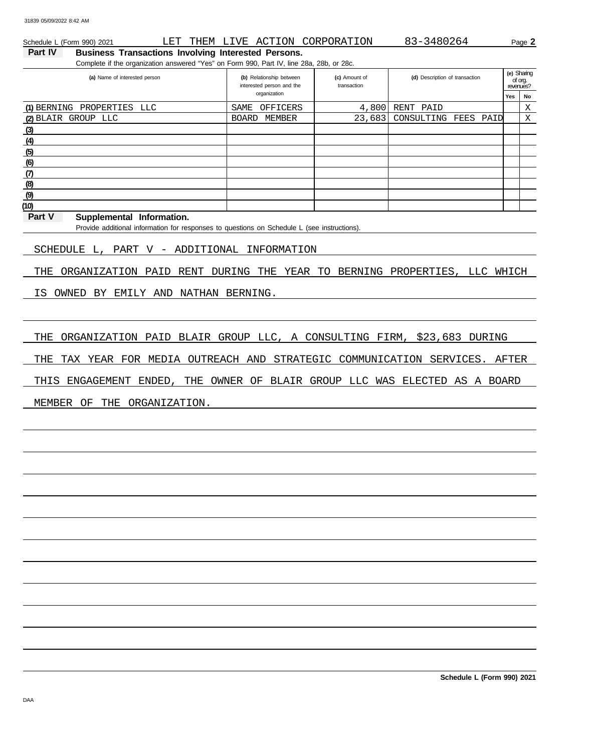#### **Yes No** of org.<br>revenues? **(e)** Sharing (d) Description of transaction interested person and the Part IV Business Transactions Involving Interested Persons. Complete if the organization answered "Yes" on Form 990, Part IV, line 28a, 28b, or 28c. **(a)** Name of interested person **(b)** Relationship between organization **(c)** Amount of transaction Schedule L (Form 990) 2021 Page **2** LET THEM LIVE ACTION CORPORATION 83-3480264 **(6) (5) (4) (3) (2) (1)** BERNING PROPERTIES LLC SAME OFFICERS 4,800 RENT PAID X **(7) (8) (9) (10)** BOARD MEMBER  $\vert$  23,683 CONSULTING FEES PAID  $\vert$  X

#### Part V Supplemental Information.

Provide additional information for responses to questions on Schedule L (see instructions).

SCHEDULE L, PART V - ADDITIONAL INFORMATION

THE ORGANIZATION PAID RENT DURING THE YEAR TO BERNING PROPERTIES, LLC WHICH

IS OWNED BY EMILY AND NATHAN BERNING.

THE ORGANIZATION PAID BLAIR GROUP LLC, A CONSULTING FIRM, \$23,683 DURING

THE TAX YEAR FOR MEDIA OUTREACH AND STRATEGIC COMMUNICATION SERVICES. AFTER

THIS ENGAGEMENT ENDED, THE OWNER OF BLAIR GROUP LLC WAS ELECTED AS A BOARD

MEMBER OF THE ORGANIZATION.